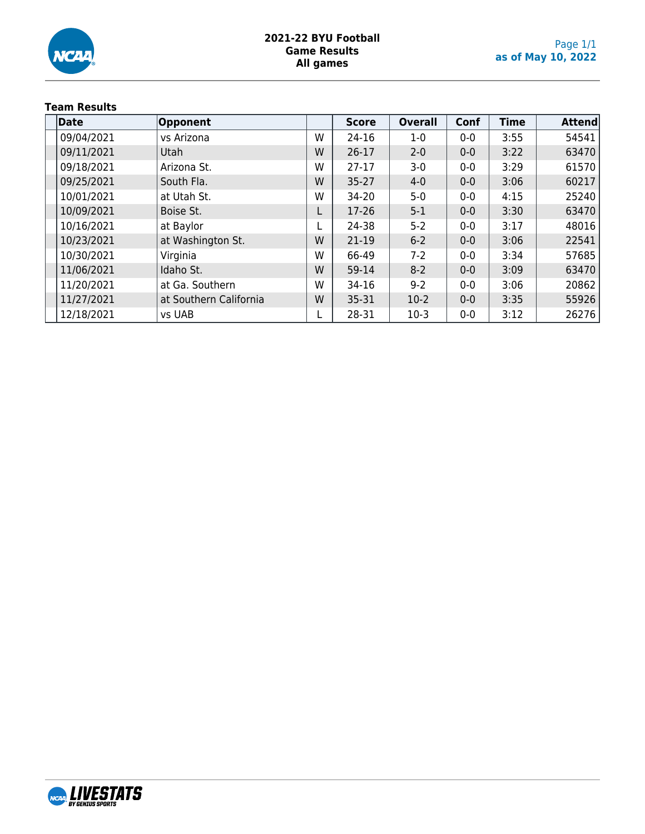

### **2021-22 BYU Football Game Results All games**

# **Team Results**

| Date       | <b>Opponent</b>        |   | <b>Score</b> | <b>Overall</b> | Conf  | <b>Time</b> | <b>Attend</b> |
|------------|------------------------|---|--------------|----------------|-------|-------------|---------------|
| 09/04/2021 | vs Arizona             | W | 24-16        | $1-0$          | $0-0$ | 3:55        | 54541         |
| 09/11/2021 | Utah                   | W | $26 - 17$    | $2 - 0$        | $0-0$ | 3:22        | 63470         |
| 09/18/2021 | Arizona St.            | W | $27-17$      | $3-0$          | $0-0$ | 3:29        | 61570         |
| 09/25/2021 | South Fla.             | W | $35 - 27$    | $4 - 0$        | $0-0$ | 3:06        | 60217         |
| 10/01/2021 | at Utah St.            | W | 34-20        | $5 - 0$        | $0-0$ | 4:15        | 25240         |
| 10/09/2021 | Boise St.              |   | 17-26        | $5 - 1$        | $0-0$ | 3:30        | 63470         |
| 10/16/2021 | at Baylor              |   | 24-38        | $5 - 2$        | $0-0$ | 3:17        | 48016         |
| 10/23/2021 | at Washington St.      | W | 21-19        | $6 - 2$        | $0-0$ | 3:06        | 22541         |
| 10/30/2021 | Virginia               | W | 66-49        | $7-2$          | $0-0$ | 3:34        | 57685         |
| 11/06/2021 | Idaho St.              | W | 59-14        | $8-2$          | $0-0$ | 3:09        | 63470         |
| 11/20/2021 | at Ga. Southern        | W | 34-16        | $9 - 2$        | $0-0$ | 3:06        | 20862         |
| 11/27/2021 | at Southern California | W | 35-31        | $10-2$         | $0-0$ | 3:35        | 55926         |
| 12/18/2021 | vs UAB                 |   | 28-31        | $10-3$         | $0-0$ | 3:12        | 26276         |

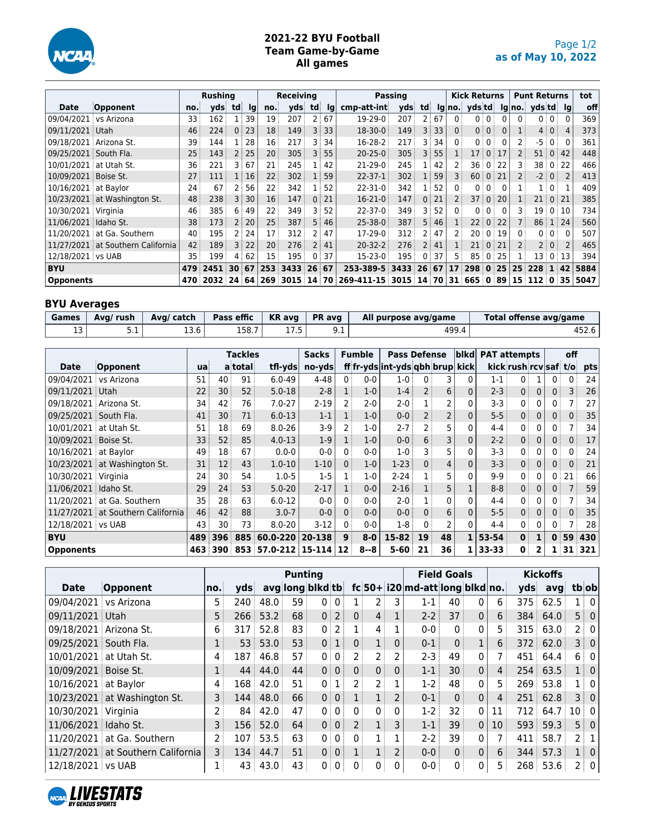

# **2021-22 BYU Football Team Game-by-Game All games**

|                      |                                   |     | <b>Rushing</b> |                                   |              |                 | <b>Receiving</b> |                |      |               | <b>Passing</b> |                   |    |                | <b>Kick Returns</b> |                 |                 |                 | <b>Punt Returns</b> |                 |                | tot  |
|----------------------|-----------------------------------|-----|----------------|-----------------------------------|--------------|-----------------|------------------|----------------|------|---------------|----------------|-------------------|----|----------------|---------------------|-----------------|-----------------|-----------------|---------------------|-----------------|----------------|------|
| Date                 | <b>Opponent</b>                   | no. | vdsi           | td                                | <u>Ig</u>    | no.             | vds              | td             | lq   | cmp-att-int   | vds            | td                |    |                | $lg no.$ yds td     |                 |                 |                 | $\lg$ no. ydstd Ig  |                 |                | off  |
| 09/04/2021           | vs Arizona                        | 33  | 162            |                                   | 39           | 19 <sup>3</sup> | 207              | 2 <sup>1</sup> | 67   | 19-29-0       | 207            | 2                 | 67 | 0 <sup>1</sup> | 0                   | $\overline{0}$  | 0               | 0 <sup>1</sup>  |                     | 0 <sup>1</sup>  | 0              | 369  |
| 09/11/2021 Utah      |                                   | 46  | 224            |                                   | 0:23         | 18 <sup>3</sup> | 149              |                | 3:33 | $18 - 30 - 0$ | 149            | 3:                | 33 | $\mathbf{0}$   |                     | $0 \mid 0 \mid$ | $\overline{0}$  | 1               |                     | 4 0             | $\overline{4}$ | 373  |
| 09/18/2021           | : Arizona St.                     | 39  | 144            |                                   | : 28         | 16              | 217              | 3              | 34   | 16-28-2       | 217            | 3                 | 34 | $\Omega$       | 0                   | 0 <sup>1</sup>  | 0               | 2 <sup>1</sup>  | $-5:$               | $0^{\circ}$     | $\Omega$       | 361  |
| 09/25/2021           | South Fla.                        | 25  | 143            | 2 <sup>1</sup>                    | 25           | 20              | 305              | 3              | 55   | $20 - 25 - 0$ | 305            | 3                 | 55 |                | 17                  |                 | 0:17            | $\overline{2}$  | $51^{\circ}$        |                 | 0:42           | 448  |
| 10/01/2021           | at Utah St.                       | 36  | 221            | 3 :                               | 67           | 21              | 245              |                | 42   | 21-29-0       | 245            |                   | 42 |                | 36                  | $\mathbf 0$     | 22              | 3               | 38 0 22             |                 |                | 466  |
| 10/09/2021 Boise St. |                                   | 27  | 111            |                                   | $1 \vert 16$ | 22              | 302              |                | 59   | $22 - 37 - 1$ | 302            | 1:                | 59 | 3              | 60                  |                 | 0:21            | $\overline{2}$  | $-2$ 0              |                 |                | 413  |
| 10/16/2021           | at Baylor                         | 24  | 67             | 2                                 | 56           | 22              | 342              |                | 52   | $22 - 31 - 0$ | 342            | 1                 | 52 | $\overline{0}$ | 0                   | 0 <sup>1</sup>  | 0               |                 |                     | $1 \mid 0 \mid$ |                | 409  |
|                      | 10/23/2021 at Washington St.      | 48  | 238            | 3 <sup>1</sup>                    | 30           | 16              | 147              | $\Omega$       | 21   | $16 - 21 - 0$ | 147            | $\mathbf{0}$      | 21 |                | 37                  | $\mathbf{0}$    | 20 <sup>1</sup> | $\mathbf{1}$    | 21 0 21             |                 |                | 385  |
| 10/30/2021 Virginia  |                                   | 46  | 385            | 6                                 | 49           | 22              | 349              | 3              | 52   | 22-37-0       | 349            | 3                 | 52 | $\Omega$ :     | 0                   | 0 <sup>1</sup>  | 0               | 3               | 19010               |                 |                | 734  |
| 11/06/2021 Idaho St. |                                   | 38  | 173            |                                   | 2:20         | 25              | 387              | 5 <sup>3</sup> | 46   | $25 - 38 - 0$ | 387            | 5                 | 46 |                | 22                  | $\mathbf{0}$    | 22              | $\overline{7}$  | $86 \mid 1 \mid 24$ |                 |                | 560  |
|                      | 11/20/2021 at Ga. Southern        | 40  | 195            | $\overline{2}$                    | 24           | 17              | 312              |                | 47   | 17-29-0       | 312            | $\mathsf{2}^-$    | 47 |                | 20                  |                 | 0:19            | 0 <sup>1</sup>  |                     | 0:0:            | $\Omega$       | 507  |
|                      | 11/27/2021 at Southern California | 42  | 189            |                                   | 3 22         | 20              | 276              |                | 41   | $20 - 32 - 2$ | 276            | $2^{\frac{1}{2}}$ | 41 |                | 21                  |                 | 0:21            | $\overline{2}$  |                     | 2 0             |                | 465  |
| 12/18/2021 vs UAB    |                                   | 35  | 199            | 4                                 | 62           | 15              | 195              | 0:             | 37   | 15-23-0       | 195            | $\mathbf{0}$      | 37 | 5              | 85 <sup>1</sup>     |                 | 0:25            | 1               | 13 0 13             |                 |                | 394  |
| <b>BYU</b>           |                                   | 479 | 2451           | $30 \overline{\smash{\big)}\ 67}$ |              | 253             | 3433             | 26 67          |      | 253-389-5     | 3433           | 26 <sup>3</sup>   | 67 | 17             | 298 0 25            |                 |                 | 25 <sub>1</sub> | 228 1 42            |                 |                | 5884 |
| <b>Opponents</b>     |                                   | 470 | 2032           |                                   | 24:64        | 269             | 3015 14 70       |                |      | 269-411-15    | 3015           | 14 <sup>1</sup>   | 70 |                | 31   665   0   89   |                 |                 |                 | 15 112 0 35         |                 |                | 5047 |

# **BYU Averages**

| Games    | Avg/ rush | Ava/ catch | Pass effic | $\mathsf{K}\mathsf{R}$ avg | <b>PR</b> avg | All purpose avg/game | Total offense avg/game |
|----------|-----------|------------|------------|----------------------------|---------------|----------------------|------------------------|
| - -<br>ᅩ | ـ         | 13.6       | 158.7      | ر. ، ۲                     | シ・エ           | 499.4                | 452.6                  |

|                        |                              |     |                   | <b>Tackles</b> |                     | <b>Sacks</b> |                | <b>Fumble</b> | <b>Pass Defense</b>             |                |                | blkd           | <b>PAT attempts</b> |                       |              |                | off |     |
|------------------------|------------------------------|-----|-------------------|----------------|---------------------|--------------|----------------|---------------|---------------------------------|----------------|----------------|----------------|---------------------|-----------------------|--------------|----------------|-----|-----|
| <b>Date</b>            | Opponent                     | ua  |                   | a total        | tfl-yds             | no-yds       |                |               | ff fr-yds int-yds qbh brup kick |                |                |                |                     | kick rush rcv saf t/o |              |                |     | pts |
| 09/04/2021 vs Arizona  |                              | 51  | 40                | 91             | $6.0 - 49$          | 4-48         | 0 <sup>1</sup> | $0-0$         | $1 - 0$                         | $\mathbf{0}$   | 3              | 0              | $1 - 1$             | 0                     |              | 0              | 0   | 24  |
| 09/11/2021             | i Utah                       | 22  | 30                | 52             | $5.0 - 18$          | $2 - 8$      |                | $1-0$         | $1 - 4$                         | $\overline{2}$ | 6              | 0              | $2 - 3$             | 0 <sup>1</sup>        | $\Omega$     | 0 <sup>1</sup> | 3   | 26  |
| 09/18/2021             | Arizona St.                  | 34  | 42                | 76             | $7.0 - 27$          | $2 - 19$     |                | $2-0$         | $2 - 0$                         | 1              | 2              | $\Omega$       | 3-3                 | 0                     | 0            | 0:             |     | 27  |
| 09/25/2021             | South Fla.                   | 41  | 30                | 71             | $6.0 - 13$          | $1 - 1$      |                | $1-0$         | $0 - 0$                         | $\overline{2}$ | $\overline{2}$ | $\overline{0}$ | $5 - 5$             | 0 <sup>1</sup>        | $\Omega$     | 0:             | 0.  | 35  |
| 10/01/2021             | at Utah St.                  | 51  | 18                | 69             | $8.0 - 26$          | $3-9$        |                | $1-0$         | $2 - 7$                         | $\overline{2}$ | 5              | 0              | $4 - 4$             | 0                     | 0            | 0              |     | 34  |
| 10/09/2021 Boise St.   |                              | 33  | 52                | 85             | $4.0 - 13$          | $1-9$        |                | $1-0$         | $0-0$                           | 6              | 3              | 0              | $2 - 2$             | 0 <sup>1</sup>        | $\mathbf 0$  | 0 <sup>1</sup> | 0   | 17  |
| 10/16/2021             | at Bavlor                    | 49  | 18                | 67             | $0.0 - 0$           | $0-0$        |                | $0 - 0$       | 1-0                             | 3              | 5              | 0              | $3 - 3$             | 0                     | 0            | $\mathbf{0}$   | 0   | 24  |
|                        | 10/23/2021 at Washington St. | 31  | $12 \overline{ }$ | 43             | $1.0 - 10$          | $1 - 10$     | $\Omega$       | $1-0$         | $1 - 23$                        | 0 <sup>1</sup> | 4              | $\mathbf{0}$   | $3 - 3$             | 0 <sup>1</sup>        | $\mathbf{0}$ | 0 <sup>1</sup> | 0   | 21  |
| 10/30/2021 Virginia    |                              | 24  | 30                | 54             | $1.0 - 5$           | $1-5$        |                | $1-0$         | $2 - 24$                        |                | 5              | 0              | $9-9$               | $\mathbf{0}$          | 0            | 0              | 21  | 66  |
| 11/06/2021   Idaho St. |                              | 29  | 24                | 53             | $5.0 - 20$          | $2 - 17$     |                | $0 - 0$       | $2 - 16$                        | $1$ :          | 5              |                | $8 - 8$             | 0 <sup>1</sup>        | $\mathbf{0}$ | 0 <sup>1</sup> |     | 59  |
| 11/20/2021             | at Ga. Southern              | 35  | 28                | 63             | $6.0 - 12$          | $0-0$        | $\Omega$       | $0 - 0$       | $2 - 0$                         |                | 0              | 0              | $4 - 4$             | 0                     | 0            | 0              |     | 34  |
| 11/27/2021             | at Southern California       | 46  | 42                | 88             | $3.0 - 7$           | $0-0$        |                | $0-0$         | $0-0$                           | 0 <sup>3</sup> | 6              | $\overline{0}$ | $5 - 5$             | $0^{\frac{1}{2}}$     | $\Omega$     | 0 <sup>1</sup> | 0   | 35  |
| 12/18/2021 vs UAB      |                              | 43  | 30                | 73             | $8.0 - 20$          | $3-12$       | $\Omega$       | $0 - 0$       | $1-8$                           | $\Omega$       | 2              | 0              | $4 - 4$             | 0 <sup>1</sup>        | 0            | 0              |     | 28  |
| <b>BYU</b>             |                              | 489 | 396               | 885            | 60.0-220            | 20-138       | $\mathbf{9}$   | $8-0$         | 15-82                           | 19             | 48             | 1              | 53-54               | $\mathbf{0}$          |              | $\mathbf{0}$   | 59  | 430 |
| <b>Opponents</b>       |                              | 463 | 390               |                | 853 57.0-212 15-114 |              | 12             | $8 - 8$       | $5 - 60$                        | 21             | 36             | 1              | 33-33               | 0                     | 2            |                | 31  | 321 |

|                        |                                   |     |                 |      | <b>Punting</b> |                   |                 |                |                |                |                                      | <b>Field Goals</b> |              |                   |     | <b>Kickoffs</b> |        |                   |
|------------------------|-----------------------------------|-----|-----------------|------|----------------|-------------------|-----------------|----------------|----------------|----------------|--------------------------------------|--------------------|--------------|-------------------|-----|-----------------|--------|-------------------|
| <b>Date</b>            | Opponent                          | no. | vds             |      |                | avg long blkd tb  |                 |                |                |                | $fc 50+ i20 $ md-att $ long b kd no$ |                    |              |                   | yds | avg             | tbiobl |                   |
| 09/04/2021             | vs Arizona                        | 5.  | 240             | 48.0 | 59             | $0^{\frac{1}{2}}$ | $\overline{0}$  | 1 :            |                | 3              | $1 - 1$                              | 40                 | $\Omega$     | 6                 | 375 | 62.5            |        | $1 \mid 0 \mid$   |
| 09/11/2021 Utah        |                                   | 5   | 266             | 53.2 | 68             |                   | $0$   2         | 0 <sup>1</sup> | 4:             | 1              | $2 - 2$                              | 37                 | $\mathbf{0}$ | 6                 | 384 | 64.0            |        | $5 \mid 0$        |
| 09/18/2021 Arizona St. |                                   | 6   | 317             | 52.8 | 83             | 0 <sup>1</sup>    | 2               |                | 4              |                | $0 - 0$                              | 0 <sup>1</sup>     | 0            | 5.                | 315 | 63.0            |        | 2:01              |
| 09/25/2021 South Fla.  |                                   | 1   | 53 <sup>1</sup> | 53.0 | 53             | 0 <sup>1</sup>    | 1 <sup>1</sup>  | 0 <sup>1</sup> | 1              | $\Omega$       | $0 - 1$                              | $\mathbf{0}$       |              | 6 <sup>3</sup>    |     | 372 62.0        |        | 3 0               |
| 10/01/2021 at Utah St. |                                   | 4   | 187             | 46.8 | 57             |                   | 0:0:            |                | 2 :            | 2              | $2-3$                                | 49                 | $\mathbf{0}$ |                   | 451 | 64.4            |        | 6 0               |
| 10/09/2021 Boise St.   |                                   |     | 44              | 44.0 | 44             |                   | 0 0             | 0 <sup>1</sup> | 0 <sup>1</sup> | $\Omega$       | $1 - 1$                              | 30                 | $\Omega$     | $\overline{4}$    |     | 254 63.5        |        | 1 0               |
| 10/16/2021 at Baylor   |                                   | 4   | 168             | 42.0 | 51             | 0:                | 1               | 2 i            | 2 <sup>1</sup> |                | $1-2$                                | 48                 | $\mathbf{0}$ | 5.                |     | 269 53.8        |        | 1:0               |
|                        | 10/23/2021 at Washington St.      | 3   | 144             | 48.0 | 66             |                   | 0 0             |                | 1 <sup>1</sup> | $\overline{2}$ | $0 - 1$                              | $\mathbf{0}$       | $\mathbf{0}$ | $\overline{4}$    | 251 | 62.8            |        | 3 0               |
| 10/30/2021 Virginia    |                                   | 2   | 84 :            | 42.0 | 47             | 0:                | $0^{\circ}$     | $\Omega$       | 0 <sup>1</sup> | 0              | $1-2$                                | 32                 | 0            | 11                | 712 | 64.7            | 10 0   |                   |
| 11/06/2021 Idaho St.   |                                   | 3   | 156             | 52.0 | 64             |                   | 0:0:            | 2 <sup>1</sup> | $1^+$          | 3              | $1-1$                                | 39                 | $\mathbf{0}$ | 10 <sup>1</sup>   | 593 | 59.3            |        | $5 \mid 0$        |
|                        | 11/20/2021 at Ga. Southern        | 2   | 107             | 53.5 | 63             |                   | $0 \mid 0 \mid$ | 0 <sup>1</sup> |                |                | $2-2$                                | 39                 | $\mathbf{0}$ |                   | 411 | 58.7            |        | $2 \mid 1 \mid$   |
|                        | 11/27/2021 at Southern California | 3   | 134             | 44.7 | 51             |                   | 0:0:            | 1              |                | $\overline{2}$ | $0 - 0$                              | $\mathbf{0}$       | $\mathbf{0}$ | $6^{\frac{1}{3}}$ | 344 | 57.3            |        | $1 \vert 0 \vert$ |
| 12/18/2021 vs UAB      |                                   | 1   | 43              | 43.0 | 43             | 0 <sup>1</sup>    | 0 <sup>1</sup>  | 0              | 0              | 0              | $0 - 0$                              | 0 <sup>1</sup>     | 0            | 5.                |     | $268$ 53.6      |        | 2 0               |

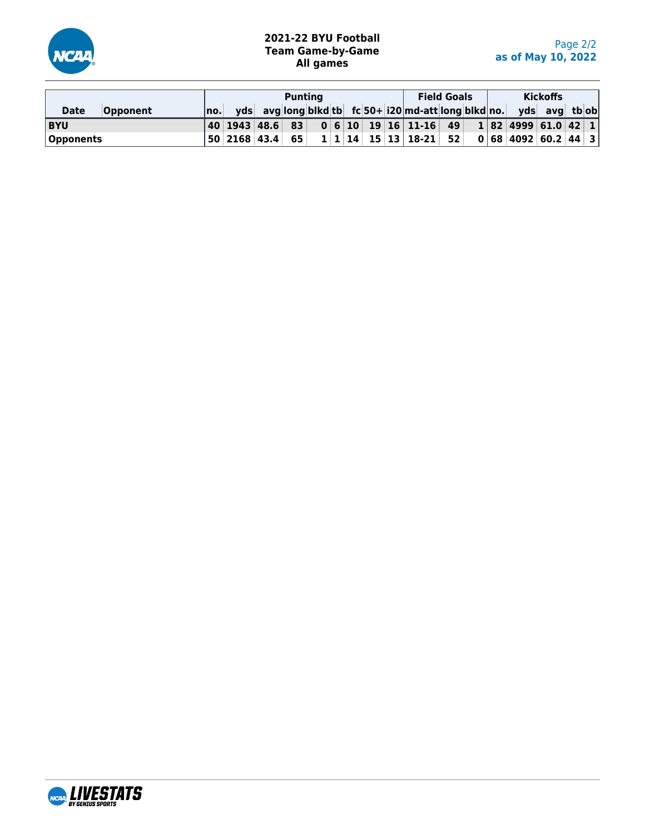

# **2021-22 BYU Football Team Game-by-Game All games**

|                                |       |  | <b>Punting</b> |  |  |                                                                    | <b>Field Goals</b> |  | <b>Kickoffs</b> |  |
|--------------------------------|-------|--|----------------|--|--|--------------------------------------------------------------------|--------------------|--|-----------------|--|
| <b>Opponent</b><br><b>Date</b> | ∣no.⊧ |  |                |  |  | yds avg long blkd tb fc 50+ i20 md-att long blkd no. yds avg tb ob |                    |  |                 |  |
| <b>BYU</b>                     |       |  |                |  |  | $ 40 $ 1943 48.6 83 0 6 10 19 16 11-16 49 1 82 4999 61.0 42 1      |                    |  |                 |  |
| Opponents                      |       |  |                |  |  |                                                                    |                    |  |                 |  |

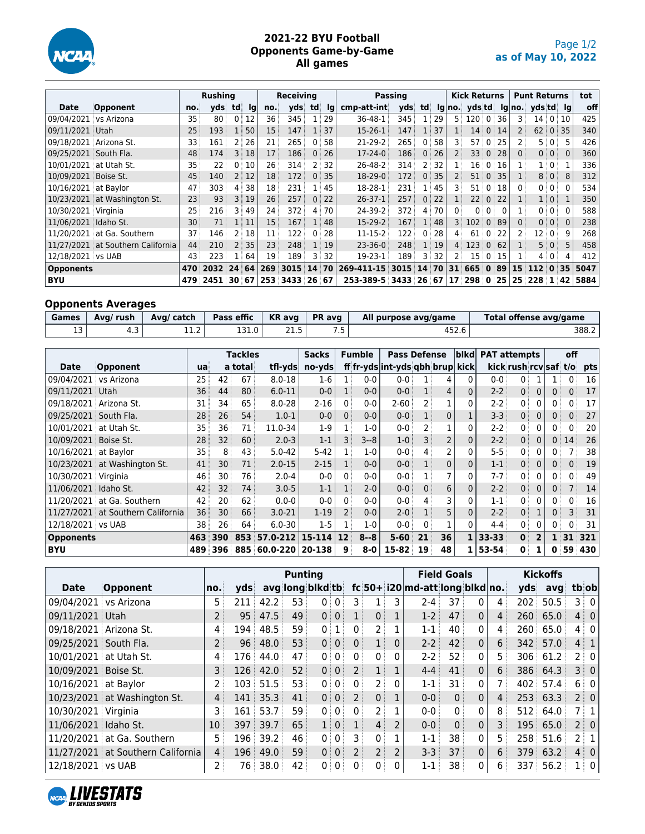

#### **2021-22 BYU Football Opponents Game-by-Game All games**

|                       |                                   |     | <b>Rushing</b> |                |          |     | <b>Receiving</b> |            |      |               | Passing |                |    |                | <b>Kick Returns</b> |                |                     |                 | <b>Punt Returns</b> |                     |          | tot  |
|-----------------------|-----------------------------------|-----|----------------|----------------|----------|-----|------------------|------------|------|---------------|---------|----------------|----|----------------|---------------------|----------------|---------------------|-----------------|---------------------|---------------------|----------|------|
| Date                  | Opponent                          | no. | vdsi           | td             | Ig       | no. | vds              | td         | lq   | cmp-att-int   | vds     | td             |    |                | $lg no.$ yds td     |                |                     |                 | lg no. yds td lg    |                     |          | off  |
| 09/04/2021            | vs Arizona                        | 35  | 80             | 0              | 12       | 36  | 345              |            | 29   | 36-48-1       | 345     | 1              | 29 |                | $5 \ 120 \ 0$       |                | 36                  | 3               |                     | 14010               |          | 425  |
| 09/11/2021 Utah       |                                   | 25  | 193            | 1 <sup>1</sup> | 50       | 15  | 147              |            | 1:37 | $15-26-1$     | 147     | 1 <sup>1</sup> | 37 |                |                     |                | 14 0 14             | $\overline{2}$  |                     | $62 \mid 0 \mid 35$ |          | 340  |
|                       | 09/18/2021 Arizona St.            | 33  | 161            |                | 26       | 21  | 265              |            | 58   | 21-29-2       | 265     | $\mathbf{0}$   | 58 | 3              | $57°$ 0             |                | 25                  | 2               | 5 :                 | $\mathbf{0}$        | 5        | 426  |
| 09/25/2021 South Fla. |                                   | 48  | 174            |                | 3 18     | 17  | 186              | 0          | 26   | $17 - 24 - 0$ | 186     | $\Omega$       | 26 |                | 33 <sup>3</sup>     | $\Omega$       | 28                  | $\Omega$        |                     | 0:0:                | $\Omega$ | 360  |
|                       | 10/01/2021 at Utah St.            | 35  | 22             |                | 10       | 26  | 314              |            | 32   | 26-48-2       | 314     | 2 <sup>3</sup> | 32 |                | 16 <sup>1</sup>     | $\Omega$       | 16                  |                 |                     | $1 \vert 0 \vert$   |          | 336  |
| 10/09/2021 Boise St.  |                                   | 45  | 140            |                | 2:12     | 18  | 172              | $\Omega$ : | 35   | 18-29-0       | 172     | 0 <sup>1</sup> | 35 |                |                     |                | $51 \mid 0 \mid 35$ | 1               |                     | 8 0                 | 8        | 312  |
| 10/16/2021 at Baylor  |                                   | 47  | 303            | 4              | 38       | 18  | 231              |            | 45   | 18-28-1       | 231     | $\mathbf{1}$   | 45 | 3              | 51 <sub>0</sub>     |                | 18                  | $\mathbf{0}$    |                     | 0:0:                | $\Omega$ | 534  |
|                       | 10/23/2021 at Washington St.      | 23  | 93             | 3 <sup>1</sup> | 19       | 26  | 257              | $\Omega$   | 22   | $26 - 37 - 1$ | 257     | $\mathbf{0}$   | 22 |                | 22:                 | $\overline{0}$ | 22                  | $\mathbf{1}$    |                     | $1 \mid 0 \mid$     |          | 350  |
| 10/30/2021 Virginia   |                                   | 25  | 216            | 3.             | 49       | 24  | 372              | 4          | 70   | 24-39-2       | 372     | 4              | 70 | 0 <sup>1</sup> |                     | 0 <sub>0</sub> | 0                   | $1$ :           |                     | 0:0:                | 0        | 588  |
| 11/06/2021 Idaho St.  |                                   | 30  | 71             |                | $\pm$ 11 | 15  | 167              |            | 48   | $15-29-2$     | 167     | 1:             | 48 | $\overline{3}$ | 102                 | $\Omega$ :     | 89                  | $\Omega$        |                     | 0:0:                | $\Omega$ | 238  |
|                       | 11/20/2021 at Ga. Southern        | 37  | 146            | 2              | 18       | 11  | 122              | 0          | 28   | 11-15-2       | 122     | $\mathbf{0}$   | 28 | $\mathbf{4}$   | 61                  | $\Omega$       | 22                  | $\mathbf{2}$    |                     | $12 \mid 0 \mid$    | q        | 268  |
|                       | 11/27/2021 at Southern California | 44  | 210            | 2 <sup>1</sup> | 35       | 23  | 248              |            | 1:19 | $23 - 36 - 0$ | 248     | 1 <sup>3</sup> | 19 | 4:             | 123                 |                | 0:62                |                 |                     | 5 0                 | 5        | 458  |
| 12/18/2021 vs UAB     |                                   | 43  | 223            |                | 64       | 19  | 189              | 3          | 32   | 19-23-1       | 189     | 3              | 32 |                |                     |                | $15 \t0 \t15$       |                 |                     | 4:0:                | 4        | 412  |
| <b>Opponents</b>      |                                   | 470 | 2032           | 24             | 64       | 269 | 3015             | 14         | 70   | 269-411-15    | 3015    | 14             | 70 | 31             | 665                 | $\overline{0}$ | 89                  | 15 <sub>1</sub> | 112                 | 0                   | 35       | 5047 |
| <b>BYU</b>            |                                   | 479 | 2451           | 30 67          |          | 253 | 3433             | 26 67      |      | 253-389-5     | 3433    | ∶26            | 67 | 17             | 298:0               |                | 25                  | 25              | $228 \; 1$          |                     | 42       | 5884 |

# **Opponents Averages**

| Games | Avg/ rush | Ava/ catch  | Pass effic | <b>KR</b> avg | <b>PR</b> avg | All purpose avg/game | Total offense avg/game |
|-------|-----------|-------------|------------|---------------|---------------|----------------------|------------------------|
| ᅩ     | -         | ר י<br>⊥⊥.∠ | 131.0      | 21.5          |               | 452.U                | 388.2                  |

|                        |                              |     |                 | <b>Tackles</b> |              | <b>Sacks</b> |                 | <b>Fumble</b> | <b>Pass Defense</b>             |                       |                | blkd           | <b>PAT attempts</b> |                       |                |                | off |     |
|------------------------|------------------------------|-----|-----------------|----------------|--------------|--------------|-----------------|---------------|---------------------------------|-----------------------|----------------|----------------|---------------------|-----------------------|----------------|----------------|-----|-----|
| <b>Date</b>            | Opponent                     | ua  |                 | a total        | tfl-yds      | no-yds       |                 |               | ff fr-yds int-yds qbh brup kick |                       |                |                |                     | kick rush rcv saf t/o |                |                |     | pts |
| 09/04/2021 vs Arizona  |                              | 25. | 42              | 67             | $8.0 - 18$   | 1-6          |                 | $0-0$         | $0 - 0$                         | 1                     | 4              | 0              | $0 - 0$             | 0                     |                |                | 0   | 16  |
| 09/11/2021             | i Utah                       | 36  | 44              | 80             | $6.0 - 11$   | $0 - 0$      |                 | $0 - 0$       | $0-0$                           | 1                     | $\overline{4}$ | 0              | $2 - 2$             | 0 <sup>1</sup>        | $\Omega$       | 0 <sup>1</sup> | 0   | 17  |
| 09/18/2021             | Arizona St.                  | 31  | 34              | 65             | $8.0 - 28$   | $2 - 16$     | $\Omega$        | $0 - 0$       | $2 - 60$                        | $\mathbf{2}^{\prime}$ | 1              | 0              | $2 - 2$             | 0                     | 0              | 0 <sup>3</sup> | 0   | 17  |
| 09/25/2021             | South Fla.                   | 28  | 26 <sup>1</sup> | 54             | $1.0 - 1$    | $0-0$        | 0               | $0 - 0$       | $0 - 0$                         |                       | 0              |                | $3 - 3$             | 0 <sup>1</sup>        | $\Omega$       | 0 <sup>1</sup> | 0   | 27  |
| 10/01/2021             | at Utah St.                  | 35  | 36              | 71             | 11.0-34      | $1-9$        |                 | $1 - 0$       | $0-0$                           | $\overline{2}$        |                | 0              | $2 - 2$             | 0                     | 0              | 0 <sup>1</sup> | 0   | 20  |
| 10/09/2021 Boise St.   |                              | 28  | 32              | 60             | $2.0 - 3$    | $1 - 1$      |                 | $3 - 8$       | $1 - 0$                         | 3                     | 2              | 0              | $2 - 2$             | 0 <sup>1</sup>        | $\mathbf{0}$   | 0              | 14  | 26  |
| 10/16/2021             | at Bavlor                    | 35  | 8               | 43             | $5.0 - 42$   | $5 - 42$     |                 | $1-0$         | $0-0$                           | $\overline{4}$        | 2              | 0              | $5 - 5$             | 0                     | 0              | 0              |     | 38  |
|                        | 10/23/2021 at Washington St. | 41  | 30 <sup>3</sup> | 71             | $2.0 - 15$   | $2 - 15$     |                 | $0 - 0$       | $0 - 0$                         | 1                     | 0              | $\Omega$       | $1 - 1$             | 0 <sup>1</sup>        | $\mathbf{0}$   | 0 <sup>1</sup> | 0   | 19  |
| 10/30/2021 Virginia    |                              | 46  | 30              | 76             | $2.0 - 4$    | $0-0$        | $\Omega$        | $0-0$         | $0 - 0$                         |                       | 7              | 0              | $7 - 7$             | $\mathbf{0}$          | 0              | $0^{\circ}$    | 0   | 49  |
| 11/06/2021   Idaho St. |                              | 42  | 32              | 74             | $3.0 - 5$    | $1 - 1$      |                 | $2 - 0$       | $0-0$                           | 0 <sup>1</sup>        | 6              | $\mathbf{0}$   | $2 - 2$             | 0 <sup>1</sup>        | $\mathbf{0}$   | 0 <sup>1</sup> |     | 14  |
| 11/20/2021             | at Ga. Southern              | 42  | 20              | 62             | $0.0 - 0$    | $0-0$        | $\Omega$        | $0 - 0$       | $0-0$                           | 4 <sup>1</sup>        | 3              | 0              | $1 - 1$             | 0                     | 0              | $0^{\circ}$    | 0   | 16  |
| 11/27/2021             | at Southern California       | 36  | 30              | 66             | $3.0 - 21$   | $1 - 19$     |                 | $0-0$         | $2 - 0$                         | $\mathbf{1}$          | 5              | $\overline{0}$ | $2 - 2$             | 0 <sup>1</sup>        |                | 0:             | 3   | 31  |
| 12/18/2021 vs UAB      |                              | 38  | 26 <sup>3</sup> | 64             | $6.0 - 30$   | $1-5$        |                 | $1-0$         | $0 - 0$                         | $\Omega$              |                | 0              | $4 - 4$             | 0 <sup>1</sup>        | 0              | 0 <sup>1</sup> | 0   | 31  |
| <b>Opponents</b>       |                              | 463 | 390             | 853            | 57.0-212     | 15-114       | 12 <sup>2</sup> | $8 - 8$       | $5 - 60$                        | 21                    | 36             | 1              | $33 - 33$           | $\mathbf{0}$          | $\overline{2}$ |                | 31  | 321 |
| BYU                    |                              | 489 | 396             |                | 885 60.0-220 | 20-138       | 9               | $8-0$         | $15 - 82$                       | 19                    | 48             | 1              | 53-54               | $\mathbf{0}$          |                | 0              | 59  | 430 |

|                        |                                   |                   |       |      | <b>Punting</b> |                  |                |                |                |                |                                       | <b>Field Goals</b> |              |                   |       | <b>Kickoffs</b> |                 |
|------------------------|-----------------------------------|-------------------|-------|------|----------------|------------------|----------------|----------------|----------------|----------------|---------------------------------------|--------------------|--------------|-------------------|-------|-----------------|-----------------|
| <b>Date</b>            | Opponent                          | no.               | vds   |      |                | avg long blkd tb |                |                |                |                | $fc 50+ 120 $ md-att $ long blkd no.$ |                    |              |                   | vds   | avq             | tbiobl          |
| 09/04/2021             | vs Arizona                        | 5.                | 211   | 42.2 | 53             | 0:0:             |                | 3 :            |                | 3              | $2 - 4$                               | 37                 | $\Omega$     | 4                 | 202   | 50.5            | $3 \mid 0 \mid$ |
| 09/11/2021 Utah        |                                   | $2^{\frac{1}{2}}$ | 95    | 47.5 | 49             | 0 0              |                | $1$ :          | 0 <sup>1</sup> | 1              | $1-2$                                 | 47                 | $\mathbf{0}$ | 4                 |       | 260   65.0      | $4 \div 0$      |
| 09/18/2021 Arizona St. |                                   | 4                 | 194 i | 48.5 | 59             | 0 <sup>1</sup>   | 1              | 0              |                |                | $1 - 1$                               | 40                 | 0            | 4                 | 260   | 65.0            | 4   0           |
| 09/25/2021 South Fla.  |                                   | $\overline{2}$    | 96    | 48.0 | 53             | 0 0              |                | $\Omega$       |                | $\mathbf{0}$   | $2 - 2$                               | 42                 | $\Omega$     | 6                 | 342   | 57.0            | $4 \mid 1 \mid$ |
| 10/01/2021 at Utah St. |                                   | 4                 | 176   | 44.0 | 47             | 0 <sup>1</sup>   |                | 0:             | 0:             | 0              | $2-2$                                 | 52                 | $\mathbf{0}$ | 5.                |       | 306 61.2        | 2:0             |
| 10/09/2021 Boise St.   |                                   | 3                 | 126   | 42.0 | 52             | 0 0              |                | 2 <sup>1</sup> | 1 <sup>1</sup> | 1              | $4 - 4$                               | 41                 | $\Omega$     | 6                 |       | 386 64.3        | $3 \nvert 0$    |
| 10/16/2021 at Baylor   |                                   | 2                 | 103   | 51.5 | 53             | 0:               | 0:             | 0 <sup>1</sup> | 2 <sup>1</sup> | 0              | $1 - 1$                               | 31                 | $\mathbf{0}$ |                   |       | $402$ 57.4      | 6 0             |
|                        | 10/23/2021 at Washington St.      | 4                 | 141   | 35.3 | 41             | 0 0              |                | 2 <sup>1</sup> | 0 <sup>1</sup> | 1              | $0 - 0$                               | $\mathbf{0}$       | $\mathbf{0}$ | $\overline{4}$    |       | 253   63.3      | 2 0             |
| 10/30/2021 Virginia    |                                   | 3                 | 161   | 53.7 | 59             | 0:0:             |                | 0:             | 2:             |                | $0 - 0$                               | $\mathbf{0}$       | 0            | 8                 | 512:  | 64.0            | 7:1             |
| 11/06/2021 Idaho St.   |                                   | 10 <sup>°</sup>   | 397   | 39.7 | 65             | 1:0:             |                |                | 4 <sup>1</sup> | 2              | $0 - 0$                               | $\Omega$           | $\Omega$     | $\overline{3}$    |       | 195 65.0        | $2 \nvert 0$    |
|                        | 11/20/2021 at Ga. Southern        | 5                 | 196   | 39.2 | 46             | 0:               | 0 <sup>1</sup> | 3 :            | 0 <sup>1</sup> |                | $1 - 1$                               | 38                 | 0            | 5.                | 258 L | 51.6            | $2 \nmid 1$     |
|                        | 11/27/2021 at Southern California | 4                 | 196:  | 49.0 | 59             | 0 <sup>1</sup>   | $\overline{0}$ | 2:             | 2 <sup>1</sup> | $\overline{2}$ | $3 - 3$                               | 37                 | $\Omega$     | $6^{\frac{1}{3}}$ |       | 379 63.2        | $4 \pm 0$       |
| 12/18/2021 vs UAB      |                                   | 2                 | 76 :  | 38.0 | 42             | 0 <sup>1</sup>   | 0 <sup>1</sup> | 0:             | 0              | 0              | 1-1                                   | 38                 | 0            | 6                 |       | 337 56.2        | $1 \mid 0 \mid$ |

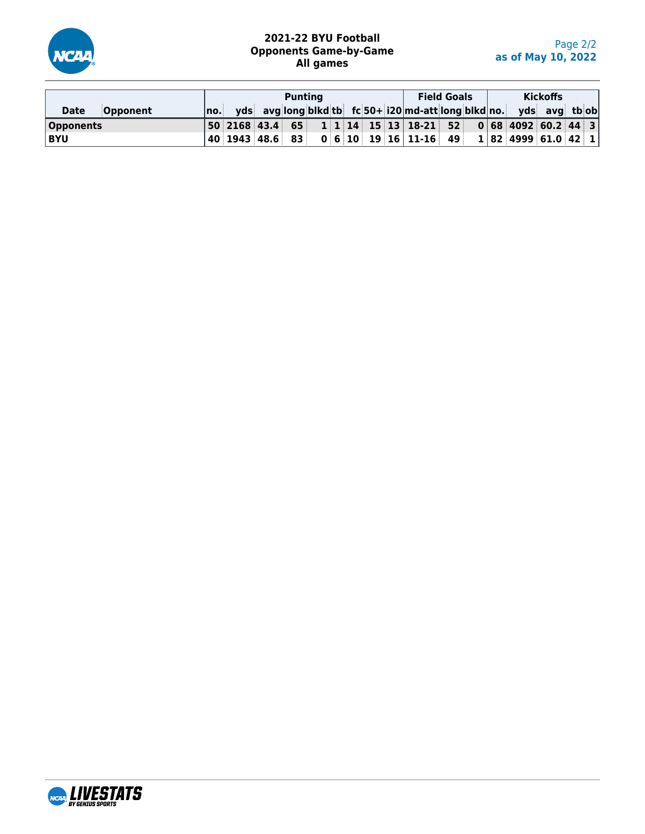

## **2021-22 BYU Football Opponents Game-by-Game All games**

|                         |     |  | <b>Puntina</b> |  |  |                                                                                                                                       | <b>Field Goals</b> |  |                     | <b>Kickoffs</b> |  |
|-------------------------|-----|--|----------------|--|--|---------------------------------------------------------------------------------------------------------------------------------------|--------------------|--|---------------------|-----------------|--|
| <b>Opponent</b><br>Date | no. |  |                |  |  | yds avg long blkd tb fc 50+ i20 md-att long blkd no. yds avg tb ob                                                                    |                    |  |                     |                 |  |
| <b>Opponents</b>        |     |  |                |  |  | $ 50 $ 2168 43.4 65 1 1 1 4 15 13 18-21 52 0 68 4092 60.2 44 3                                                                        |                    |  |                     |                 |  |
| <b>BYU</b>              |     |  |                |  |  | $\vert$ 40 $\vert$ 1943 $\vert$ 48.6 $\vert$ 83 $\vert$ 0 $\vert$ 6 $\vert$ 10 $\vert$ 19 $\vert$ 16 $\vert$ 11-16 $\vert$ 49 $\vert$ |                    |  | 1 82 4999 61.0 42 1 |                 |  |

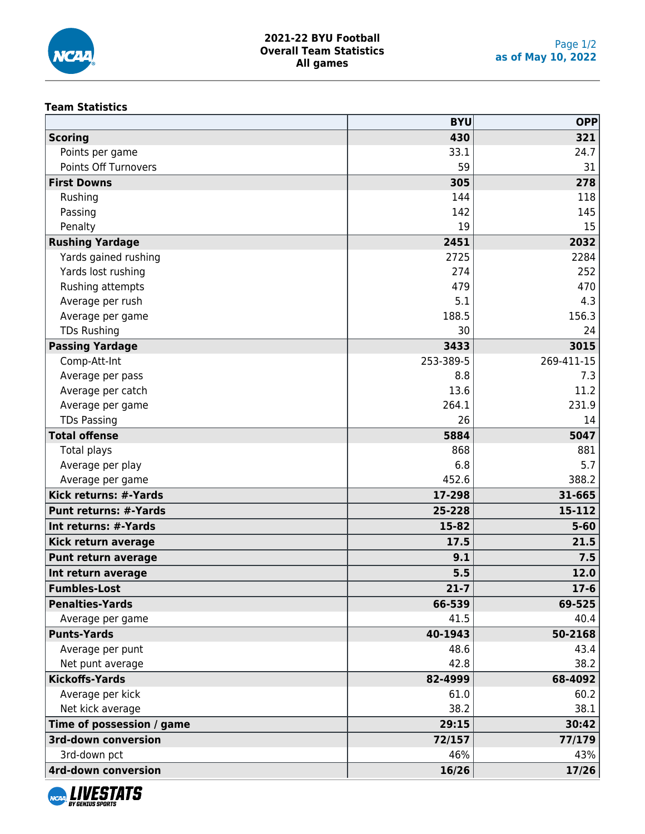

### **Team Statistics**

|                              | <b>BYU</b> | <b>OPP</b> |
|------------------------------|------------|------------|
| <b>Scoring</b>               | 430        | 321        |
| Points per game              | 33.1       | 24.7       |
| <b>Points Off Turnovers</b>  | 59         | 31         |
| <b>First Downs</b>           | 305        | 278        |
| Rushing                      | 144        | 118        |
| Passing                      | 142        | 145        |
| Penalty                      | 19         | 15         |
| <b>Rushing Yardage</b>       | 2451       | 2032       |
| Yards gained rushing         | 2725       | 2284       |
| Yards lost rushing           | 274        | 252        |
| Rushing attempts             | 479        | 470        |
| Average per rush             | 5.1        | 4.3        |
| Average per game             | 188.5      | 156.3      |
| <b>TDs Rushing</b>           | 30         | 24         |
| <b>Passing Yardage</b>       | 3433       | 3015       |
| Comp-Att-Int                 | 253-389-5  | 269-411-15 |
| Average per pass             | 8.8        | 7.3        |
| Average per catch            | 13.6       | 11.2       |
| Average per game             | 264.1      | 231.9      |
| <b>TDs Passing</b>           | 26         | 14         |
| <b>Total offense</b>         | 5884       | 5047       |
| Total plays                  | 868        | 881        |
| Average per play             | 6.8        | 5.7        |
| Average per game             | 452.6      | 388.2      |
| Kick returns: #-Yards        | 17-298     | 31-665     |
| <b>Punt returns: #-Yards</b> | 25-228     | 15-112     |
| Int returns: #-Yards         | 15-82      | $5 - 60$   |
| Kick return average          | 17.5       | 21.5       |
| Punt return average          | 9.1        | 7.5        |
| Int return average           | 5.5        | 12.0       |
| <b>Fumbles-Lost</b>          | $21 - 7$   | $17-6$     |
| <b>Penalties-Yards</b>       | 66-539     | 69-525     |
| Average per game             | 41.5       | 40.4       |
| <b>Punts-Yards</b>           | 40-1943    | 50-2168    |
| Average per punt             | 48.6       | 43.4       |
| Net punt average             | 42.8       | 38.2       |
| <b>Kickoffs-Yards</b>        | 82-4999    | 68-4092    |
| Average per kick             | 61.0       | 60.2       |
| Net kick average             | 38.2       | 38.1       |
| Time of possession / game    | 29:15      | 30:42      |
| <b>3rd-down conversion</b>   | 72/157     | 77/179     |
| 3rd-down pct                 | 46%        | 43%        |
| <b>4rd-down conversion</b>   | 16/26      | 17/26      |
|                              |            |            |

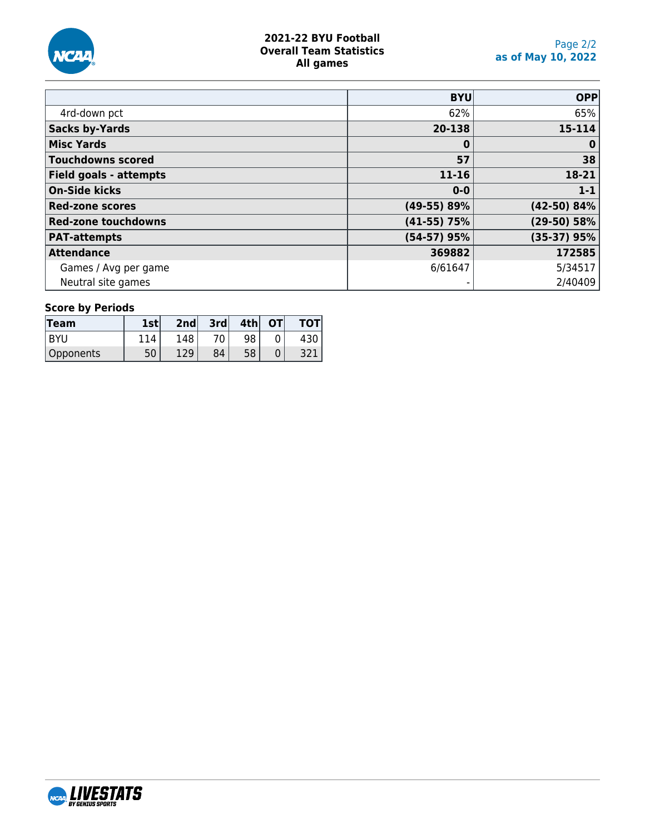

### **2021-22 BYU Football Overall Team Statistics All games**

|                            | <b>BYU</b>    | <b>OPP</b>    |
|----------------------------|---------------|---------------|
| 4rd-down pct               | 62%           | 65%           |
| <b>Sacks by-Yards</b>      | 20-138        | 15-114        |
| <b>Misc Yards</b>          | $\bf{0}$      | $\bf{0}$      |
| <b>Touchdowns scored</b>   | 57            | 38            |
| Field goals - attempts     | $11 - 16$     | 18-21         |
| <b>On-Side kicks</b>       | $0 - 0$       | $1 - 1$       |
| <b>Red-zone scores</b>     | $(49-55) 89%$ | $(42-50)$ 84% |
| <b>Red-zone touchdowns</b> | $(41-55)$ 75% | $(29-50) 58%$ |
| <b>PAT-attempts</b>        | $(54-57)$ 95% | $(35-37)$ 95% |
| <b>Attendance</b>          | 369882        | 172585        |
| Games / Avg per game       | 6/61647       | 5/34517       |
| Neutral site games         |               | 2/40409       |

# **Score by Periods**

| Team      | <b>1stl</b> | 2nd | 3rd | 4th | OТ |  |
|-----------|-------------|-----|-----|-----|----|--|
| BYU       |             | 148 | 70  | 98  |    |  |
| Opponents | 50          | 12Q | 84  | 58  |    |  |

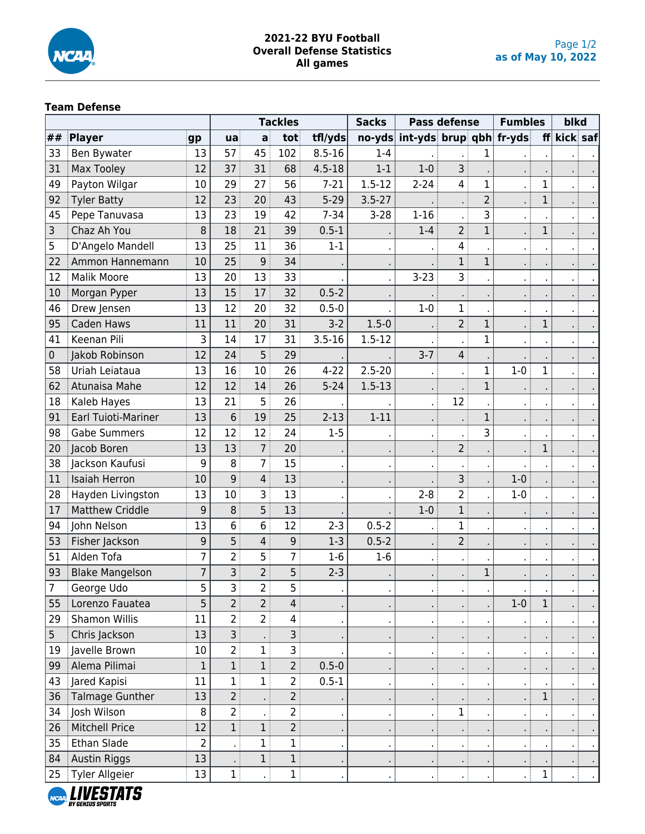

### **2021-22 BYU Football Overall Defense Statistics All games**

## **Team Defense**

|                |                            |                |                |                | <b>Tackles</b>    |            | <b>Sacks</b>   | Pass defense                                 |                | <b>Fumbles</b> |       | blkd         |          |  |
|----------------|----------------------------|----------------|----------------|----------------|-------------------|------------|----------------|----------------------------------------------|----------------|----------------|-------|--------------|----------|--|
| ##             | Player                     | gp             | ua             | a              | tot               | tfl/yds    |                | $\frac{1}{2}$ no-yds int-yds brup qbh fr-yds |                |                |       | ff           | kick saf |  |
| 33             | Ben Bywater                | 13             | 57             | 45             | 102               | $8.5 - 16$ | $1 - 4$        |                                              |                | 1              |       |              |          |  |
| 31             | <b>Max Tooley</b>          | 12             | 37             | 31             | 68                | $4.5 - 18$ | $1 - 1$        | $1-0$                                        | 3              |                |       |              |          |  |
| 49             | Payton Wilgar              | 10             | 29             | 27             | 56                | $7 - 21$   | $1.5 - 12$     | $2 - 24$                                     | 4 <sup>1</sup> | $\mathbf 1$    |       | $\mathbf 1$  |          |  |
| 92             | <b>Tyler Batty</b>         | 12             | 23             | 20             | 43                | $5 - 29$   | $3.5 - 27$     |                                              |                | $\overline{c}$ |       | $\mathbf 1$  |          |  |
| 45             | Pepe Tanuvasa              | 13             | 23             | 19             | 42                | $7 - 34$   | $3 - 28$       | $1 - 16$                                     |                | 3              |       |              |          |  |
| 3              | Chaz Ah You                | 8              | 18             | 21             | 39                | $0.5 - 1$  |                | $1 - 4$                                      | 2 <sup>1</sup> | $\mathbf{1}$   |       | $\mathbf 1$  |          |  |
| 5              | D'Angelo Mandell           | 13             | 25             | 11             | 36                | $1 - 1$    |                |                                              | 4              |                |       |              |          |  |
| 22             | Ammon Hannemann            | 10             | 25             | 9              | 34                |            |                |                                              | $\mathbf{1}$   | $\mathbf{1}$   |       |              |          |  |
| 12             | <b>Malik Moore</b>         | 13             | 20             | 13             | 33                |            |                | $3 - 23$                                     | 3 <sup>1</sup> |                |       |              |          |  |
| 10             | Morgan Pyper               | 13             | 15             | 17             | 32                | $0.5 - 2$  |                |                                              |                |                |       |              |          |  |
| 46             | Drew Jensen                | 13             | 12             | 20             | 32                | $0.5 - 0$  |                | $1-0$                                        | 1              |                |       |              |          |  |
| 95             | Caden Haws                 | 11             | 11             | 20             | 31                | $3-2$      | $1.5 - 0$      |                                              | 2 <sup>1</sup> | $\mathbf{1}$   |       | $\mathbf{1}$ |          |  |
| 41             | Keenan Pili                | 3              | 14             | 17             | 31                | $3.5 - 16$ | $1.5 - 12$     |                                              | $\blacksquare$ | $\mathbf 1$    |       |              |          |  |
| $\pmb{0}$      | Jakob Robinson             | 12             | 24             | 5              | 29                |            |                | $3 - 7$                                      | 4 <sup>1</sup> |                |       |              |          |  |
| 58             | Uriah Leiataua             | 13             | 16             | 10             | 26                | $4 - 22$   | $2.5 - 20$     |                                              | . .            | $\mathbf 1$    | $1-0$ | $\mathbf{1}$ |          |  |
| 62             | Atunaisa Mahe              | 12             | 12             | 14             | 26                | $5 - 24$   | $1.5 - 13$     |                                              |                | $\mathbf 1$    |       |              |          |  |
| 18             | Kaleb Hayes                | 13             | 21             | 5              | 26                |            |                |                                              | 12             |                |       |              |          |  |
| 91             | <b>Earl Tuioti-Mariner</b> | 13             | 6              | 19             | 25                | $2 - 13$   | $1 - 11$       |                                              |                | $\mathbf 1$    |       |              |          |  |
| 98             | <b>Gabe Summers</b>        | 12             | 12             | 12             | 24                | $1 - 5$    |                |                                              |                | 3              |       |              |          |  |
| 20             | Jacob Boren                | 13             | 13             | 7              | 20                |            |                |                                              | 2 <sup>1</sup> |                |       | $\mathbf{1}$ |          |  |
| 38             | Jackson Kaufusi            | 9              | 8              | $\overline{7}$ | 15                |            | $\cdot$        |                                              |                |                |       |              |          |  |
| 11             | <b>Isaiah Herron</b>       | 10             | 9              | $\overline{4}$ | 13                |            |                |                                              | 3 <sup>1</sup> |                | $1-0$ |              |          |  |
| 28             | Hayden Livingston          | 13             | 10             | 3              | 13                |            |                | $2 - 8$                                      | $\overline{2}$ |                | $1-0$ |              |          |  |
| 17             | <b>Matthew Criddle</b>     | 9              | 8              | 5              | 13                |            |                | $1 - 0$                                      | $1$ :          |                |       |              |          |  |
| 94             | John Nelson                | 13             | 6              | 6              | 12                | $2 - 3$    | $0.5 - 2$      |                                              | 1              |                |       |              |          |  |
| 53             | Fisher Jackson             | 9              | 5              | 4              | 9                 | $1-3$      | $0.5 - 2$      |                                              | 2 <sup>1</sup> |                |       |              |          |  |
| 51             | Alden Tofa                 | $\overline{7}$ | $\overline{2}$ | 5              | $\overline{7}$    | $1-6$      | $1-6$          |                                              | χł             |                |       |              |          |  |
| 93             | <b>Blake Mangelson</b>     | $\overline{7}$ | 3              | $\overline{2}$ | 5                 | $2 - 3$    |                |                                              |                | $\mathbf 1$    |       |              |          |  |
| $\overline{7}$ | George Udo                 | 5              | ३ ।            | $\overline{2}$ | 5                 |            |                |                                              |                |                |       |              |          |  |
| 55             | Lorenzo Fauatea            | 5              | $\overline{2}$ | 2 <sup>1</sup> | 4                 |            |                |                                              |                |                | $1-0$ | $\mathbf{1}$ |          |  |
| 29             | Shamon Willis              | 11             | $\overline{2}$ | 2 <sup>1</sup> | 4                 |            |                |                                              |                |                |       |              |          |  |
| 5              | Chris Jackson              | 13             | 3              |                | 3                 |            |                |                                              |                |                |       |              |          |  |
| 19             | Javelle Brown              | 10             | $\overline{2}$ | 1              | 3                 |            |                |                                              |                |                |       |              |          |  |
| 99             | Alema Pilimai              | $\mathbf{1}$   | $\mathbf{1}$   | 1              | $2^{\frac{1}{2}}$ | $0.5 - 0$  |                |                                              |                |                |       |              |          |  |
| 43             | Jared Kapisi               | 11             | $\mathbf{1}$   | $\mathbf 1$    | $\overline{2}$    | $0.5 - 1$  |                |                                              |                |                |       |              |          |  |
| 36             | <b>Talmage Gunther</b>     | 13             | $\overline{2}$ |                | $\overline{2}$    |            |                |                                              |                |                |       | $\mathbf 1$  |          |  |
| 34             | Josh Wilson                | 8              | $\overline{2}$ |                | 2                 |            | $\blacksquare$ | $\cdot$ :                                    | $\mathbf{1}$   |                |       |              |          |  |
| 26             | <b>Mitchell Price</b>      | 12             | $\mathbf{1}$   | 1              | $\overline{2}$    |            |                | $\mathbf{r}$ .                               |                |                |       |              |          |  |
| 35             | Ethan Slade                | $\overline{2}$ |                | 1              | 1                 |            | $\blacksquare$ | л. (                                         |                |                |       |              |          |  |
| 84             | <b>Austin Riggs</b>        | 13             |                | 1              | 1                 |            |                | × 3                                          |                |                |       |              |          |  |
| 25             | Tyler Allgeier             | 13             | 1              |                | 1                 |            |                | χł                                           |                |                |       | 1            |          |  |

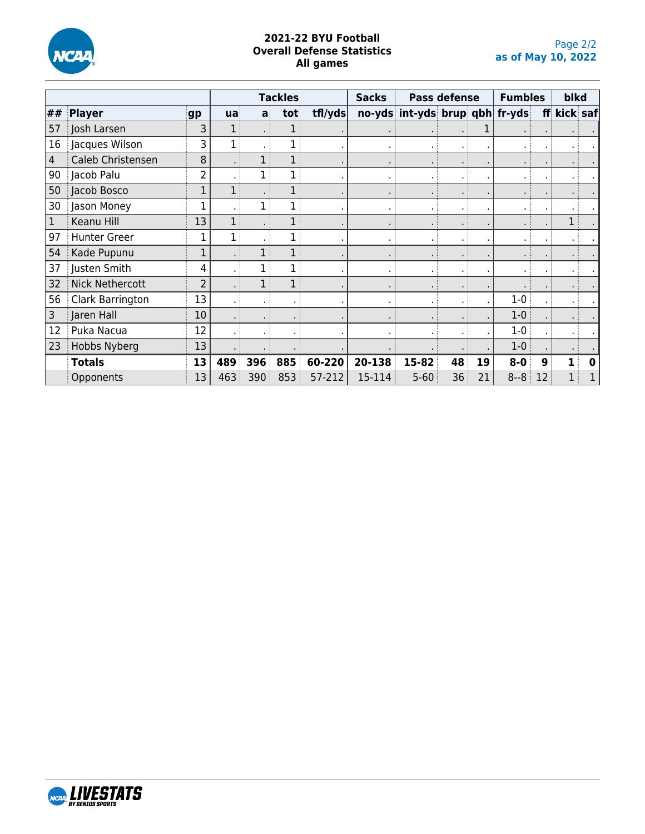

#### **2021-22 BYU Football Overall Defense Statistics All games**

|                |                        |                | <b>Tackles</b> |     | <b>Sacks</b> | <b>Pass defense</b> |         |                                | <b>Fumbles</b> | blkd |         |    |          |   |
|----------------|------------------------|----------------|----------------|-----|--------------|---------------------|---------|--------------------------------|----------------|------|---------|----|----------|---|
| ##             | Player                 | gp             | ua             | a   | tot          | tfl/yds             |         | no-yds int-yds brup qbh fr-yds |                |      |         | f  | kick saf |   |
| 57             | Josh Larsen            | 3              |                |     |              |                     |         |                                |                |      |         |    |          |   |
| 16             | Jacques Wilson         | 3              |                |     |              |                     |         | ٠                              |                |      |         |    |          |   |
| $\overline{4}$ | Caleb Christensen      | 8              |                |     |              |                     |         |                                |                |      |         |    |          |   |
| 90             | Jacob Palu             | 2              |                | 1   | 1            |                     |         | ٠                              |                |      |         |    |          |   |
| 50             | Jacob Bosco            | 1              |                |     |              |                     |         | ٠                              |                |      |         |    |          |   |
| 30             | Jason Money            |                |                |     |              |                     |         | ٠                              |                |      |         |    |          |   |
| 1              | Keanu Hill             | 13             |                |     |              |                     | $\cdot$ | ٠.                             | $\blacksquare$ |      |         |    | 1        |   |
| 97             | <b>Hunter Greer</b>    |                |                |     | $\mathbf 1$  |                     |         | $\blacksquare$                 |                |      |         |    |          |   |
| 54             | Kade Pupunu            | 1              |                |     | 1            |                     |         | ٠                              |                |      |         |    |          |   |
| 37             | Justen Smith           | 4              |                |     |              |                     | $\cdot$ | $\bullet$                      | ٠              |      |         |    |          |   |
| 32             | <b>Nick Nethercott</b> | $\overline{2}$ |                | 1   |              |                     |         | ٠                              |                |      |         |    |          |   |
| 56             | Clark Barrington       | 13             |                |     |              |                     |         | ٠                              |                |      | $1 - 0$ |    |          |   |
| 3              | Jaren Hall             | 10             |                |     |              |                     |         |                                |                |      | $1-0$   |    |          |   |
| 12             | Puka Nacua             | 12             |                |     |              |                     |         |                                |                |      | $1-0$   |    |          |   |
| 23             | Hobbs Nyberg           | 13             |                |     |              |                     |         |                                |                |      | $1-0$   |    |          |   |
|                | <b>Totals</b>          | 13             | 489            | 396 | 885          | 60-220              | 20-138  | 15-82                          | 48             | 19   | $8 - 0$ | 9  |          | O |
|                | Opponents              | 13             | 463            | 390 | 853          | 57-212              | 15-114  | $5 - 60$                       | 36             | 21   | $8 - 8$ | 12 |          |   |

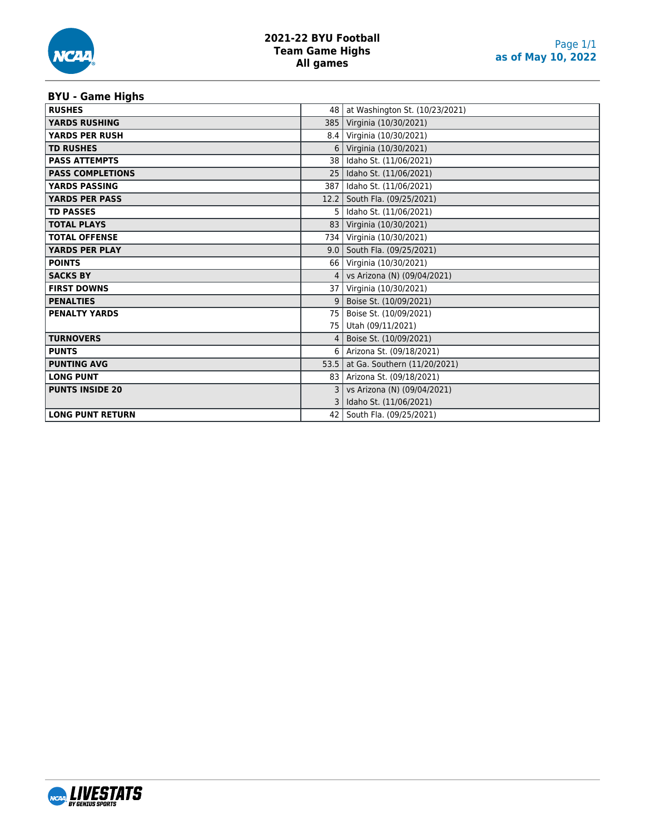# **BYU - Game Highs**

| <b>RUSHES</b>           | 48              | at Washington St. (10/23/2021) |
|-------------------------|-----------------|--------------------------------|
| <b>YARDS RUSHING</b>    | 385             | Virginia (10/30/2021)          |
| <b>YARDS PER RUSH</b>   | 8.4             | Virginia (10/30/2021)          |
| <b>TD RUSHES</b>        | 6               | Virginia (10/30/2021)          |
| <b>PASS ATTEMPTS</b>    | 38 <sup>1</sup> | Idaho St. (11/06/2021)         |
| <b>PASS COMPLETIONS</b> | 25              | Idaho St. (11/06/2021)         |
| <b>YARDS PASSING</b>    | 387             | Idaho St. (11/06/2021)         |
| <b>YARDS PER PASS</b>   | 12.2            | South Fla. (09/25/2021)        |
| <b>TD PASSES</b>        | 5.              | Idaho St. (11/06/2021)         |
| <b>TOTAL PLAYS</b>      | 83              | Virginia (10/30/2021)          |
| <b>TOTAL OFFENSE</b>    | 734             | Virginia (10/30/2021)          |
| <b>YARDS PER PLAY</b>   | 9.0             | South Fla. (09/25/2021)        |
| <b>POINTS</b>           | 66              | Virginia (10/30/2021)          |
| <b>SACKS BY</b>         | 4               | vs Arizona (N) (09/04/2021)    |
| <b>FIRST DOWNS</b>      | 37 <sup>1</sup> | Virginia (10/30/2021)          |
| <b>PENALTIES</b>        | 9               | Boise St. (10/09/2021)         |
| <b>PENALTY YARDS</b>    | 75              | Boise St. (10/09/2021)         |
|                         | 75              | Utah (09/11/2021)              |
| <b>TURNOVERS</b>        | 4               | Boise St. (10/09/2021)         |
| <b>PUNTS</b>            | 6               | Arizona St. (09/18/2021)       |
| <b>PUNTING AVG</b>      | 53.5            | at Ga. Southern (11/20/2021)   |
| <b>LONG PUNT</b>        | 83              | Arizona St. (09/18/2021)       |
| <b>PUNTS INSIDE 20</b>  |                 | vs Arizona (N) (09/04/2021)    |
|                         |                 | Idaho St. (11/06/2021)         |
| <b>LONG PUNT RETURN</b> | 42              | South Fla. (09/25/2021)        |

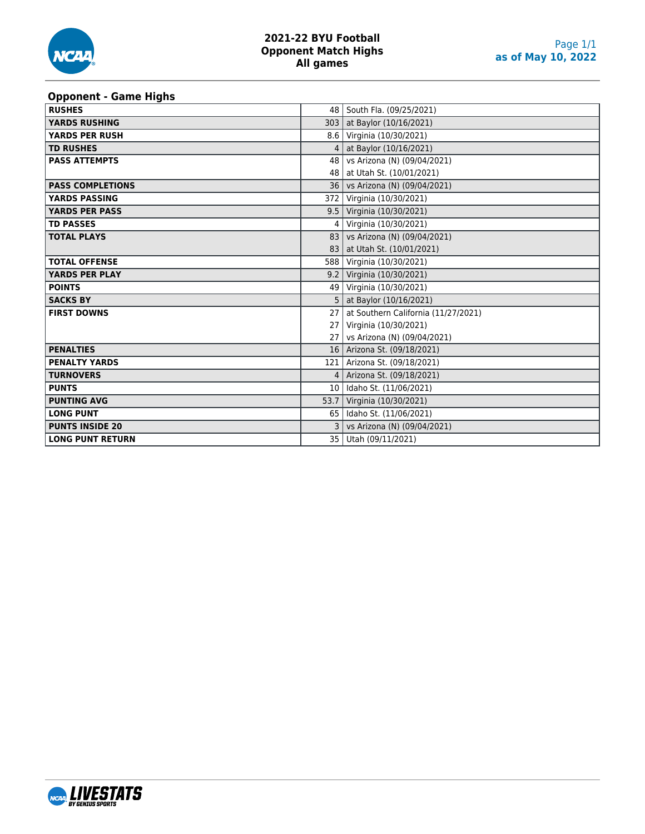

#### **Opponent - Game Highs**

| <b>RUSHES</b>           |                 | 48   South Fla. (09/25/2021)        |
|-------------------------|-----------------|-------------------------------------|
| <b>YARDS RUSHING</b>    | 303             | at Baylor (10/16/2021)              |
| <b>YARDS PER RUSH</b>   |                 | 8.6   Virginia (10/30/2021)         |
| <b>TD RUSHES</b>        | 4               | at Baylor (10/16/2021)              |
| <b>PASS ATTEMPTS</b>    | 48              | vs Arizona (N) (09/04/2021)         |
|                         | 48              | at Utah St. (10/01/2021)            |
| <b>PASS COMPLETIONS</b> | 36 l            | vs Arizona (N) (09/04/2021)         |
| <b>YARDS PASSING</b>    | 372             | Virginia (10/30/2021)               |
| <b>YARDS PER PASS</b>   |                 | 9.5   Virginia (10/30/2021)         |
| <b>TD PASSES</b>        | 4               | Virginia (10/30/2021)               |
| <b>TOTAL PLAYS</b>      | 83              | vs Arizona (N) (09/04/2021)         |
|                         | 83              | at Utah St. (10/01/2021)            |
| <b>TOTAL OFFENSE</b>    | 588             | Virginia (10/30/2021)               |
| <b>YARDS PER PLAY</b>   |                 | 9.2 Virginia (10/30/2021)           |
| <b>POINTS</b>           |                 | 49 Virginia (10/30/2021)            |
| <b>SACKS BY</b>         |                 | at Baylor (10/16/2021)              |
| <b>FIRST DOWNS</b>      | 27              | at Southern California (11/27/2021) |
|                         | 27              | Virginia (10/30/2021)               |
|                         | 27 <sup>1</sup> | vs Arizona (N) (09/04/2021)         |
| <b>PENALTIES</b>        |                 | 16   Arizona St. (09/18/2021)       |
| <b>PENALTY YARDS</b>    | 121             | Arizona St. (09/18/2021)            |
| <b>TURNOVERS</b>        | 4               | Arizona St. (09/18/2021)            |
| <b>PUNTS</b>            | 10 <sup>1</sup> | Idaho St. (11/06/2021)              |
| <b>PUNTING AVG</b>      | 53.7            | Virginia (10/30/2021)               |
| <b>LONG PUNT</b>        | 65              | Idaho St. (11/06/2021)              |
| <b>PUNTS INSIDE 20</b>  | 3               | vs Arizona (N) (09/04/2021)         |
| <b>LONG PUNT RETURN</b> | 35              | Utah (09/11/2021)                   |

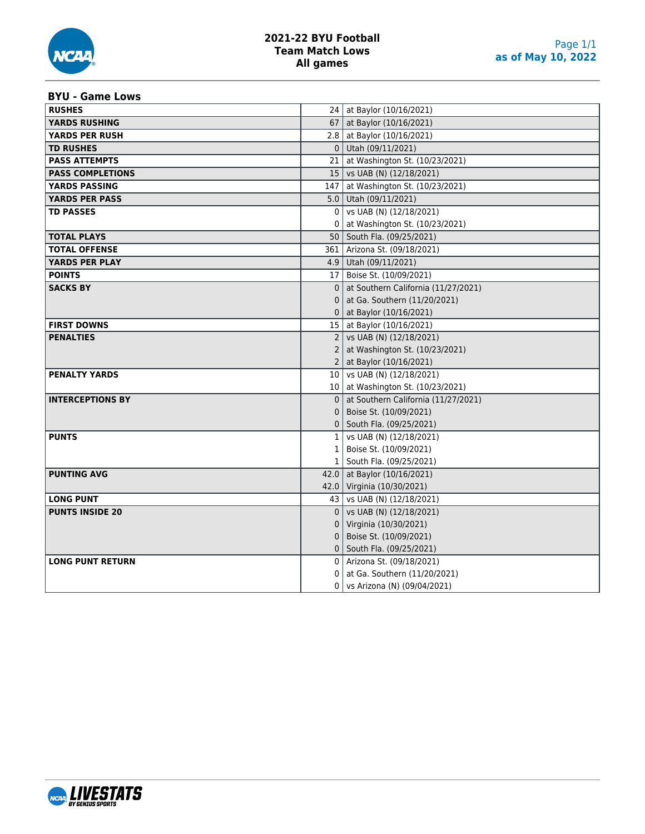

## **2021-22 BYU Football Team Match Lows All games**

#### **BYU - Game Lows**

| <b>RUSHES</b>           |                 | 24   at Baylor (10/16/2021)         |
|-------------------------|-----------------|-------------------------------------|
| <b>YARDS RUSHING</b>    |                 | 67   at Baylor (10/16/2021)         |
| <b>YARDS PER RUSH</b>   |                 | 2.8   at Baylor (10/16/2021)        |
| <b>TD RUSHES</b>        |                 | $0$ Utah (09/11/2021)               |
| <b>PASS ATTEMPTS</b>    | 21 <sub>1</sub> | at Washington St. (10/23/2021)      |
| <b>PASS COMPLETIONS</b> |                 | 15   vs UAB (N) (12/18/2021)        |
| <b>YARDS PASSING</b>    | 147             | at Washington St. (10/23/2021)      |
| <b>YARDS PER PASS</b>   |                 | 5.0   Utah (09/11/2021)             |
| <b>TD PASSES</b>        | 0               | vs UAB (N) (12/18/2021)             |
|                         | 0               | at Washington St. (10/23/2021)      |
| <b>TOTAL PLAYS</b>      | 50              | South Fla. (09/25/2021)             |
| <b>TOTAL OFFENSE</b>    |                 | 361   Arizona St. (09/18/2021)      |
| YARDS PER PLAY          |                 | 4.9   Utah (09/11/2021)             |
| <b>POINTS</b>           |                 | 17   Boise St. (10/09/2021)         |
| <b>SACKS BY</b>         | 0               | at Southern California (11/27/2021) |
|                         | 0               | at Ga. Southern (11/20/2021)        |
|                         | 0               | at Baylor (10/16/2021)              |
| <b>FIRST DOWNS</b>      |                 | 15   at Baylor (10/16/2021)         |
| <b>PENALTIES</b>        |                 | 2   vs UAB (N) $(12/18/2021)$       |
|                         | 2               | at Washington St. (10/23/2021)      |
|                         | $\overline{2}$  | at Baylor (10/16/2021)              |
| <b>PENALTY YARDS</b>    | 10 <sub>1</sub> | vs UAB (N) (12/18/2021)             |
|                         |                 | 10   at Washington St. (10/23/2021) |
| <b>INTERCEPTIONS BY</b> | $\Omega$        | at Southern California (11/27/2021) |
|                         | 0               | Boise St. (10/09/2021)              |
|                         |                 | 0   South Fla. (09/25/2021)         |
| <b>PUNTS</b>            |                 | $1$   vs UAB (N) (12/18/2021)       |
|                         | $\mathbf{1}$    | Boise St. (10/09/2021)              |
|                         |                 | 1   South Fla. (09/25/2021)         |
| <b>PUNTING AVG</b>      |                 | 42.0 at Baylor (10/16/2021)         |
|                         |                 | 42.0 Virginia (10/30/2021)          |
| <b>LONG PUNT</b>        |                 | 43   vs UAB (N) (12/18/2021)        |
| <b>PUNTS INSIDE 20</b>  | $\Omega$        | vs UAB (N) (12/18/2021)             |
|                         | 0               | Virginia (10/30/2021)               |
|                         | 0               | Boise St. (10/09/2021)              |
|                         |                 | 0   South Fla. (09/25/2021)         |
| <b>LONG PUNT RETURN</b> |                 | 0   Arizona St. (09/18/2021)        |
|                         | 0               | at Ga. Southern (11/20/2021)        |
|                         | 0               | vs Arizona (N) (09/04/2021)         |

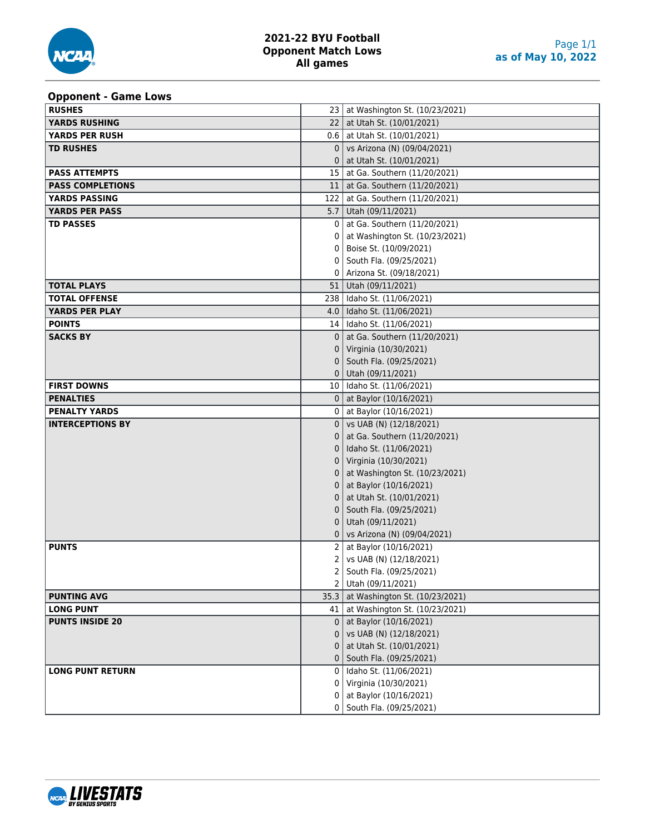#### **Opponent - Game Lows**

| - 11 - - - - - -<br><b>RUSHES</b> |              | 23 at Washington St. (10/23/2021)   |
|-----------------------------------|--------------|-------------------------------------|
| YARDS RUSHING                     |              | 22   at Utah St. (10/01/2021)       |
| YARDS PER RUSH                    |              | $0.6$   at Utah St. (10/01/2021)    |
| <b>TD RUSHES</b>                  | $\mathbf{0}$ | vs Arizona (N) (09/04/2021)         |
|                                   | 0            | at Utah St. (10/01/2021)            |
| <b>PASS ATTEMPTS</b>              |              | 15   at Ga. Southern (11/20/2021)   |
| <b>PASS COMPLETIONS</b>           |              | 11   at Ga. Southern (11/20/2021)   |
| <b>YARDS PASSING</b>              |              | 122   at Ga. Southern (11/20/2021)  |
| <b>YARDS PER PASS</b>             |              | 5.7   Utah (09/11/2021)             |
| <b>TD PASSES</b>                  | 0            | at Ga. Southern (11/20/2021)        |
|                                   |              | at Washington St. (10/23/2021)      |
|                                   |              | Boise St. (10/09/2021)              |
|                                   | 0            | South Fla. (09/25/2021)             |
|                                   |              | Arizona St. (09/18/2021)            |
| <b>TOTAL PLAYS</b>                |              | 51   Utah (09/11/2021)              |
| <b>TOTAL OFFENSE</b>              |              | 238   Idaho St. (11/06/2021)        |
| <b>YARDS PER PLAY</b>             |              | 4.0 daho St. (11/06/2021)           |
| <b>POINTS</b>                     |              | 14   Idaho St. (11/06/2021)         |
| <b>SACKS BY</b>                   | $\Omega$     | at Ga. Southern (11/20/2021)        |
|                                   | 0            | Virginia (10/30/2021)               |
|                                   | 0            | South Fla. (09/25/2021)             |
|                                   |              | $0$ Utah (09/11/2021)               |
| <b>FIRST DOWNS</b>                |              | 10   Idaho St. (11/06/2021)         |
| <b>PENALTIES</b>                  |              | 0   at Baylor $(10/16/2021)$        |
| <b>PENALTY YARDS</b>              |              | 0   at Baylor (10/16/2021)          |
| <b>INTERCEPTIONS BY</b>           |              | $0$   vs UAB (N) (12/18/2021)       |
|                                   | 0            | at Ga. Southern (11/20/2021)        |
|                                   | 0            | Idaho St. (11/06/2021)              |
|                                   | 0            | Virginia (10/30/2021)               |
|                                   |              | at Washington St. (10/23/2021)      |
|                                   |              | at Baylor (10/16/2021)              |
|                                   |              | at Utah St. (10/01/2021)            |
|                                   | 0            | South Fla. (09/25/2021)             |
|                                   | 0            | Utah (09/11/2021)                   |
|                                   | 0            | vs Arizona (N) (09/04/2021)         |
| <b>PUNTS</b>                      | 2            | at Baylor (10/16/2021)              |
|                                   | 2            | vs UAB (N) (12/18/2021)             |
|                                   | 2            | South Fla. (09/25/2021)             |
|                                   |              | 2 Utah (09/11/2021)                 |
| <b>PUNTING AVG</b>                | 35.3         | at Washington St. (10/23/2021)      |
| <b>LONG PUNT</b>                  |              | 41   at Washington St. (10/23/2021) |
| <b>PUNTS INSIDE 20</b>            | $\Omega$     | at Baylor (10/16/2021)              |
|                                   |              | vs UAB (N) (12/18/2021)             |
|                                   |              | at Utah St. (10/01/2021)            |
|                                   |              | South Fla. (09/25/2021)             |
| <b>LONG PUNT RETURN</b>           | 0            | Idaho St. (11/06/2021)              |
|                                   | 0            | Virginia (10/30/2021)               |
|                                   | 0            | at Baylor (10/16/2021)              |
|                                   |              | 0   South Fla. (09/25/2021)         |

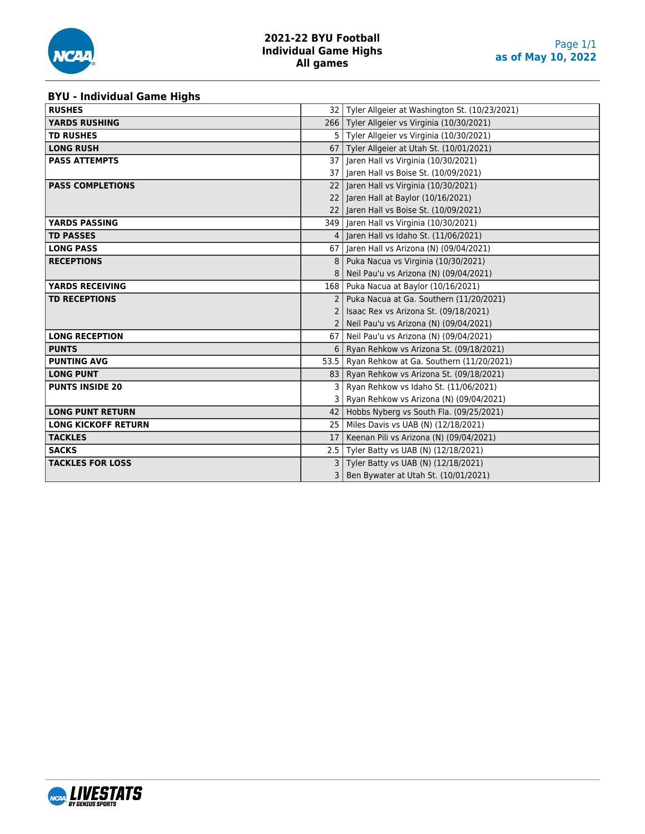

#### **BYU - Individual Game Highs**

| <b>RUSHES</b>              |               | 32   Tyler Allgeier at Washington St. (10/23/2021) |
|----------------------------|---------------|----------------------------------------------------|
| <b>YARDS RUSHING</b>       |               | 266   Tyler Allgeier vs Virginia (10/30/2021)      |
| <b>TD RUSHES</b>           | 5             | Tyler Allgeier vs Virginia (10/30/2021)            |
| <b>LONG RUSH</b>           |               | 67   Tyler Allgeier at Utah St. (10/01/2021)       |
| <b>PASS ATTEMPTS</b>       | 37 I          | Jaren Hall vs Virginia (10/30/2021)                |
|                            |               | 37   Jaren Hall vs Boise St. (10/09/2021)          |
| <b>PASS COMPLETIONS</b>    | 22            | Jaren Hall vs Virginia (10/30/2021)                |
|                            | 22            | Jaren Hall at Baylor (10/16/2021)                  |
|                            |               | 22 Jaren Hall vs Boise St. (10/09/2021)            |
| <b>YARDS PASSING</b>       |               | 349   Jaren Hall vs Virginia (10/30/2021)          |
| <b>TD PASSES</b>           |               | Jaren Hall vs Idaho St. (11/06/2021)               |
| <b>LONG PASS</b>           | 67            | Jaren Hall vs Arizona (N) (09/04/2021)             |
| <b>RECEPTIONS</b>          | 8             | Puka Nacua vs Virginia (10/30/2021)                |
|                            |               | Neil Pau'u vs Arizona (N) (09/04/2021)             |
| <b>YARDS RECEIVING</b>     | 168           | Puka Nacua at Baylor (10/16/2021)                  |
| <b>TD RECEPTIONS</b>       | $\mathcal{P}$ | Puka Nacua at Ga. Southern (11/20/2021)            |
|                            |               | Isaac Rex vs Arizona St. (09/18/2021)              |
|                            |               | Neil Pau'u vs Arizona (N) (09/04/2021)             |
| <b>LONG RECEPTION</b>      | 67            | Neil Pau'u vs Arizona (N) (09/04/2021)             |
| <b>PUNTS</b>               | 6             | Ryan Rehkow vs Arizona St. (09/18/2021)            |
| <b>PUNTING AVG</b>         | 53.5          | Ryan Rehkow at Ga. Southern (11/20/2021)           |
| <b>LONG PUNT</b>           | 83            | Ryan Rehkow vs Arizona St. (09/18/2021)            |
| <b>PUNTS INSIDE 20</b>     | 3             | Ryan Rehkow vs Idaho St. (11/06/2021)              |
|                            | 3             | Ryan Rehkow vs Arizona (N) (09/04/2021)            |
| <b>LONG PUNT RETURN</b>    | 42            | Hobbs Nyberg vs South Fla. (09/25/2021)            |
| <b>LONG KICKOFF RETURN</b> | 25            | Miles Davis vs UAB (N) (12/18/2021)                |
| <b>TACKLES</b>             | 17            | Keenan Pili vs Arizona (N) (09/04/2021)            |
| <b>SACKS</b>               |               | 2.5 Tyler Batty vs UAB (N) (12/18/2021)            |
| <b>TACKLES FOR LOSS</b>    | 3             | Tyler Batty vs UAB (N) (12/18/2021)                |
|                            | 3             | Ben Bywater at Utah St. (10/01/2021)               |

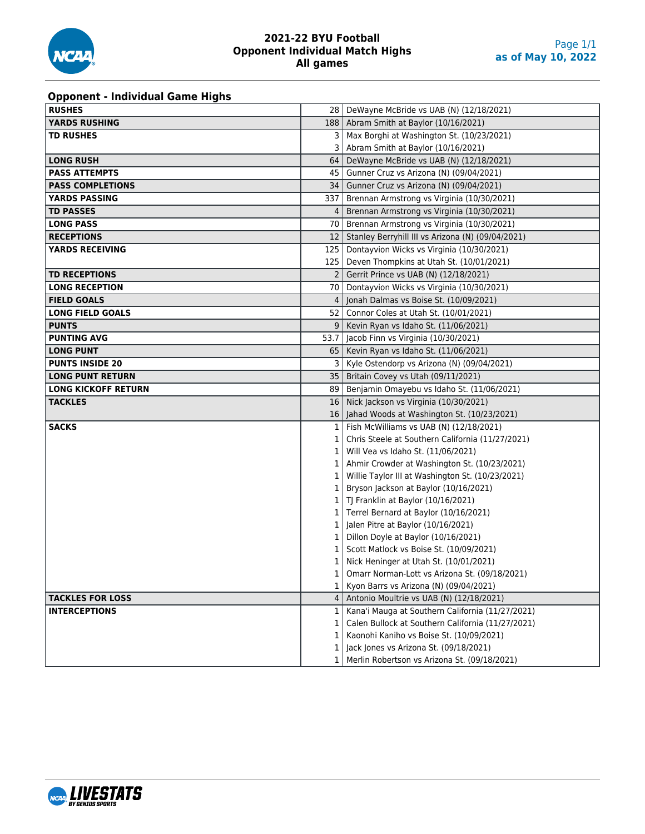

#### **2021-22 BYU Football Opponent Individual Match Highs All games**

# **Opponent - Individual Game Highs**

| <b>RUSHES</b>              |                | 28   DeWayne McBride vs UAB (N) (12/18/2021)                                           |
|----------------------------|----------------|----------------------------------------------------------------------------------------|
| <b>YARDS RUSHING</b>       |                | 188   Abram Smith at Baylor (10/16/2021)                                               |
| <b>TD RUSHES</b>           | 3              | Max Borghi at Washington St. (10/23/2021)                                              |
|                            | 3              | Abram Smith at Baylor (10/16/2021)                                                     |
| <b>LONG RUSH</b>           | 64             | DeWayne McBride vs UAB (N) (12/18/2021)                                                |
| <b>PASS ATTEMPTS</b>       | 45             | Gunner Cruz vs Arizona (N) (09/04/2021)                                                |
| <b>PASS COMPLETIONS</b>    | 34             | Gunner Cruz vs Arizona (N) (09/04/2021)                                                |
| <b>YARDS PASSING</b>       | 337            | Brennan Armstrong vs Virginia (10/30/2021)                                             |
| <b>TD PASSES</b>           | 4              | Brennan Armstrong vs Virginia (10/30/2021)                                             |
| <b>LONG PASS</b>           | 70             | Brennan Armstrong vs Virginia (10/30/2021)                                             |
| <b>RECEPTIONS</b>          | 12             | Stanley Berryhill III vs Arizona (N) (09/04/2021)                                      |
| <b>YARDS RECEIVING</b>     | 125            | Dontayvion Wicks vs Virginia (10/30/2021)                                              |
|                            | 125            | Deven Thompkins at Utah St. (10/01/2021)                                               |
| <b>TD RECEPTIONS</b>       | $\overline{2}$ | Gerrit Prince vs UAB (N) (12/18/2021)                                                  |
| <b>LONG RECEPTION</b>      | 70             | Dontayvion Wicks vs Virginia (10/30/2021)                                              |
| <b>FIELD GOALS</b>         | 4              | Jonah Dalmas vs Boise St. (10/09/2021)                                                 |
| <b>LONG FIELD GOALS</b>    | 52             | Connor Coles at Utah St. (10/01/2021)                                                  |
| <b>PUNTS</b>               | 9              | Kevin Ryan vs Idaho St. (11/06/2021)                                                   |
| <b>PUNTING AVG</b>         | 53.7           | Jacob Finn vs Virginia (10/30/2021)                                                    |
| <b>LONG PUNT</b>           | 65             | Kevin Ryan vs Idaho St. (11/06/2021)                                                   |
| <b>PUNTS INSIDE 20</b>     | 3              | Kyle Ostendorp vs Arizona (N) (09/04/2021)                                             |
| <b>LONG PUNT RETURN</b>    | 35             | Britain Covey vs Utah (09/11/2021)                                                     |
| <b>LONG KICKOFF RETURN</b> | 89             | Benjamin Omayebu vs Idaho St. (11/06/2021)                                             |
|                            |                |                                                                                        |
| <b>TACKLES</b>             | 16             | Nick Jackson vs Virginia (10/30/2021)                                                  |
|                            | 16             | Jahad Woods at Washington St. (10/23/2021)                                             |
| <b>SACKS</b>               | 1              | Fish McWilliams vs UAB (N) (12/18/2021)                                                |
|                            | 1              | Chris Steele at Southern California (11/27/2021)                                       |
|                            | 1              | Will Vea vs Idaho St. (11/06/2021)                                                     |
|                            | 1              | Ahmir Crowder at Washington St. (10/23/2021)                                           |
|                            |                | Willie Taylor III at Washington St. (10/23/2021)                                       |
|                            |                | Bryson Jackson at Baylor (10/16/2021)                                                  |
|                            | 1              | TJ Franklin at Baylor (10/16/2021)                                                     |
|                            | 1              | Terrel Bernard at Baylor (10/16/2021)                                                  |
|                            |                | Jalen Pitre at Baylor (10/16/2021)                                                     |
|                            | 1              | Dillon Doyle at Baylor (10/16/2021)                                                    |
|                            |                | Scott Matlock vs Boise St. (10/09/2021)                                                |
|                            |                | Nick Heninger at Utah St. (10/01/2021)                                                 |
|                            | 1              | Omarr Norman-Lott vs Arizona St. (09/18/2021)                                          |
|                            | 1              | Kyon Barrs vs Arizona (N) (09/04/2021)                                                 |
| <b>TACKLES FOR LOSS</b>    | 4              | Antonio Moultrie vs UAB (N) (12/18/2021)                                               |
| <b>INTERCEPTIONS</b>       | 1              | Kana'i Mauga at Southern California (11/27/2021)                                       |
|                            |                | Calen Bullock at Southern California (11/27/2021)                                      |
|                            | 1              | Kaonohi Kaniho vs Boise St. (10/09/2021)                                               |
|                            | 1              | Jack Jones vs Arizona St. (09/18/2021)<br>Merlin Robertson vs Arizona St. (09/18/2021) |

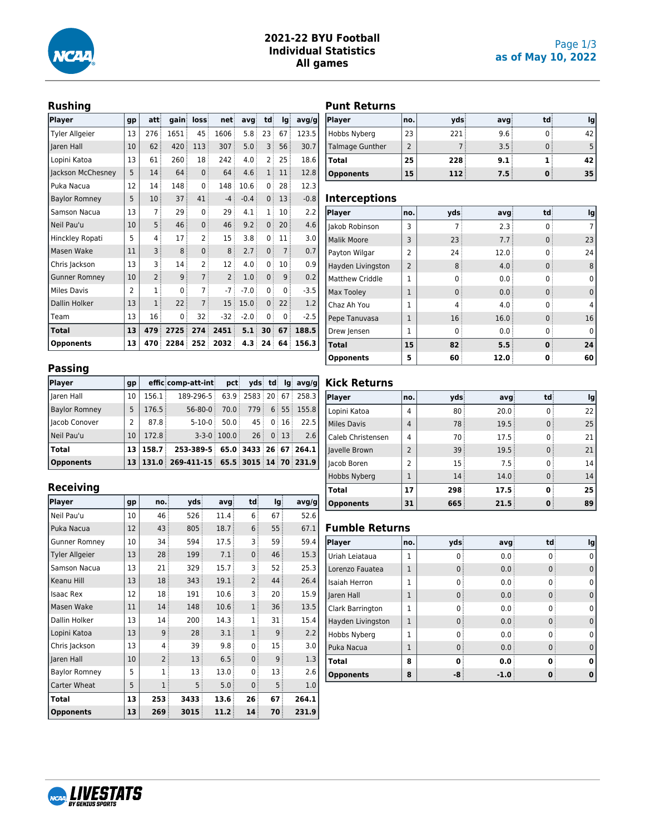

### **2021-22 BYU Football Individual Statistics All games**

# **Rushing**

| <b>Player</b>         | gp             | att:           | gain | loss           | net            | avg    | td           | lg             | avg/g  |
|-----------------------|----------------|----------------|------|----------------|----------------|--------|--------------|----------------|--------|
| <b>Tyler Allgeier</b> | 13             | 276            | 1651 | 45             | 1606           | 5.8    | 23           | 67             | 123.5  |
| Jaren Hall            | 10             | 62             | 420  | 113            | 307            | 5.0    | 3            | 56             | 30.7   |
| Lopini Katoa          | 13             | 61             | 260  | 18             | 242            | 4.0    | 2            | 25             | 18.6   |
| Jackson McChesney     | 5              | 14             | 64   | $\mathbf{0}$   | 64             | 4.6    | $\mathbf{1}$ | 11             | 12.8   |
| Puka Nacua            | 12             | 14             | 148  | 0              | 148            | 10.6   | 0            | 28             | 12.3   |
| <b>Baylor Romney</b>  | 5              | 10             | 37   | 41             | $-4$           | $-0.4$ | 0            | 13             | $-0.8$ |
| Samson Nacua          | 13             | 7              | 29   | 0              | 29             | 4.1    | 1            | 10             | 2.2    |
| Neil Pau'u            | 10             | 5              | 46   | $\mathbf{0}$   | 46             | 9.2    | 0:           | 20             | 4.6    |
| Hinckley Ropati       | 5              | 4              | 17   | 2              | 15             | 3.8    | 0            | 11             | 3.0    |
| Masen Wake            | 11             | 3              | 8    | $\mathbf{0}$   | 8              | 2.7    | $\Omega$     | $\overline{7}$ | 0.7    |
| Chris Jackson         | 13             | 3              | 14   | 2              | 12             | 4.0    | 0            | 10             | 0.9    |
| <b>Gunner Romney</b>  | 10             | $\overline{2}$ | 9    | $\overline{7}$ | $\overline{2}$ | 1.0    | $\Omega$     | 9              | 0.2    |
| <b>Miles Davis</b>    | $\overline{2}$ | 1              | 0    | 7              | $-7$           | $-7.0$ | 0            | 0              | $-3.5$ |
| Dallin Holker         | 13             | $\mathbf{1}$   | 22   | $\overline{7}$ | 15             | 15.0   | 0            | 22             | 1.2    |
| Team                  | 13             | 16             | 0    | 32             | $-32$          | $-2.0$ | 0            | 0              | $-2.5$ |
| Total                 | 13             | 479            | 2725 | 274            | 2451           | 5.1    | 30           | 67             | 188.5  |
| <b>Opponents</b>      | 13             | 470            | 2284 | 252            | 2032           | 4.3    | 24           | 64             | 156.3  |

#### **Passing**

| Player               | gp   |                    | efficicomp-att-inti                         | pct               |     |         |       | ydsi tdi lgi avg/g    |
|----------------------|------|--------------------|---------------------------------------------|-------------------|-----|---------|-------|-----------------------|
| Jaren Hall           | 10   | 156.1              | 189-296-5                                   |                   |     |         |       | 63.9 2583 20 67 258.3 |
| <b>Baylor Romney</b> | 5    | 176.5              | $56 - 80 - 0$                               | 70.0              |     |         |       | 779 6 55 155.8        |
| Jacob Conover        | 2    | 87.8               | $5-10-0$                                    | 50.0              | 45: |         | 0:16: | 22.5                  |
| Neil Pau'u           | 10   | 172.8              |                                             | $3-3-0$ : 100.0 : |     | 26:0:13 |       | 2.6                   |
| <b>Total</b>         | 13 I | 158.7 <sup>1</sup> | 253-389-5 65.0 3433 26 67 264.1             |                   |     |         |       |                       |
| Opponents            |      |                    | $13 131.0 269-411-15 65.5 3015 14 70 231.9$ |                   |     |         |       |                       |

# **Receiving**

| Player                | gp | no.            | vds  | avg  | td             | lg | avg/g |
|-----------------------|----|----------------|------|------|----------------|----|-------|
| Neil Pau'u            | 10 | 46             | 526  | 11.4 | 6              | 67 | 52.6  |
| Puka Nacua            | 12 | 43             | 805  | 18.7 | 6              | 55 | 67.1  |
| <b>Gunner Romney</b>  | 10 | 34             | 594  | 17.5 | 3              | 59 | 59.4  |
| <b>Tyler Allgeier</b> | 13 | 28             | 199  | 7.1  | $\mathbf{0}$   | 46 | 15.3  |
| Samson Nacua          | 13 | 21             | 329  | 15.7 | 3              | 52 | 25.3  |
| Keanu Hill            | 13 | 18             | 343  | 19.1 | $\overline{2}$ | 44 | 26.4  |
| <b>Isaac Rex</b>      | 12 | 18             | 191  | 10.6 | 3              | 20 | 15.9  |
| Masen Wake            | 11 | 14             | 148  | 10.6 | $\mathbf{1}$   | 36 | 13.5  |
| Dallin Holker         | 13 | 14             | 200  | 14.3 | $\overline{1}$ | 31 | 15.4  |
| Lopini Katoa          | 13 | 9              | 28   | 3.1  | $\mathbf{1}$   | 9  | 2.2   |
| Chris Jackson         | 13 | 4              | 39   | 9.8  | 0              | 15 | 3.0   |
| Iaren Hall            | 10 | $\overline{2}$ | 13   | 6.5  | $\mathbf{0}$   | 9  | 1.3   |
| <b>Baylor Romney</b>  | 5  | 1              | 13   | 13.0 | 0              | 13 | 2.6   |
| Carter Wheat          | 5  | 1              | 5    | 5.0  | $\mathbf{0}$   | 5  | 1.0   |
| Total                 | 13 | 253            | 3433 | 13.6 | 26             | 67 | 264.1 |
| <b>Opponents</b>      | 13 | 269            | 3015 | 11.2 | 14             | 70 | 231.9 |

# **Punt Returns**

| Player                 | no.l | vds  | avg  | td: | Ig |
|------------------------|------|------|------|-----|----|
| Hobbs Nyberg           | 23   | 221: | 9.6: |     | 42 |
| <b>Talmage Gunther</b> |      |      | 3.5  |     |    |
| <b>Total</b>           | 25   | 228  | 9.1  |     | 42 |
| <b>Opponents</b>       | 15   | 112  | 7.5  |     | 35 |

#### **Interceptions**

| <b>Player</b>      | no.            | yds      | avg  | td | lg |
|--------------------|----------------|----------|------|----|----|
| Jakob Robinson     | 3              |          | 2.3  |    |    |
| <b>Malik Moore</b> | 3              | 23       | 7.7  |    | 23 |
| Payton Wilgar      | $\mathcal{P}$  | 24       | 12.0 |    | 24 |
| Hayden Livingston  | $\overline{2}$ | 8        | 4.0  |    | 8  |
| Matthew Criddle    | 1              | 0        | 0.0  |    |    |
| Max Tooley         | 1              | $\Omega$ | 0.0  |    | 0  |
| Chaz Ah You        | 1              | 4        | 4.0  |    |    |
| Pepe Tanuvasa      | 1              | 16       | 16.0 |    | 16 |
| Drew Jensen        |                | 0        | 0.0  |    |    |
| <b>Total</b>       | 15             | 82       | 5.5  | n  | 24 |
| <b>Opponents</b>   | 5              | 60       | 12.0 |    | 60 |

# **Kick Returns**

| Player             | no.                      | vds | avg  | td | Ig |
|--------------------|--------------------------|-----|------|----|----|
| Lopini Katoa       | 4                        | 80  | 20.0 |    | 22 |
| <b>Miles Davis</b> | 4                        | 78  | 19.5 |    | 25 |
| Caleb Christensen  | 4                        | 70  | 17.5 |    | 21 |
| Javelle Brown      | $\overline{\phantom{0}}$ | 39  | 19.5 |    | 21 |
| Jacob Boren        | 2                        | 15  | 7.5  |    | 14 |
| Hobbs Nyberg       |                          | 14  | 14.0 |    | 14 |
| <b>Total</b>       | 17                       | 298 | 17.5 |    | 25 |
| <b>Opponents</b>   | 31                       | 665 | 21.5 |    | 89 |

### **Fumble Returns**

| <b>Player</b>        | no. | vds | avg    | td | Ig |
|----------------------|-----|-----|--------|----|----|
| Uriah Leiataua       | 1   |     | 0.0    |    |    |
| Lorenzo Fauatea      | 1   |     | 0.0    |    |    |
| <b>Isaiah Herron</b> | 1   |     | 0.0    |    |    |
| Jaren Hall           | 1   |     | 0.0    |    |    |
| Clark Barrington     | 1   |     | 0.0    |    |    |
| Hayden Livingston    | 1   |     | 0.0    |    |    |
| Hobbs Nyberg         | 1   |     | 0.0    |    |    |
| Puka Nacua           | 1   |     | 0.0    |    |    |
| <b>Total</b>         | 8   |     | 0.0    | п  | Λ  |
| <b>Opponents</b>     | 8   | -8  | $-1.0$ |    |    |

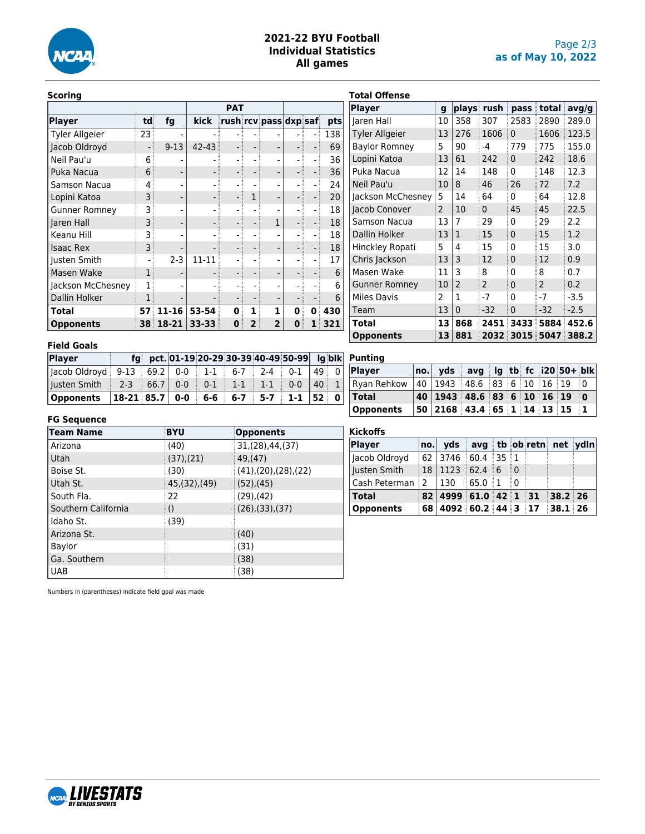

### **2021-22 BYU Football Individual Statistics All games**

#### **Scoring**

| Player                | td | fg       | kick      |   |   | rush rcv pass dxp saf |   |   | pts |
|-----------------------|----|----------|-----------|---|---|-----------------------|---|---|-----|
| <b>Tyler Allgeier</b> | 23 |          |           |   |   |                       |   |   | 138 |
| Jacob Oldroyd         |    | $9 - 13$ | $42 - 43$ |   |   |                       |   |   | 69  |
| Neil Pau'u            | 6  |          |           |   |   |                       |   |   | 36  |
| Puka Nacua            | 6  |          |           |   |   | -                     |   |   | 36  |
| Samson Nacua          | 4  |          |           |   |   |                       |   |   | 24  |
| Lopini Katoa          | 3  |          |           |   |   | -                     |   |   | 20  |
| <b>Gunner Romney</b>  | 3  |          |           |   |   |                       |   |   | 18  |
| Jaren Hall            | 3  |          |           |   |   |                       |   |   | 18  |
| Keanu Hill            | 3  |          |           |   |   |                       |   |   | 18  |
| <b>Isaac Rex</b>      | 3  |          |           |   |   | -                     |   |   | 18  |
| Justen Smith          |    | $2 - 3$  | $11 - 11$ |   |   |                       |   |   | 17  |
| Masen Wake            | 1  |          |           |   |   |                       |   |   | 6   |
| Jackson McChesney     |    |          |           |   |   |                       |   |   | 6   |
| Dallin Holker         |    |          |           |   |   |                       |   |   | 6   |
| Total                 | 57 | 11-16    | 53-54     | ŋ |   | 1                     | 0 | 0 | 430 |
| <b>Opponents</b>      | 38 | 18-21    | 33-33     | 0 | 2 | $\overline{2}$        | 0 |   | 321 |

|   | <b>Total Offense</b>  |                          |                |               |              |       |        |
|---|-----------------------|--------------------------|----------------|---------------|--------------|-------|--------|
|   | <b>Player</b>         | g                        |                | plays rush    | pass         | total | avg/g  |
| s | Jaren Hall            | 10                       | 358            | 307           | 2583         | 2890  | 289.0  |
|   | <b>Tyler Allgeier</b> | 13                       | 276            | 1606          | 0            | 1606  | 123.5  |
|   | <b>Baylor Romney</b>  | 5                        | 90             | $-4$          | 779          | 775   | 155.0  |
|   | Lopini Katoa          | 13                       | 61             | 242           | $\mathbf{0}$ | 242   | 18.6   |
|   | Puka Nacua            | 12                       | 14             | 148           | 0            | 148   | 12.3   |
|   | Neil Pau'u            | 10                       | 8              | 46            | 26           | 72    | 7.2    |
|   | Jackson McChesney     | 5                        | 14             | 64            | 0            | 64    | 12.8   |
|   | Jacob Conover         | $\overline{\phantom{0}}$ | 10             | $\Omega$      | 45           | 45    | 22.5   |
|   | Samson Nacua          | 13                       | 7              | 29            | 0            | 29    | 2.2    |
|   | Dallin Holker         | 13                       | $\mathbf{1}$   | 15            | 0            | 15    | 1.2    |
|   | Hinckley Ropati       | 5                        | 4              | 15            | 0            | 15    | 3.0    |
|   | Chris Jackson         | 13                       | 3              | 12            | 0            | 12    | 0.9    |
|   | Masen Wake            | 11                       | 3              | 8             | 0            | 8     | 0.7    |
|   | <b>Gunner Romney</b>  | 10                       | $\overline{2}$ | $\mathcal{P}$ | 0            | 2     | 0.2    |
|   | Miles Davis           | 2                        | 1              | $-7$          | 0            | $-7$  | $-3.5$ |
|   | Team                  | 13                       | $\overline{0}$ | $-32$         | 0            | $-32$ | $-2.5$ |
|   | Total                 | 13                       | 868            | 2451          | 3433         | 5884  | 452.6  |
|   | <b>Opponents</b>      | 13                       | 881            | 2032          | 3015         | 5047  | 388.2  |

#### **Field Goals**

| Player                                                                      |  |  |  |  | fg pct. 01-19 20-29 30-39 40-49 50-99 Ig blk Punting |
|-----------------------------------------------------------------------------|--|--|--|--|------------------------------------------------------|
| Jacob Oldroyd   9-13   69.2   0-0   1-1   6-7   2-4   0-1   49   0   Player |  |  |  |  |                                                      |
| Justen Smith   2-3   66.7   0-0   0-1   1-1   1-1   0-0   40   1   Ryan Re  |  |  |  |  |                                                      |
| Opponents   18-21 85.7   0-0   6-6   6-7   5-7   1-1   52   0     Total     |  |  |  |  |                                                      |

#### **FG Sequence**

| <b>Team Name</b>    | <b>BYU</b>       | <b>Opponents</b>       |
|---------------------|------------------|------------------------|
| Arizona             | (40)             | 31, (28), 44, (37)     |
| Utah                | $(37)$ , $(21)$  | 49, (47)               |
| Boise St.           | (30)             | (41), (20), (28), (22) |
| Utah St.            | 45,(32),(49)     | (52),(45)              |
| South Fla.          | 22               | $(29)$ , $(42)$        |
| Southern California | $\left( \right)$ | (26),(33),(37)         |
| Idaho St.           | (39)             |                        |
| Arizona St.         |                  | (40)                   |
| Baylor              |                  | (31)                   |
| Ga. Southern        |                  | (38)                   |
| <b>UAB</b>          |                  | (38)                   |

| <b>Player</b>                                              | no. yds avg lg tb fc i20 50+ blk |  |  |  |  |
|------------------------------------------------------------|----------------------------------|--|--|--|--|
| Ryan Rehkow   40   1943   48.6   83   6   10   16   19   0 |                                  |  |  |  |  |
| $\sf Total$                                                | 40 1943 48.6 83 6 10 16 19 0     |  |  |  |  |
| <b>Opponents</b>                                           | 50 2168 43.4 65 1 14 13 15 1     |  |  |  |  |

| <b>Kickoffs</b>  |               |                                                 |              |     |                         |  |
|------------------|---------------|-------------------------------------------------|--------------|-----|-------------------------|--|
| Player           | no.           | vds                                             |              |     | avg tb ob retn net ydln |  |
| Jacob Oldroyd    | 62            | $ 3746 $ 60.4 35 1                              |              |     |                         |  |
| Justen Smith     | 18            | 1123                                            | $62.4$ 6 0   |     |                         |  |
| Cash Peterman    | $\mathcal{P}$ | 130                                             | $65.0 \pm 1$ | ் ∩ |                         |  |
| <b>Total</b>     |               | $82 \mid 4999 \mid 61.0 \mid 42 \mid 1 \mid 31$ |              |     | $38.2$ 26               |  |
| <b>Opponents</b> | 68            | $4092 \, \text{60.2} \, 44 \, 3 \, 17$          |              |     | $38.1$ 26               |  |

Numbers in (parentheses) indicate field goal was made

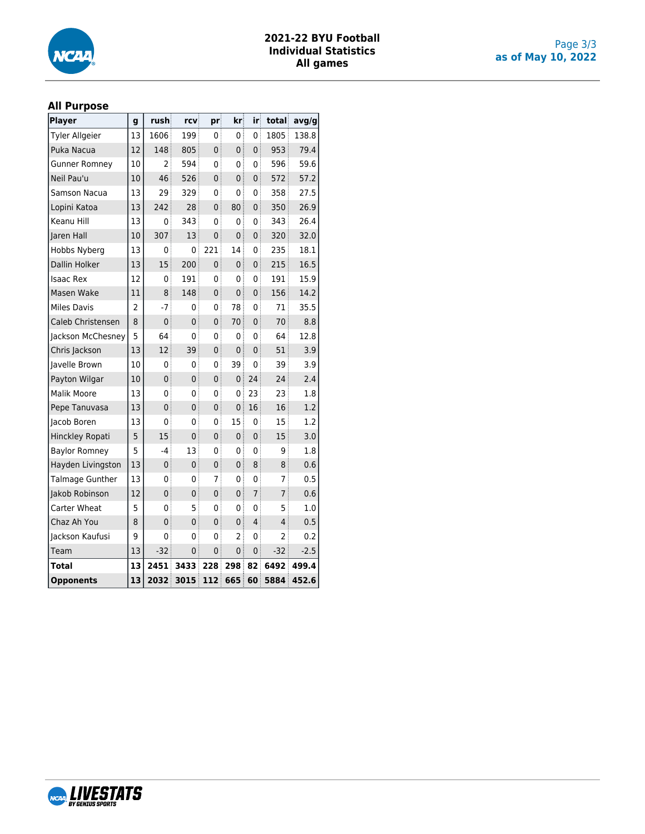

## **2021-22 BYU Football Individual Statistics All games**

#### **All Purpose**

| <b>Player</b>          | g  | rush            | rcv            | pr             | kr             | iri            | total          | avg/g  |
|------------------------|----|-----------------|----------------|----------------|----------------|----------------|----------------|--------|
| <b>Tyler Allgeier</b>  | 13 | 1606            | 199            | 0              | 0              | 0              | 1805           | 138.8  |
| Puka Nacua             | 12 | 148             | 805            | 0              | 0              | 0              | 953            | 79.4   |
| <b>Gunner Romney</b>   | 10 | 2               | 594            | 0              | 0              | 0              | 596            | 59.6   |
| Neil Pau'u             | 10 | 46 <sup>3</sup> | 526            | $\mathbf 0$    | 0              | 0              | 572            | 57.2   |
| Samson Nacua           | 13 | 29              | 329            | 0              | 0              | 0              | 358            | 27.5   |
| Lopini Katoa           | 13 | 242             | 28             | $\overline{0}$ | 80             | 0              | 350            | 26.9   |
| Keanu Hill             | 13 | 0               | 343            | 0              | 0              | 0              | 343            | 26.4   |
| Jaren Hall             | 10 | 307             | 13             | $\overline{0}$ | $\overline{0}$ | 0              | 320            | 32.0   |
| Hobbs Nyberg           | 13 | 0               | 0              | 221            | 14             | 0              | 235            | 18.1   |
| Dallin Holker          | 13 | 15              | 200            | $\mathbf 0$    | 0 <sup>3</sup> | $\overline{0}$ | 215            | 16.5   |
| <b>Isaac Rex</b>       | 12 | 0               | 191            | 0              | 0              | 0              | 191            | 15.9   |
| Masen Wake             | 11 | 8               | 148            | $\mathbf 0$    | 0              | 0              | 156            | 14.2   |
| <b>Miles Davis</b>     | 2  | $-7$            | 0              | 0              | 78             | 0              | 71             | 35.5   |
| Caleb Christensen      | 8  | $\mathbf 0$     | $\overline{0}$ | 0              | 70             | $\overline{0}$ | 70             | 8.8    |
| Jackson McChesney      | 5  | 64              | 0              | 0              | 0              | 0              | 64             | 12.8   |
| Chris Jackson          | 13 | 12              | 39             | 0              | 0              | 0              | 51             | 3.9    |
| Javelle Brown          | 10 | 0               | 0              | 0              | 39             | 0              | 39             | 3.9    |
| Payton Wilgar          | 10 | $\mathbf 0$     | $\mathbf{0}$   | $\mathbf 0$    | 0:             | 24             | 24             | 2.4    |
| <b>Malik Moore</b>     | 13 | 0               | 0              | 0              | 0:             | 23             | 23             | 1.8    |
| Pepe Tanuvasa          | 13 | $\mathbf 0$     | $\mathbf 0$    | 0              | 0              | 16             | 16             | 1.2    |
| Jacob Boren            | 13 | 0               | 0              | 0              | 15             | $\mathbf 0$    | 15             | 1.2    |
| Hinckley Ropati        | 5  | 15              | $\mathbf 0$    | 0              | 0              | 0              | 15             | 3.0    |
| <b>Baylor Romney</b>   | 5  | $-4$            | 13             | 0              | 0              | 0              | 9              | 1.8    |
| Hayden Livingston      | 13 | $\mathbf 0$     | $\mathbf 0$    | 0              | 0              | 8              | 8              | 0.6    |
| <b>Talmage Gunther</b> | 13 | 0               | 0              | 7              | 0              | 0              | 7              | 0.5    |
| Jakob Robinson         | 12 | $\overline{0}$  | 0              | 0              | 0 <sup>3</sup> | $\overline{7}$ | $\overline{7}$ | 0.6    |
| Carter Wheat           | 5  | 0               | 5              | 0              | 0              | 0              | 5              | 1.0    |
| Chaz Ah You            | 8  | 0               | $\mathbf 0$    | 0              | 0              | 4              | 4              | 0.5    |
| Jackson Kaufusi        | 9  | 0               | 0              | 0              | 2              | 0              | $\overline{2}$ | 0.2    |
| Team                   | 13 | $-32$           | 0              | $\mathbf 0$    | 0 <sup>3</sup> | 0              | -32            | $-2.5$ |
| Total                  | 13 | 2451            | 3433           | 228            | 298            | 82             | 6492           | 499.4  |
| <b>Opponents</b>       | 13 | 2032            | 3015           | 112            | 665            | 60             | 5884           | 452.6  |

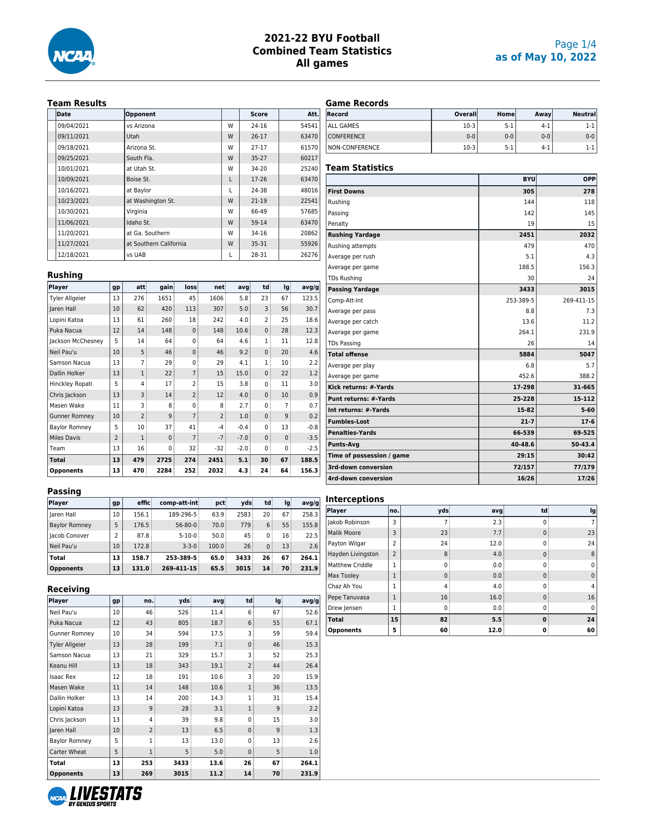

### Page 1/4 **as of May 10, 2022**

#### **Team Results**

| <b>Date</b> | Opponent               |   | Score     | Att.  |
|-------------|------------------------|---|-----------|-------|
| 09/04/2021  | ys Arizona             | w | $24 - 16$ | 54541 |
| 09/11/2021  | Utah                   | W | $26 - 17$ | 63470 |
| 09/18/2021  | Arizona St.            | w | $27 - 17$ | 61570 |
| 09/25/2021  | South Fla.             | W | $35 - 27$ | 60217 |
| 10/01/2021  | at Utah St.            | w | $34 - 20$ | 25240 |
| 10/09/2021  | Boise St.              | L | $17-26$   | 63470 |
| 10/16/2021  | at Baylor              | L | 24-38     | 48016 |
| 10/23/2021  | at Washington St.      | W | $21 - 19$ | 22541 |
| 10/30/2021  | Virginia               | w | 66-49     | 57685 |
| 11/06/2021  | Idaho St.              | W | 59-14     | 63470 |
| 11/20/2021  | at Ga. Southern        | w | 34-16     | 20862 |
| 11/27/2021  | at Southern California | W | $35 - 31$ | 55926 |
| 12/18/2021  | vs UAB                 | L | 28-31     | 26276 |

**Player gp att gain loss net avg td lg avg/g** Tyler Allgeier 13 276 1651 45 1606 5.8 23 67 123.5 Jaren Hall 10 62 420 113 307 5.0 3 56 30.7 Lopini Katoa | 13 | 61 | 260 | 18 | 242 | 4.0 | 2 | 25 | 18.6 Puka Nacua | 12 | 14 | 148 | 0 | 148 | 10.6 | 0 | 28 | 12.3 Jackson McChesney  $\begin{vmatrix} 5 & 14 & 64 & 0 & 64 & 4.6 & 1 & 11 & 12.8 \end{vmatrix}$ Neil Pau'u 10 5 46 0 46 9.2 0 20 4.6 Samson Nacua 13 7 29 0 29 4.1 1 10 2.2 Dallin Holker  $\begin{vmatrix} 13 & 1 & 22 \\ 1 & 2 & 7 \end{vmatrix}$  15  $\begin{vmatrix} 15.0 & 0 & 22 \\ 0 & 2 & 1.2 \end{vmatrix}$  1.2 Hinckley Ropati 5 4 17 2 15 3.8 0 11 3.0 Chris Jackson 13 3 14 2 12 4.0 0 10 0.9 Masen Wake  $|11|$  3 8 0 8 2.7 0 7 0.7 Gunner Romney  $|10|$  2 9 7 2 1.0 0 9 0.2 Baylor Romney  $\begin{vmatrix} 5 & 10 & 37 \\ 1 & 41 & -4 \end{vmatrix}$  -0.4 0 13 -0.8 Miles Davis 2 1 0 7 -7 -7.0 0 0 -3.5 Team 13 16 0 32 -32 -2.0 0 0 -2.5 **Total 13 479 2725 274 2451 5.1 30 67 188.5 Opponents 13 470 2284 252 2032 4.3 24 64 156.3**

#### **Game Records**

| Record            | Overall | Homel   | Awav    | <b>Neutrall</b> |
|-------------------|---------|---------|---------|-----------------|
| ALL GAMES         | $10-3$  | $5 - 1$ | $4-1$   | 1-1             |
| <b>CONFERENCE</b> | $0 - 0$ | $0 - 0$ | $0 - 0$ | $0 - 0$         |
| NON-CONFERENCE    | $10-3$  | $5-1$   | $4-1$   | 1-1             |

#### **Team Statistics**

|                              | <b>BYU</b> | <b>OPP</b>  |
|------------------------------|------------|-------------|
| <b>First Downs</b>           | 305        | 278         |
| Rushing                      | 144        | 118         |
| Passing                      | 142        | 145         |
| Penalty                      | 19         | 15          |
| <b>Rushing Yardage</b>       | 2451       | 2032        |
| Rushing attempts             | 479        | 470         |
| Average per rush             | 5.1        | 4.3         |
| Average per game             | 188.5      | 156.3       |
| <b>TDs Rushing</b>           | 30         | 24          |
| <b>Passing Yardage</b>       | 3433       | 3015        |
| Comp-Att-Int                 | 253-389-5  | 269-411-15  |
| Average per pass             | 8.8        | 7.3         |
| Average per catch            | 13.6       | 11.2        |
| Average per game             | 264.1      | 231.9       |
| <b>TDs Passing</b>           | 26         | 14          |
| <b>Total offense</b>         | 5884       | 5047        |
| Average per play             | 6.8        | 5.7         |
| Average per game             | 452.6      | 388.2       |
| Kick returns: #-Yards        | 17-298     | 31-665      |
| <b>Punt returns: #-Yards</b> | 25-228     | 15-112      |
| Int returns: #-Yards         | 15-82      | $5 - 60$    |
| <b>Fumbles-Lost</b>          | $21 - 7$   | $17-6$      |
| <b>Penalties-Yards</b>       | 66-539     | 69-525      |
| <b>Punts-Avg</b>             | 40-48.6    | $50 - 43.4$ |
| Time of possession / game    | 29:15      | 30:42       |
| 3rd-down conversion          | 72/157     | 77/179      |
| 4rd-down conversion          | 16/26      | 17/26       |

#### **Passing**

**Rushing**

| Player               | gp              | effic | comp-att-int  | pct            | vds             | td              | lq   | avq/q |
|----------------------|-----------------|-------|---------------|----------------|-----------------|-----------------|------|-------|
| laren Hall           | 10 <sup>°</sup> | 156.1 | 189-296-5     | 63.9:          | 2583            | 20 <sup>3</sup> | 67:  | 258.3 |
| <b>Baylor Romney</b> | 5               | 176.5 | $56 - 80 - 0$ | 70.0           | 779             | 6               | 55:  | 155.8 |
| <b>Iacob Conover</b> | 2               | 87.8  | $5 - 10 - 0$  | 50.0           | 45              | $\Omega$        | 16:  | 22.5  |
| Neil Pau'u           | 10              | 172.8 | $3 - 3 - 0$   | 100.0          | 26 <sup>3</sup> | $\Omega$        | 13:  | 2.6   |
| Total                | 13              | 158.7 | 253-389-5     | 65.0           | 3433            | 26              | 67   | 264.1 |
| <b>Opponents</b>     | 13              | 131.0 | 269-411-15    | $65.5^{\circ}$ | 3015            | 14              | 70 i | 231.9 |

#### **Receiving**

| Player                | gp | no.            | vds  | avg            | td             | lg | avg/g |
|-----------------------|----|----------------|------|----------------|----------------|----|-------|
| Neil Pau'u            | 10 | 46             | 526  | 11.4           | 6              | 67 | 52.6  |
| Puka Nacua            | 12 | 43             | 805  | 18.7           | 6              | 55 | 67.1  |
| <b>Gunner Romney</b>  | 10 | 34             | 594  | 17.5           | 3              | 59 | 59.4  |
| <b>Tyler Allgeier</b> | 13 | 28             | 199  | 7.1            | $\Omega$       | 46 | 15.3  |
| Samson Nacua          | 13 | 21             | 329  | 15.7           | 3              | 52 | 25.3  |
| Keanu Hill            | 13 | 18             | 343  | 19.1           | $\overline{2}$ | 44 | 26.4  |
| <b>Isaac Rex</b>      | 12 | 18             | 191  | 10.6           | 3              | 20 | 15.9  |
| Masen Wake            | 11 | 14             | 148  | 10.6           | 1              | 36 | 13.5  |
| Dallin Holker         | 13 | 14             | 200  | 14.3           | 1              | 31 | 15.4  |
| Lopini Katoa          | 13 | 9              | 28   | 3.1            | 1              | 9  | 2.2   |
| Chris Jackson         | 13 | 4              | 39   | 9.8            | $\Omega$       | 15 | 3.0   |
| Jaren Hall            | 10 | $\overline{2}$ | 13   | 6.5            | $\Omega$       | 9  | 1.3   |
| <b>Baylor Romney</b>  | 5  | $\mathbf{1}$   | 13   | 13.0           | $\mathbf 0$    | 13 | 2.6   |
| Carter Wheat          | 5  | 1              | 5    | 5.0            | $\mathbf 0$    | 5  | 1.0   |
| Total                 | 13 | 253            | 3433 | $13.6^{\circ}$ | 26             | 67 | 264.1 |
| <b>Opponents</b>      | 13 | 269            | 3015 | 11.2           | 14             | 70 | 231.9 |

# **Interceptions**

| Player             | no.            | vds      | avg  | td          | lg          |
|--------------------|----------------|----------|------|-------------|-------------|
| Jakob Robinson     | 3              |          | 2.3  | $\Omega$    | 7           |
| <b>Malik Moore</b> | 3              | 23       | 7.7  | $\mathbf 0$ | 23          |
| Payton Wilgar      | $\overline{2}$ | 24       | 12.0 | $\Omega$    | 24          |
| Hayden Livingston  | $\overline{2}$ | 8        | 4.0  | $\mathbf 0$ | 8           |
| Matthew Criddle    | 1              | ŋ        | 0.0  | $\Omega$    | 0           |
| Max Tooley         |                | $\Omega$ | 0.0  | $\Omega$    | $\mathbf 0$ |
| Chaz Ah You        | 1              | 4        | 4.0  | $\Omega$    | 4           |
| Pepe Tanuvasa      |                | 16       | 16.0 | $\mathbf 0$ | 16          |
| Drew Jensen        | 1              | $\Omega$ | 0.0  | $\Omega$    | $\Omega$    |
| <b>Total</b>       | 15             | 82       | 5.5  | $\bf{0}$    | 24          |
| <b>Opponents</b>   | 5              | 60       | 12.0 | 0           | 60          |

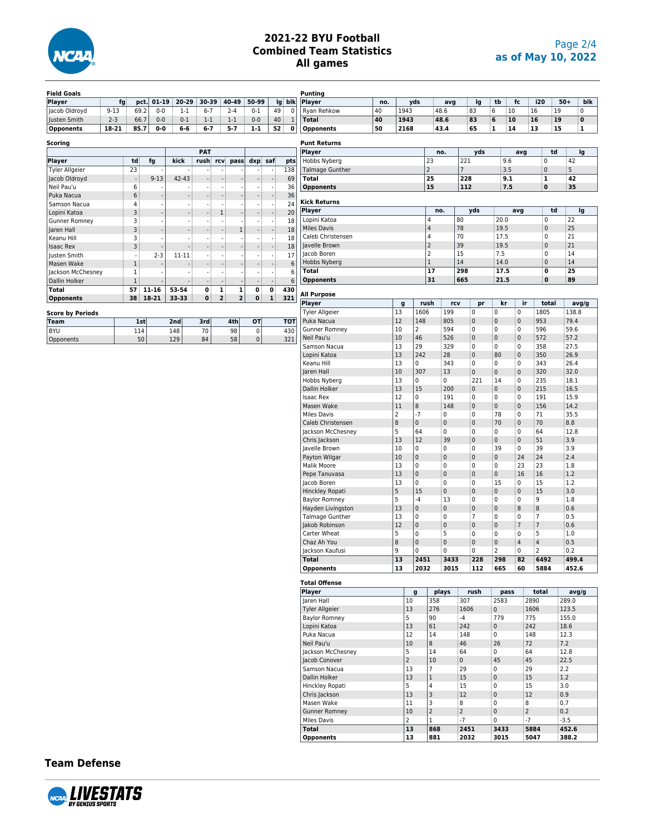

| <b>Field Goals</b>      |          |                          |           |         |                          |                                                      |           |                          |              | <b>Punting</b>         |     |                        |                |                |                     |              |                |                         |       |       |
|-------------------------|----------|--------------------------|-----------|---------|--------------------------|------------------------------------------------------|-----------|--------------------------|--------------|------------------------|-----|------------------------|----------------|----------------|---------------------|--------------|----------------|-------------------------|-------|-------|
| <b>Player</b>           | fg       | pct.                     | $01 - 19$ | 20-29   | 30-39                    | 40-49                                                | 50-99     | lg                       | blk          | Player                 | no. | yds                    |                | avg            | Ig                  | tb           | fc             | i20                     | $50+$ | blk   |
| Jacob Oldroyd           | $9 - 13$ | 69.2                     | $0 - 0$   | $1 - 1$ | $6 - 7$                  | $2 - 4$                                              | $0 - 1$   | 49                       | $\pmb{0}$    | Ryan Rehkow            | 40  | 1943                   | 48.6           |                | 83                  | 6<br>10      |                | 16<br>19                |       | 0     |
| Justen Smith            | $2 - 3$  | 66.7                     | $0 - 0$   | $0 - 1$ | $1 - 1$                  | $1 - 1$                                              | $0-0$     | 40                       | $\mathbf{1}$ | <b>Total</b>           | 40  | 1943                   | 48.6           |                | 83                  | 6<br>10      |                | 16                      | 19    | 0     |
| <b>Opponents</b>        | 18-21    | 85.7                     | 0-0       | $6-6$   | $6 - 7$                  | $5 - 7$                                              | $1 - 1$   | 52                       | 0            | <b>Opponents</b>       | 50  | 2168                   | 43.4           |                | 65                  | 1            | 14             | 13                      | 15    | 1     |
|                         |          |                          |           |         |                          |                                                      |           |                          |              |                        |     |                        |                |                |                     |              |                |                         |       |       |
| <b>Scoring</b>          |          |                          |           |         |                          |                                                      |           |                          |              | <b>Punt Returns</b>    |     |                        |                |                |                     |              |                |                         |       |       |
|                         |          |                          |           |         | <b>PAT</b>               |                                                      |           |                          |              | Player                 |     |                        | no.            |                | yds                 |              | avg            | td                      |       | lg    |
| Player                  |          | td                       | fg        | kick    | rush                     | rcv<br>pass                                          | dxp saf   |                          | pts          | Hobbs Nyberg           |     |                        | 23             |                | 221                 | 9.6          |                | $\pmb{0}$               | 42    |       |
| <b>Tyler Allgeier</b>   |          | 23                       |           | ÷,      |                          |                                                      | $\sim$    | $\overline{\phantom{a}}$ | 138          | <b>Talmage Gunther</b> |     |                        | $\mathbf 2$    | $\overline{7}$ |                     | 3.5          |                | $\mathbf{0}$            | 5     |       |
| Jacob Oldroyd           |          | $\overline{\phantom{a}}$ | $9 - 13$  | 42-43   |                          |                                                      |           |                          | 69           | <b>Total</b>           |     |                        | 25             |                | 228                 | 9.1          |                | $\mathbf 1$             | 42    |       |
| Neil Pau'u              |          | 6                        |           |         |                          |                                                      |           | ÷,                       | 36           | <b>Opponents</b>       |     |                        | 15             |                | 112                 | 7.5          |                | $\bf{0}$                | 35    |       |
| Puka Nacua              |          | 6                        |           |         |                          | $\overline{\phantom{a}}$                             |           |                          | 36           |                        |     |                        |                |                |                     |              |                |                         |       |       |
| Samson Nacua            |          | 4                        |           | ÷,      |                          |                                                      |           |                          | 24           | <b>Kick Returns</b>    |     |                        |                |                |                     |              |                |                         |       |       |
| Lopini Katoa            |          | 3                        |           |         |                          | $\mathbf{1}$                                         |           |                          | 20           | Player                 |     |                        | no.            |                | yds                 |              | avg            | td                      |       | lg    |
|                         |          |                          |           |         |                          | $\sim$                                               |           |                          |              | Lopini Katoa           |     |                        | 4              | 80             |                     | 20.0         |                | $\mathbf 0$             | 22    |       |
| <b>Gunner Romney</b>    |          | 3                        |           | $\sim$  |                          |                                                      | $\sim$    | $\sim$                   | 18           | <b>Miles Davis</b>     |     |                        | 4              | 78             |                     | 19.5         |                | $\mathbf{0}$            | 25    |       |
| Jaren Hall              |          | 3                        |           | ÷       |                          | $\mathbf 1$                                          | ÷         |                          | 18           | Caleb Christensen      |     |                        | 4              | 70             |                     | 17.5         |                | $\overline{\mathbf{0}}$ | 21    |       |
| Keanu Hill              |          | 3                        |           | ÷,      | $\overline{\phantom{a}}$ | $\overline{\phantom{a}}$                             |           |                          | 18           | Javelle Brown          |     |                        | $\overline{2}$ | 39             |                     | 19.5         |                |                         | 21    |       |
| <b>Isaac Rex</b>        |          | 3                        |           |         |                          |                                                      |           |                          | 18           |                        |     |                        |                | 15             |                     |              |                | $\pmb{0}$               | 14    |       |
| Justen Smith            |          | $\sim$                   | $2 - 3$   | 11-11   |                          | $\sim$                                               | $\sim$    | $\overline{\phantom{a}}$ | 17           | Jacob Boren            |     |                        | 2              |                |                     | 7.5          |                | 0                       |       |       |
| Masen Wake              |          | $\,1$                    |           |         |                          |                                                      |           |                          | 6            | Hobbs Nyberg           |     |                        | $\mathbf{1}$   | 14             |                     | 14.0         |                | $\mathbf{0}$            | 14    |       |
| Jackson McChesney       |          | $\,1$                    |           | ä,      |                          |                                                      | ÷,        | $\sim$                   | 6            | <b>Total</b>           |     |                        | 17             | 298            |                     | 17.5         |                | $\mathbf 0$             | 25    |       |
| Dallin Holker           |          | $1\,$                    |           | ÷,      |                          | $\overline{\phantom{a}}$<br>$\overline{\phantom{a}}$ | ÷         | $\sim$                   | 6            | <b>Opponents</b>       |     |                        | 31             | 665            |                     | 21.5         |                | $\bf{0}$                | 89    |       |
| <b>Total</b>            |          | 57                       | $11 - 16$ | 53-54   | 0                        | $\mathbf 1$<br>$\mathbf 1$                           | 0         | 0                        | 430          |                        |     |                        |                |                |                     |              |                |                         |       |       |
| <b>Opponents</b>        |          | 38                       | 18-21     | 33-33   | 0                        | $\mathbf{2}$<br>$\overline{\mathbf{c}}$              | 0         | ${\bf 1}$                | 321          | <b>All Purpose</b>     |     |                        |                |                |                     |              |                |                         |       |       |
|                         |          |                          |           |         |                          |                                                      |           |                          |              | Player                 |     | $\mathbf{g}$           | rush           | rcv            | pr                  | kr           | ir             | total                   |       | avg/g |
| <b>Score by Periods</b> |          |                          |           |         |                          |                                                      |           |                          |              | <b>Tyler Allgeier</b>  |     | 13                     | 1606           | 199            | 0                   | 0            | 0              | 1805                    |       | 138.8 |
| <b>Team</b>             |          | 1st                      |           | 2nd     | 3rd                      | 4th                                                  | OT        |                          | <b>TOT</b>   | Puka Nacua             |     | 12<br>148              |                | 805            | $\mathbf 0$         | 0            | $\pmb{0}$      | 953                     | 79.4  |       |
| <b>BYU</b>              |          | 114                      |           | 148     | 70                       | 98                                                   | 0         |                          | 430          | <b>Gunner Romney</b>   |     | 10<br>$\overline{2}$   |                | 594            | 0                   | 0            | 0              | 596                     | 59.6  |       |
| Opponents               |          | 50                       |           | 129     | 84                       | 58                                                   | $\pmb{0}$ |                          | 321          | Neil Pau'u             |     | 10<br>46               |                | 526            | $\mathsf{O}\xspace$ | 0            | $\pmb{0}$      | 572                     | 57.2  |       |
|                         |          |                          |           |         |                          |                                                      |           |                          |              | Samson Nacua           |     | 13<br>29               |                | 329            | $\mathbf 0$         | 0            | 0              | 358                     | 27.5  |       |
|                         |          |                          |           |         |                          |                                                      |           |                          |              | Lopini Katoa           |     | 13<br>242              | 28             |                | $\mathsf{O}\xspace$ | 80           | $\pmb{0}$      | 350                     | 26.9  |       |
|                         |          |                          |           |         |                          |                                                      |           |                          |              | Keanu Hill             |     | 13<br>0                |                | 343            | $\mathbf 0$         | 0            | 0              | 343                     | 26.4  |       |
|                         |          |                          |           |         |                          |                                                      |           |                          |              | Jaren Hall             |     | 10<br>307              | 13             |                | $\mathsf 0$         | 0            | $\pmb{0}$      | 320                     | 32.0  |       |
|                         |          |                          |           |         |                          |                                                      |           |                          |              | Hobbs Nyberg           |     | 13<br>0                | 0              |                | 221                 | 14           | 0              | 235                     | 18.1  |       |
|                         |          |                          |           |         |                          |                                                      |           |                          |              | Dallin Holker          |     | 13<br>15               |                | 200            | $\mathsf 0$         | 0            | $\pmb{0}$      | 215                     | 16.5  |       |
|                         |          |                          |           |         |                          |                                                      |           |                          |              | <b>Isaac Rex</b>       |     | 12<br>0                |                | 191            | 0                   | 0            | 0              | 191                     | 15.9  |       |
|                         |          |                          |           |         |                          |                                                      |           |                          |              | Masen Wake             |     | $11\,$<br>8            |                | 148            | $\pmb{0}$           | 0            | $\pmb{0}$      | 156                     | 14.2  |       |
|                         |          |                          |           |         |                          |                                                      |           |                          |              | <b>Miles Davis</b>     |     | $\overline{2}$<br>$-7$ | 0              |                | $\mathbf 0$         | 78           | 0              | 71                      | 35.5  |       |
|                         |          |                          |           |         |                          |                                                      |           |                          |              | Caleb Christensen      |     | 8<br>$\pmb{0}$         | $\pmb{0}$      |                | $\mathsf 0$         | 70           | $\pmb{0}$      | 70                      | 8.8   |       |
|                         |          |                          |           |         |                          |                                                      |           |                          |              | Jackson McChesney      |     | 5<br>64                | 0              |                | $\mathbf 0$         | 0            | 0              | 64                      | 12.8  |       |
|                         |          |                          |           |         |                          |                                                      |           |                          |              | Chris Jackson          |     | 13<br>12               | 39             |                | $\mathsf 0$         | 0            | $\pmb{0}$      | 51                      | 3.9   |       |
|                         |          |                          |           |         |                          |                                                      |           |                          |              | Javelle Brown          |     | 10<br>0                | 0              |                | $\mathbf 0$         | 39           | 0              | 39                      | 3.9   |       |
|                         |          |                          |           |         |                          |                                                      |           |                          |              |                        |     | 10<br>$\pmb{0}$        | $\pmb{0}$      |                | $\pmb{0}$           | 0            | 24             | 24                      | 2.4   |       |
|                         |          |                          |           |         |                          |                                                      |           |                          |              | Payton Wilgar          |     |                        |                |                |                     |              |                |                         |       |       |
|                         |          |                          |           |         |                          |                                                      |           |                          |              | Malik Moore            |     | 13<br>0                | 0              |                | 0                   | 0            | 23             | 23                      | 1.8   |       |
|                         |          |                          |           |         |                          |                                                      |           |                          |              | Pepe Tanuvasa          |     | 13<br>$\pmb{0}$        | $\pmb{0}$      |                | $\pmb{0}$           | 0            | 16             | 16                      | 1.2   |       |
|                         |          |                          |           |         |                          |                                                      |           |                          |              | Jacob Boren            |     | 13<br>0                | 0              |                | $\mathbf 0$         | 15           | 0              | 15                      | 1.2   |       |
|                         |          |                          |           |         |                          |                                                      |           |                          |              | Hinckley Ropati        |     | 5<br>15                | $\pmb{0}$      |                | $\mathsf 0$         | 0            | $\pmb{0}$      | 15                      | 3.0   |       |
|                         |          |                          |           |         |                          |                                                      |           |                          |              | <b>Baylor Romney</b>   |     | 5<br>$-4$              | 13             |                | 0                   | 0            | 0              | 9                       | 1.8   |       |
|                         |          |                          |           |         |                          |                                                      |           |                          |              | Hayden Livingston      |     | 13<br>$\pmb{0}$        | $\pmb{0}$      |                | $\pmb{0}$           | 0            | $\bf 8$        | 8                       | 0.6   |       |
|                         |          |                          |           |         |                          |                                                      |           |                          |              | Talmage Gunther        |     | 13<br>0                | 0              |                | $\overline{7}$      | 0            | 0              | $\overline{7}$          | 0.5   |       |
|                         |          |                          |           |         |                          |                                                      |           |                          |              | Jakob Robinson         |     | 12<br>$\mathbf 0$      | $\pmb{0}$      |                | $\pmb{0}$           | 0            | $\overline{7}$ | $\overline{7}$          | 0.6   |       |
|                         |          |                          |           |         |                          |                                                      |           |                          |              | Carter Wheat           |     | 5<br>0                 | 5              |                | $\overline{0}$      | 0            | 0              | 5                       | 1.0   |       |
|                         |          |                          |           |         |                          |                                                      |           |                          |              | Chaz Ah You            |     | 8<br>$\pmb{0}$         | $\pmb{0}$      |                | $\mathsf 0$         | 0            | $\overline{4}$ | $\sqrt{4}$              | 0.5   |       |
|                         |          |                          |           |         |                          |                                                      |           |                          |              | Jackson Kaufusi        |     | 9<br>$\Omega$          | 0              |                | 0                   | 2            | 0              | $\overline{2}$          | 0.2   |       |
|                         |          |                          |           |         |                          |                                                      |           |                          |              | <b>Total</b>           |     | 13                     | 2451           | 3433           | 228                 | 298          | 82             | 6492                    |       | 499.4 |
|                         |          |                          |           |         |                          |                                                      |           |                          |              | <b>Opponents</b>       |     | 13                     | 2032           | 3015           | 112                 | 665          | 60             | 5884                    |       | 452.6 |
|                         |          |                          |           |         |                          |                                                      |           |                          |              |                        |     |                        |                |                |                     |              |                |                         |       |       |
|                         |          |                          |           |         |                          |                                                      |           |                          |              | <b>Total Offense</b>   |     |                        |                |                |                     |              |                |                         |       |       |
|                         |          |                          |           |         |                          |                                                      |           |                          |              | Player                 |     | g                      | plays          |                | rush                | pass         |                | total                   |       | avg/g |
|                         |          |                          |           |         |                          |                                                      |           |                          |              | Jaren Hall             |     | 10                     | 358            |                | 307                 | 2583         |                | 2890                    | 289.0 |       |
|                         |          |                          |           |         |                          |                                                      |           |                          |              | Tyler Allgeier         |     | 13                     | 276            |                | 1606                | $\mathbf 0$  |                | 1606                    | 123.5 |       |
|                         |          |                          |           |         |                          |                                                      |           |                          |              | Baylor Romney          |     | 5                      | 90             | $-4$           |                     | 779          | 775            |                         | 155.0 |       |
|                         |          |                          |           |         |                          |                                                      |           |                          |              | Lopini Katoa           |     | 13                     | 61             |                | 242                 | $\mathbf{0}$ | 242            |                         | 18.6  |       |
|                         |          |                          |           |         |                          |                                                      |           |                          |              | Puka Nacua             |     | 12                     | 14             |                | 148                 | 0            | 148            |                         | 12.3  |       |
|                         |          |                          |           |         |                          |                                                      |           |                          |              | Neil Pau'u             |     | 10                     | 8              | 46             |                     | 26           | 72             |                         | 7.2   |       |
|                         |          |                          |           |         |                          |                                                      |           |                          |              | Jackson McChesney      |     | 5                      | 14             | 64             |                     | 0            | 64             |                         | 12.8  |       |
|                         |          |                          |           |         |                          |                                                      |           |                          |              | Jacob Conover          |     | $\overline{2}$         | 10             | 0              |                     | 45           | 45             |                         | 22.5  |       |
|                         |          |                          |           |         |                          |                                                      |           |                          |              | Samson Nacua           |     | 13                     | $\overline{7}$ | 29             |                     | 0            | 29             |                         | 2.2   |       |
|                         |          |                          |           |         |                          |                                                      |           |                          |              | Dallin Holker          |     | 13                     | $\mathbf{1}$   | 15             |                     | 0            | 15             |                         | 1.2   |       |
|                         |          |                          |           |         |                          |                                                      |           |                          |              | Hinckley Ropati        |     | 5                      | $\sqrt{4}$     | 15             |                     | 0            | 15             |                         | 3.0   |       |
|                         |          |                          |           |         |                          |                                                      |           |                          |              |                        |     |                        |                |                |                     |              |                |                         |       |       |

0allin Holker 13 1 1 15 0 15 1.2<br>
Hinckley Ropati 5 4 15 0 15 3.0<br>
Chris Jackson 13 3 12 0 12 0.9 Hinckley Ropati 5 4 15 0 15 3.0 Chris Jackson 13 3 12 0 12 0.9 Masen Wake 11 3 8 0 8 0.7<br>
Gunner Romney 10 2 2 0 2 0.2 Gunner Romney 10 2 2 0 2 0.2<br>Miles Davis 2 1 -7 0 -7 -3.5 Miles Davis 2 1 -7 0 -7 -3.5<br> **13 868 2451 3433 5884 452.6 Total 13 868 2451 3433 5884 452.6 Opponents 13 881 2032 3015 5047 388.2**

**Team Defense**

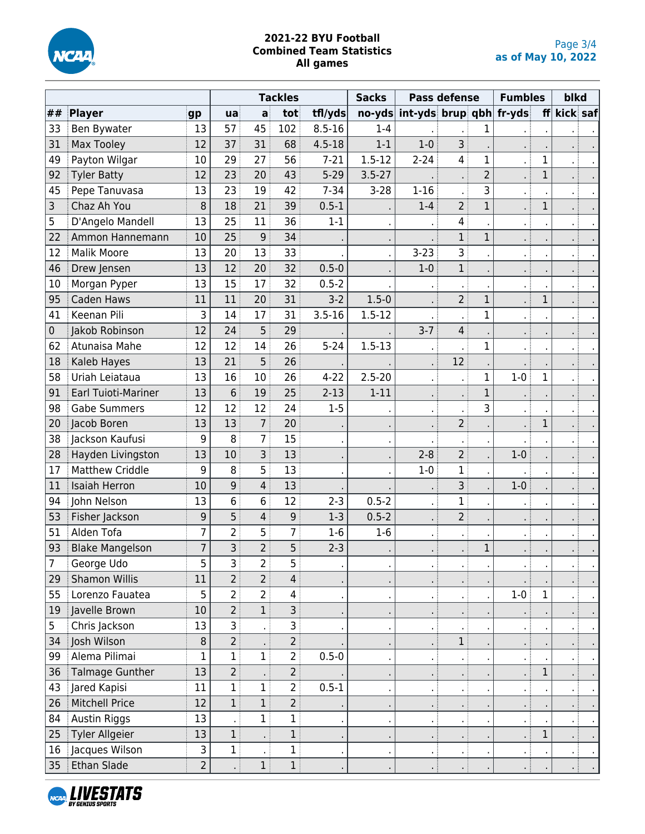

|             |                            |                |                 |                | <b>Tackles</b> |            | <b>Sacks</b>   |                         | <b>Pass defense</b> |                | <b>Fumbles</b> |              | blkd     |  |
|-------------|----------------------------|----------------|-----------------|----------------|----------------|------------|----------------|-------------------------|---------------------|----------------|----------------|--------------|----------|--|
| ##          | Player                     | gp             | ua              | $\mathsf{a}$   | tot            | tfl/yds    | $no-yds$       | int-yds brup qbh fr-yds |                     |                |                | ff           | kick saf |  |
| 33          | Ben Bywater                | 13             | 57              | 45             | 102            | $8.5 - 16$ | $1 - 4$        |                         |                     | 1              |                |              |          |  |
| 31          | <b>Max Tooley</b>          | 12             | 37              | 31             | 68             | $4.5 - 18$ | $1 - 1$        | $1 - 0$                 | 3                   |                |                |              |          |  |
| 49          | Payton Wilgar              | 10             | 29              | 27             | 56             | $7 - 21$   | $1.5 - 12$     | $2 - 24$                | 4                   | $\mathbf{1}$   |                | 1            |          |  |
| 92          | <b>Tyler Batty</b>         | 12             | 23              | 20             | 43             | $5 - 29$   | $3.5 - 27$     |                         |                     | $\overline{2}$ |                | $\mathbf 1$  |          |  |
| 45          | Pepe Tanuvasa              | 13             | 23              | 19             | 42             | $7 - 34$   | $3 - 28$       | $1 - 16$                |                     | 3              |                |              |          |  |
| 3           | Chaz Ah You                | 8              | 18              | 21             | 39             | $0.5 - 1$  |                | $1 - 4$                 | $2^{\frac{1}{2}}$   | $\mathbf{1}$   |                | $\mathbf{1}$ |          |  |
| 5           | D'Angelo Mandell           | 13             | 25              | 11             | 36             | $1 - 1$    |                |                         | 4                   |                |                |              |          |  |
| 22          | Ammon Hannemann            | 10             | 25              | 9              | 34             |            |                |                         | $\mathbf 1$         | $\mathbf 1$    |                |              |          |  |
| 12          | <b>Malik Moore</b>         | 13             | 20              | 13             | 33             |            |                | $3 - 23$                | 3                   |                |                |              |          |  |
| 46          | Drew Jensen                | 13             | 12              | 20             | 32             | $0.5 - 0$  |                | $1 - 0$                 | $\mathbf 1$         |                |                |              |          |  |
| 10          | Morgan Pyper               | 13             | 15              | 17             | 32             | $0.5 - 2$  |                | $\blacksquare$          | - 1                 |                |                |              |          |  |
| 95          | Caden Haws                 | 11             | 11              | 20             | 31             | $3-2$      | $1.5 - 0$      |                         | $2^{\frac{1}{2}}$   | $\mathbf 1$    |                | 1            |          |  |
| 41          | Keenan Pili                | 3              | 14              | 17             | 31             | $3.5 - 16$ | $1.5 - 12$     |                         |                     | $\mathbf 1$    |                |              |          |  |
| $\mathbf 0$ | Jakob Robinson             | 12             | 24              | 5              | 29             |            |                | $3 - 7$                 | 4                   |                |                |              |          |  |
| 62          | Atunaisa Mahe              | 12             | 12              | 14             | 26             | $5 - 24$   | $1.5 - 13$     |                         |                     | $\mathbf 1$    |                |              |          |  |
| 18          | Kaleb Hayes                | 13             | 21              | 5              | 26             |            |                |                         | 12                  |                |                |              |          |  |
| 58          | Uriah Leiataua             | 13             | 16              | 10             | 26             | $4 - 22$   | $2.5 - 20$     | ×.                      |                     | 1              | $1-0$          | $\mathbf 1$  |          |  |
| 91          | <b>Earl Tuioti-Mariner</b> | 13             | $6\overline{6}$ | 19             | 25             | $2 - 13$   | $1 - 11$       | ×.                      |                     | $\mathbf{1}$   |                |              |          |  |
| 98          | <b>Gabe Summers</b>        | 12             | 12              | 12             | 24             | $1 - 5$    |                | $\blacksquare$          |                     | $\overline{3}$ |                |              |          |  |
| 20          | Jacob Boren                | 13             | 13              | $\overline{7}$ | 20             |            |                |                         | 2 <sup>1</sup>      |                |                | $\mathbf 1$  |          |  |
| 38          | Jackson Kaufusi            | 9              | 8               | $\overline{7}$ | 15             |            |                |                         |                     |                |                |              |          |  |
| 28          | Hayden Livingston          | 13             | 10              | $\overline{3}$ | 13             |            | $\blacksquare$ | $2 - 8$                 | $\overline{2}$      |                | $1-0$          |              |          |  |
| 17          | <b>Matthew Criddle</b>     | 9              | 8               | 5              | 13             |            |                | $1 - 0$                 | 1                   |                |                |              |          |  |
| 11          | <b>Isaiah Herron</b>       | 10             | 9               | $\overline{4}$ | 13             |            |                |                         | 3                   |                | $1 - 0$        |              |          |  |
| 94          | John Nelson                | 13             | 6               | 6              | 12             | $2 - 3$    | $0.5 - 2$      | $\cdot$ :               | 1                   |                |                |              |          |  |
| 53          | Fisher Jackson             | 9              | 5               | 4              | 9              | $1-3$      | $0.5 - 2$      |                         | $\overline{2}$      |                |                |              |          |  |
| 51          | Alden Tofa                 | 7              | $\overline{2}$  | 5              | $\overline{7}$ | $1-6$      | $1-6$          |                         |                     |                |                |              |          |  |
| 93          | <b>Blake Mangelson</b>     | $\overline{7}$ | 3               | $\overline{2}$ | 5              | $2 - 3$    |                |                         |                     | $\mathbf 1$    |                |              |          |  |
|             | George Udo                 | 5              | 3               | $\mathbf{2}$   | 5              |            | $\cdot$        | $\mathbf{r}$            |                     |                |                |              |          |  |
| 29          | Shamon Willis              | 11             | $\overline{2}$  | 2 <sup>1</sup> | $\overline{4}$ |            |                | $\epsilon$              |                     |                |                |              |          |  |
| 55          | Lorenzo Fauatea            | 5              | 2 <sup>1</sup>  | 2 <sup>1</sup> | 4              |            | $\blacksquare$ | $\mathbf{r}$            |                     |                | $1-0$          | 1            |          |  |
| 19          | Javelle Brown              | 10             | 2 <sup>1</sup>  | 1              | 3 <sup>3</sup> |            |                |                         |                     |                |                |              |          |  |
| 5           | Chris Jackson              | 13             | $\overline{3}$  |                | 3              |            | $\cdot$        | $\blacksquare$          |                     |                |                |              |          |  |
| 34          | Josh Wilson                | 8              | $\overline{2}$  |                | $\overline{2}$ |            |                | $\mathbf{r}$ .          | $1$ :               |                |                |              |          |  |
| 99          | Alema Pilimai              | 1              | $\mathbf{1}$    | $\mathbf{1}$   | 2 <sup>1</sup> | $0.5 - 0$  | $\blacksquare$ | $\cdot$ :               | жł                  |                |                |              |          |  |
| 36          | <b>Talmage Gunther</b>     | 13             | 2 <sup>1</sup>  |                | 2 <sup>1</sup> |            |                | $\cdot$ :               |                     |                |                | 1            |          |  |
| 43          | Jared Kapisi               | 11             | 1               | $\mathbf{1}$   | $\overline{2}$ | $0.5 - 1$  | $\blacksquare$ | $\cdot$ :               | $\cdot$ :           |                |                |              |          |  |
| 26          | <b>Mitchell Price</b>      | 12             | 1               | $\mathbf{1}$   | $2\frac{1}{2}$ |            |                | $\cdot$ :               |                     |                |                |              |          |  |
| 84          | Austin Riggs               | 13             |                 | $\mathbf{1}$   | $\mathbf{1}$   |            | $\blacksquare$ | $\mathbf{r}$            |                     |                |                |              |          |  |
| 25          | Tyler Allgeier             | 13             | $\mathbf{1}$    |                | $\mathbf{1}$   |            | $\blacksquare$ | $\bullet$               |                     |                |                | $\mathbf 1$  |          |  |
| 16          | Jacques Wilson             | 3              | $\mathbf{1}$    |                | $\mathbf{1}$   |            | $\cdot$        | $\blacksquare$          |                     |                |                |              |          |  |
| 35          | Ethan Slade                | $\overline{2}$ |                 | 1              | 1 <sup>1</sup> |            |                | $\blacksquare$          |                     |                |                |              |          |  |

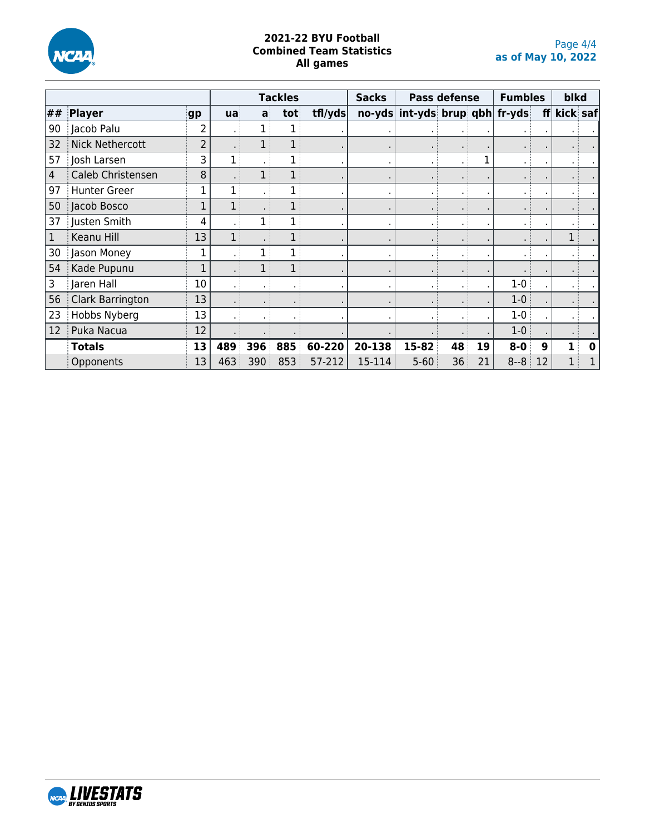

|    |                        |                |     |     | <b>Tackles</b> |         | <b>Sacks</b> |                                | <b>Pass defense</b> |    | <b>Fumbles</b> |    | blkd     |   |
|----|------------------------|----------------|-----|-----|----------------|---------|--------------|--------------------------------|---------------------|----|----------------|----|----------|---|
| ## | Player                 | gp             | ua  | a   | tot            | tfl/yds |              | no-yds int-yds brup qbh fr-yds |                     |    |                | ff | kick saf |   |
| 90 | Jacob Palu             | 2              |     |     |                |         |              |                                |                     |    |                |    |          |   |
| 32 | <b>Nick Nethercott</b> | $\overline{2}$ |     |     |                |         |              |                                |                     |    |                |    |          |   |
| 57 | Josh Larsen            | 3              |     |     |                |         |              | $\bullet$                      |                     |    |                |    |          |   |
| 4  | Caleb Christensen      | 8              |     |     |                |         |              |                                | $\blacksquare$      |    |                |    |          |   |
| 97 | <b>Hunter Greer</b>    |                |     |     |                |         |              | $\blacksquare$                 | $\blacksquare$      |    |                |    |          |   |
| 50 | Jacob Bosco            | 1              |     |     |                |         |              |                                | $\blacksquare$      |    |                |    |          |   |
| 37 | Justen Smith           | 4              |     |     |                |         |              | $\bullet$                      | $\blacksquare$      |    |                |    |          |   |
|    | Keanu Hill             | 13             |     |     |                |         |              |                                | $\blacksquare$      |    |                |    |          |   |
| 30 | Jason Money            |                |     |     |                |         |              |                                | $\blacksquare$      |    |                |    |          |   |
| 54 | Kade Pupunu            |                |     |     |                |         |              |                                | $\blacksquare$      |    |                |    |          |   |
| 3  | Jaren Hall             | 10             |     |     |                |         |              |                                |                     |    | $1 - 0$        |    |          |   |
| 56 | Clark Barrington       | 13             |     |     |                |         |              |                                |                     |    | $1 - 0$        |    |          |   |
| 23 | Hobbs Nyberg           | 13             |     |     |                |         |              |                                |                     |    | $1-0$          |    |          |   |
| 12 | Puka Nacua             | 12             |     |     |                |         |              |                                |                     |    | $1-0$          |    |          |   |
|    | <b>Totals</b>          | 13             | 489 | 396 | 885            | 60-220  | 20-138       | 15-82                          | 48                  | 19 | $8 - 0$        | 9  |          | 0 |
|    | Opponents              | 13             | 463 | 390 | 853            | 57-212  | 15-114       | $5 - 60$                       | 36                  | 21 | $8 - 8$        | 12 |          |   |

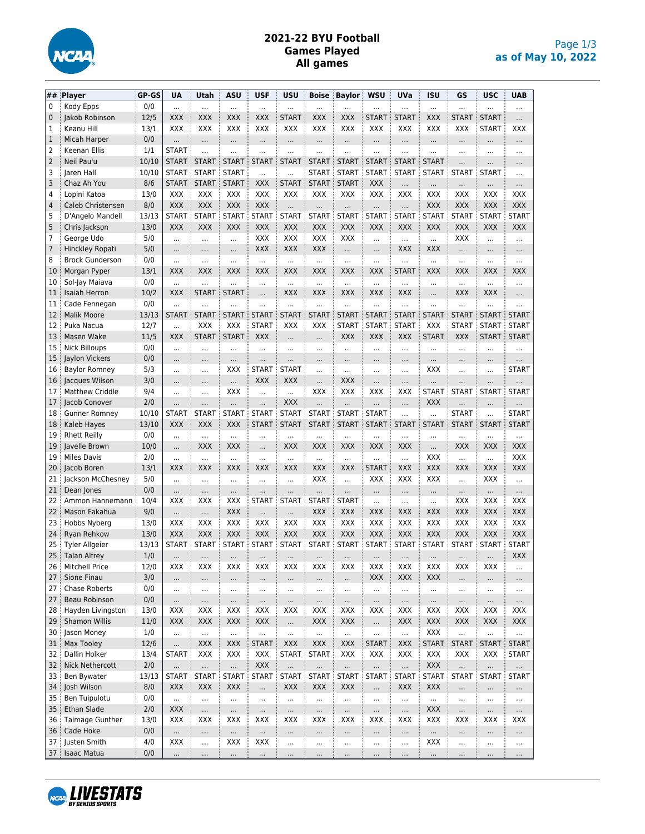

## **2021-22 BYU Football Games Played All games**

| ##             | Player                 | GP-GS | <b>UA</b>    | Utah         | <b>ASU</b>   | <b>USF</b>   | <b>USU</b>   | <b>Boise</b> | <b>Baylor</b> | <b>WSU</b>   | UVa          | <b>ISU</b>   | GS           | <b>USC</b>   | <b>UAB</b>   |
|----------------|------------------------|-------|--------------|--------------|--------------|--------------|--------------|--------------|---------------|--------------|--------------|--------------|--------------|--------------|--------------|
| 0              | Kody Epps              | 0/0   | $\cdots$     |              | $\cdots$     | $\cdots$     |              | $\cdots$     |               |              |              | $\cdots$     |              |              |              |
| 0              | Jakob Robinson         | 12/5  | XXX          | <b>XXX</b>   | XXX          | XXX          | <b>START</b> | XXX          | XXX           | <b>START</b> | <b>START</b> | XXX          | <b>START</b> | <b>START</b> |              |
| 1              | Keanu Hill             | 13/1  | <b>XXX</b>   | XXX          | XXX          | XXX          | XXX          | XXX          | XXX           | XXX          | XXX          | XXX          | XXX          | <b>START</b> | XXX          |
| 1              | Micah Harper           | 0/0   | $\cdots$     | $\cdots$     | $\cdots$     | $\cdots$     | $\cdots$     |              | $\cdots$      |              |              |              |              |              |              |
| 2              | Keenan Ellis           | 1/1   | <b>START</b> | $\ddotsc$    | $\ddotsc$    | $\cdots$     | $\cdots$     | $\ddotsc$    |               |              |              | $\cdots$     | $\cdots$     | $\cdots$     |              |
| $\overline{2}$ | Neil Pau'u             | 10/10 | <b>START</b> | <b>START</b> | <b>START</b> | <b>START</b> | <b>START</b> | <b>START</b> | <b>START</b>  | <b>START</b> | <b>START</b> | <b>START</b> |              | $\cdots$     | $\cdots$     |
| 3              | Jaren Hall             | 10/10 | <b>START</b> | <b>START</b> | <b>START</b> | $\cdots$     |              | <b>START</b> | <b>START</b>  | <b>START</b> | <b>START</b> | <b>START</b> | <b>START</b> | <b>START</b> |              |
| 3              | Chaz Ah You            | 8/6   | <b>START</b> | <b>START</b> | <b>START</b> | <b>XXX</b>   | <b>START</b> | <b>START</b> | <b>START</b>  | XXX          |              | $\cdots$     |              | $\cdots$     | $\cdots$     |
| 4              | Lopini Katoa           | 13/0  | <b>XXX</b>   | <b>XXX</b>   | <b>XXX</b>   | XXX          | <b>XXX</b>   | <b>XXX</b>   | <b>XXX</b>    | <b>XXX</b>   | XXX          | XXX          | XXX          | XXX          | XXX          |
| 4              | Caleb Christensen      | 8/0   | XXX          | <b>XXX</b>   | <b>XXX</b>   | <b>XXX</b>   |              | $\cdots$     | $\cdots$      |              | $\cdots$     | XXX          | <b>XXX</b>   | <b>XXX</b>   | <b>XXX</b>   |
| 5              | D'Angelo Mandell       | 13/13 | <b>START</b> | <b>START</b> | <b>START</b> | <b>START</b> | <b>START</b> | <b>START</b> | <b>START</b>  | <b>START</b> | <b>START</b> | <b>START</b> | <b>START</b> | <b>START</b> | <b>START</b> |
| 5              | Chris Jackson          | 13/0  | XXX          | XXX          | XXX          | XXX          | <b>XXX</b>   | <b>XXX</b>   | <b>XXX</b>    | <b>XXX</b>   | XXX          | <b>XXX</b>   | <b>XXX</b>   | XXX          | <b>XXX</b>   |
| 7              | George Udo             | 5/0   | $\cdots$     | $\cdots$     | $\cdots$     | XXX          | <b>XXX</b>   | <b>XXX</b>   | XXX           | $\cdots$     |              | $\ddotsc$    | <b>XXX</b>   | $\cdots$     | $\cdots$     |
| 7              | <b>Hinckley Ropati</b> | 5/0   | $\cdots$     | $\cdots$     | $\cdots$     | <b>XXX</b>   | XXX          | <b>XXX</b>   | $\cdots$      | $\cdots$     | XXX          | XXX          | $\cdots$     | $\cdots$     | $\cdots$     |
| 8              | <b>Brock Gunderson</b> | 0/0   | $\cdots$     |              |              | $\ddotsc$    | $\ddotsc$    | $\cdots$     | $\cdots$      |              |              |              | $\cdots$     | $\cdots$     | $\cdots$     |
| 10             | Morgan Pyper           | 13/1  | <b>XXX</b>   | <b>XXX</b>   | XXX          | XXX          | <b>XXX</b>   | XXX          | <b>XXX</b>    | <b>XXX</b>   | <b>START</b> | XXX          | <b>XXX</b>   | XXX          | XXX          |
| 10             | Sol-Jay Maiava         | 0/0   | $\ddotsc$    |              | $\cdots$     | $\cdots$     | $\ddotsc$    | $\cdots$     | $\cdots$      | $\cdots$     |              | $\cdots$     | $\cdots$     | $\cdots$     | $\cdots$     |
| 11             | <b>Isaiah Herron</b>   | 10/2  | <b>XXX</b>   | <b>START</b> | <b>START</b> |              | <b>XXX</b>   | XXX          | <b>XXX</b>    | <b>XXX</b>   | XXX          |              | <b>XXX</b>   | XXX          | $\cdots$     |
| 11             | Cade Fennegan          | 0/0   | $\cdots$     |              |              |              |              |              |               |              |              |              |              |              |              |
| 12             | <b>Malik Moore</b>     | 13/13 | <b>START</b> | <b>START</b> | <b>START</b> | <b>START</b> | <b>START</b> | <b>START</b> | <b>START</b>  | <b>START</b> | <b>START</b> | <b>START</b> | <b>START</b> | <b>START</b> | <b>START</b> |
| 12             | Puka Nacua             | 12/7  |              | <b>XXX</b>   | XXX          | <b>START</b> | XXX          | XXX          | <b>START</b>  | <b>START</b> | <b>START</b> | XXX          | <b>START</b> | <b>START</b> | <b>START</b> |
| 13             | Masen Wake             | 11/5  | XXX          | <b>START</b> | <b>START</b> | <b>XXX</b>   |              |              | XXX           | <b>XXX</b>   | XXX          | <b>START</b> | <b>XXX</b>   | <b>START</b> | <b>START</b> |
| 15             | <b>Nick Billoups</b>   | 0/0   | $\cdots$     |              | $\cdots$     | $\cdots$     |              |              | $\cdots$      | $\cdots$     | $\cdots$     | $\cdots$     | $\cdots$     |              |              |
| 15             | Jaylon Vickers         | 0/0   | $\cdots$     |              | $\cdots$     | .            | $\cdots$     |              | $\cdots$      |              | $\cdots$     | $\cdots$     |              | $\cdots$     |              |
| 16             | <b>Baylor Romney</b>   | 5/3   | $\cdots$     |              | <b>XXX</b>   | <b>START</b> | <b>START</b> | $\ddotsc$    | $\cdots$      |              |              | <b>XXX</b>   |              | $\cdots$     | <b>START</b> |
| 16             | Jacques Wilson         | 3/0   |              |              | $\cdots$     | <b>XXX</b>   | <b>XXX</b>   | $\cdots$     | <b>XXX</b>    | $\ddotsc$    | $\cdots$     |              | $\ddotsc$    |              | $\cdots$     |
| 17             | <b>Matthew Criddle</b> | 9/4   |              |              | XXX          | $\cdots$     | $\ddotsc$    | XXX          | XXX           | XXX          | XXX          | <b>START</b> | <b>START</b> | <b>START</b> | <b>START</b> |
| 17             | Jacob Conover          | 2/0   | $\cdots$     | $\cdots$     | $\cdots$     |              | <b>XXX</b>   | $\ddotsc$    | $\cdots$      |              | $\cdots$     | XXX          |              | $\cdots$     | $\cdots$     |
| 18             | <b>Gunner Romney</b>   | 10/10 | <b>START</b> | <b>START</b> | <b>START</b> | <b>START</b> | <b>START</b> | <b>START</b> | <b>START</b>  | <b>START</b> | $\ddotsc$    |              | <b>START</b> | $\ddotsc$    | <b>START</b> |
| 18             | Kaleb Hayes            | 13/10 | XXX          | <b>XXX</b>   | XXX          | <b>START</b> | <b>START</b> | <b>START</b> | <b>START</b>  | <b>START</b> | <b>START</b> | <b>START</b> | <b>START</b> | <b>START</b> | <b>START</b> |
| 19             | <b>Rhett Reilly</b>    | 0/0   | $\ddotsc$    | $\ddotsc$    | $\ddotsc$    | $\cdots$     |              | $\ddotsc$    | $\cdots$      |              | $\cdots$     | $\cdots$     |              |              |              |
| 19             | Javelle Brown          | 10/0  |              | <b>XXX</b>   | XXX          | $\cdots$     | <b>XXX</b>   | XXX          | <b>XXX</b>    | <b>XXX</b>   | <b>XXX</b>   |              | <b>XXX</b>   | <b>XXX</b>   | <b>XXX</b>   |
| 19             | <b>Miles Davis</b>     | 2/0   | $\ddotsc$    |              | $\cdots$     |              |              | $\cdots$     | $\cdots$      |              | $\ddotsc$    | XXX          | $\ddotsc$    | $\ddotsc$    | XXX          |
| 20             | Jacob Boren            | 13/1  | <b>XXX</b>   | <b>XXX</b>   | XXX          | XXX          | <b>XXX</b>   | XXX          | XXX           | <b>START</b> | XXX          | XXX          | XXX          | XXX          | XXX          |
| 21             | Jackson McChesney      | 5/0   | $\cdots$     |              |              |              |              | XXX          |               | XXX          | XXX          | <b>XXX</b>   | $\ddotsc$    | XXX          |              |
| 21             | Dean Jones             | 0/0   |              |              |              |              | $\cdots$     |              |               |              |              |              | $\cdots$     |              |              |
| 22             | Ammon Hannemann        | 10/4  | XXX          | XXX          | XXX          | <b>START</b> | <b>START</b> | <b>START</b> | <b>START</b>  | $\ddotsc$    | $\ddotsc$    | $\ddotsc$    | XXX          | XXX          | XXX          |
| 22             | Mason Fakahua          | 9/0   | $\cdots$     |              | XXX          | $\cdots$     |              | XXX          | <b>XXX</b>    | XXX          | <b>XXX</b>   | XXX          | <b>XXX</b>   | <b>XXX</b>   | XXX          |
| 23             | Hobbs Nyberg           | 13/0  | <b>XXX</b>   | <b>XXX</b>   | XXX          | XXX          | <b>XXX</b>   | <b>XXX</b>   | <b>XXX</b>    | <b>XXX</b>   | XXX          | <b>XXX</b>   | <b>XXX</b>   | <b>XXX</b>   | <b>XXX</b>   |
| 24             | Ryan Rehkow            | 13/0  | XXX          | <b>XXX</b>   | <b>XXX</b>   | <b>XXX</b>   | <b>XXX</b>   | XXX          | XXX           | <b>XXX</b>   | <b>XXX</b>   | XXX          | <b>XXX</b>   | <b>XXX</b>   | <b>XXX</b>   |
| 25             | <b>Tyler Allgeier</b>  | 13/13 | <b>START</b> | <b>START</b> | <b>START</b> | <b>START</b> | <b>START</b> | <b>START</b> | <b>START</b>  | <b>START</b> | <b>START</b> | <b>START</b> | <b>START</b> | <b>START</b> | <b>START</b> |
| 25             | <b>Talan Alfrey</b>    | 1/0   | $\cdots$     | $\cdots$     | $\cdots$     | $\cdots$     | $\cdots$     | $\cdots$     | $\cdots$      |              | $\cdots$     | $\cdots$     | $\cdots$     |              | XXX          |
| 26             | <b>Mitchell Price</b>  | 12/0  | XXX          | XXX          | XXX          | XXX          | XXX          | XXX          | XXX           | XXX          | XXX          | XXX          | XXX          | XXX          | $\cdots$     |
| 27             | Sione Finau            | 3/0   | $\cdots$     |              |              | $\cdots$     |              |              | $\cdots$      | <b>XXX</b>   | XXX          | <b>XXX</b>   |              |              | $\cdots$     |
| 27             | Chase Roberts          | 0/0   | $\cdots$     | $\cdots$     | $\cdots$     | $\cdots$     | $\cdots$     | $\cdots$     | $\cdots$      | $\cdots$     | $\cdots$     | $\cdots$     | $\cdots$     | $\cdots$     | $\cdots$     |
| 27             | Beau Robinson          | 0/0   | $\cdots$     |              | $\cdots$     | $\cdots$     | $\cdots$     | $\cdots$     | $\cdots$      |              |              | $\cdots$     | $\ldots$     | $\cdots$     | $\cdots$     |
| 28             | Hayden Livingston      | 13/0  | XXX          | XXX          | XXX          | XXX          | XXX          | XXX          | XXX           | XXX          | XXX          | XXX          | XXX          | XXX          | XXX          |
| 29             | Shamon Willis          | 11/0  | XXX          | <b>XXX</b>   | <b>XXX</b>   | XXX          |              | <b>XXX</b>   | XXX           | $\ddotsc$    | XXX          | XXX          | XXX          | <b>XXX</b>   | <b>XXX</b>   |
| 30             | Jason Money            | 1/0   | $\cdots$     | $\cdots$     | $\ldots$     |              |              | $\cdots$     | $\cdots$      |              | $\cdots$     | XXX          |              |              | $\cdots$     |
| 31             | Max Tooley             | 12/6  |              | <b>XXX</b>   | <b>XXX</b>   | <b>START</b> | XXX          | <b>XXX</b>   | XXX           | <b>START</b> | <b>XXX</b>   | <b>START</b> | <b>START</b> | <b>START</b> | <b>START</b> |
| 32             | Dallin Holker          | 13/4  | <b>START</b> | XXX          | XXX          | XXX          | <b>START</b> | <b>START</b> | XXX           | XXX          | XXX          | XXX          | XXX          | XXX          | <b>START</b> |
| 32             | <b>Nick Nethercott</b> | 2/0   |              |              |              | XXX          |              |              |               |              |              | XXX          |              | $\cdots$     | $\cdots$     |
| 33             | Ben Bywater            | 13/13 | START        | <b>START</b> | <b>START</b> | <b>START</b> | <b>START</b> | <b>START</b> | <b>START</b>  | <b>START</b> | <b>START</b> | START        | <b>START</b> | <b>START</b> | <b>START</b> |
| 34             | Josh Wilson            | 8/0   | XXX          | <b>XXX</b>   | XXX          |              | XXX          | <b>XXX</b>   | XXX           |              | XXX          | XXX          |              | $\cdots$     | $\cdots$     |
| 35             | Ben Tuipulotu          | 0/0   | $\cdots$     |              |              | $\cdots$     | $\cdots$     |              | $\cdots$      | $\ldots$     |              | $\cdots$     |              | $\cdots$     | $\cdots$     |
| 35             | Ethan Slade            | 2/0   | XXX          |              |              |              |              | $\cdots$     | $\cdots$      |              | $\cdots$     | <b>XXX</b>   |              | $\cdots$     | $\cdots$     |
| 36             | Talmage Gunther        | 13/0  | XXX          | XXX          | XXX          | XXX          | XXX          | XXX          | XXX           | XXX          | XXX          | XXX          | XXX          | XXX          | XXX          |
| 36             | Cade Hoke              | 0/0   | $\cdots$     | $\cdots$     |              | $\cdots$     | $\cdots$     | $\cdots$     | $\cdots$      | $\ldots$     | $\cdots$     | $\cdots$     | $\ldots$     | $\cdots$     | $\cdots$     |
| 37             | Justen Smith           | 4/0   | XXX          |              | XXX          | XXX          | $\cdots$     | $\cdots$     | $\cdots$      | $\cdots$     |              | XXX          | $\ldots$     | $\cdots$     | $\cdots$     |
| 37             | <b>Isaac Matua</b>     | 0/0   | $\ldots$     | $\cdots$     | $\cdots$     | $\cdots$     | $\cdots$     | $\cdots$     | $\cdots$      | $\cdots$     | $\cdots$     | $\cdots$     | $\cdots$     | $\cdots$     | $\cdots$     |

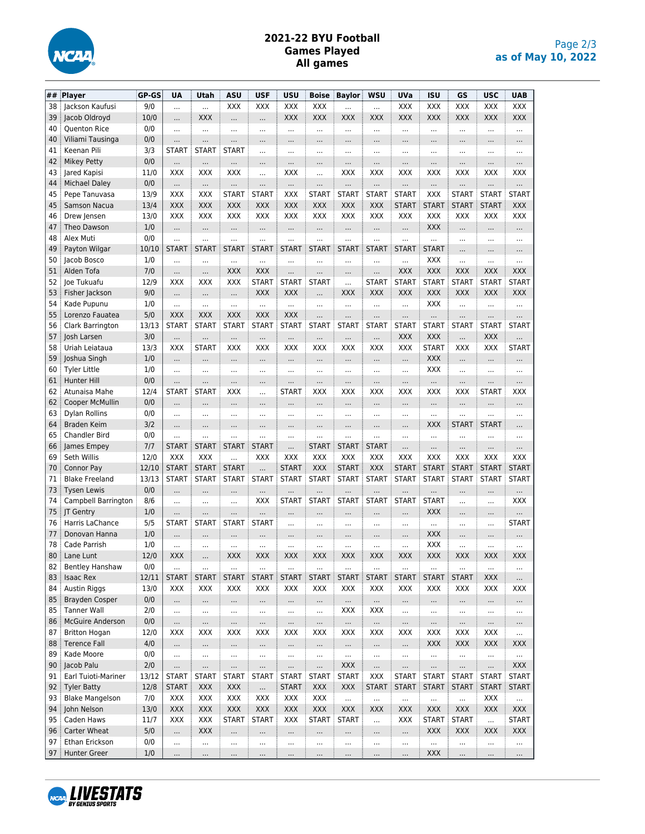

## **2021-22 BYU Football Games Played All games**

| ##       | Player                                     | GP-GS       | UA                       | Utah             | <b>ASU</b>               | <b>USF</b>               | <b>USU</b>       | <b>Boise</b>     | Baylor       | <b>WSU</b>      | <b>UVa</b>       | <b>ISU</b>       | GS                       | <b>USC</b>       | <b>UAB</b>             |
|----------|--------------------------------------------|-------------|--------------------------|------------------|--------------------------|--------------------------|------------------|------------------|--------------|-----------------|------------------|------------------|--------------------------|------------------|------------------------|
| 38       | Jackson Kaufusi                            | 9/0         | $\cdots$                 |                  | XXX                      | XXX                      | XXX              | XXX              |              | $\cdots$        | XXX              | XXX              | XXX                      | XXX              | XXX                    |
| 39       | Jacob Oldroyd                              | 10/0        |                          | <b>XXX</b>       |                          |                          | <b>XXX</b>       | <b>XXX</b>       | <b>XXX</b>   | XXX             | XXX              | <b>XXX</b>       | XXX                      | <b>XXX</b>       | <b>XXX</b>             |
| 40       | <b>Quenton Rice</b>                        | 0/0         | $\cdots$                 |                  | $\cdots$                 | $\cdots$                 | $\ddotsc$        |                  |              | $\ddotsc$       |                  |                  |                          | $\cdots$         |                        |
| 40       | Viliami Tausinga                           | 0/0         |                          |                  |                          |                          |                  |                  |              |                 |                  |                  |                          | .                |                        |
| 41       | Keenan Pili                                | 3/3         | <b>START</b>             | <b>START</b>     | <b>START</b>             |                          |                  |                  |              | $\cdots$        |                  |                  |                          |                  |                        |
| 42       | <b>Mikey Petty</b>                         | 0/0         |                          |                  |                          |                          |                  |                  |              |                 |                  |                  |                          |                  |                        |
| 43       | Jared Kapisi                               | 11/0        | XXX                      | XXX              | XXX                      |                          | XXX              | .                | XXX          | XXX             | <b>XXX</b>       | XXX              | XXX                      | XXX              | XXX                    |
| 44       | Michael Daley                              | 0/0         | $\cdots$                 | $\cdots$         |                          |                          |                  |                  | $\cdots$     |                 |                  |                  | $\cdots$                 |                  |                        |
| 45       | Pepe Tanuvasa                              | 13/9        | XXX                      | XXX              | <b>START</b>             | <b>START</b>             | XXX              | <b>START</b>     | <b>START</b> | <b>START</b>    | <b>START</b>     | XXX              | <b>START</b>             | <b>START</b>     | <b>START</b>           |
| 45       | Samson Nacua                               | 13/4        | XXX                      | XXX              | <b>XXX</b>               | <b>XXX</b>               | <b>XXX</b>       | <b>XXX</b>       | <b>XXX</b>   | XXX             | <b>START</b>     | <b>START</b>     | <b>START</b>             | <b>START</b>     | <b>XXX</b>             |
| 46       | Drew Jensen                                | 13/0        | XXX                      | XXX              | <b>XXX</b>               | <b>XXX</b>               | XXX              | <b>XXX</b>       | XXX          | XXX             | <b>XXX</b>       | XXX              | XXX                      | <b>XXX</b>       | XXX                    |
| 47       | Theo Dawson                                | 1/0         | $\cdots$                 | $\cdots$         |                          | $\cdots$                 | $\cdots$         | $\cdots$         | $\cdots$     | $\cdots$        | $\cdots$         | <b>XXX</b>       | $\cdots$                 | $\cdots$         |                        |
| 48       | Alex Muti                                  | 0/0         |                          |                  | $\cdots$                 |                          |                  | .                | $\cdots$     |                 |                  | $\ddotsc$        | $\cdots$                 | $\cdots$         | $\cdots$               |
| 49       | Payton Wilgar                              | 10/10       | <b>START</b>             | <b>START</b>     | <b>START</b>             | <b>START</b>             | <b>START</b>     | <b>START</b>     | <b>START</b> | <b>START</b>    | <b>START</b>     | <b>START</b>     | $\ddotsc$                | $\cdots$         |                        |
| 50       | Jacob Bosco                                | 1/0         | $\cdots$                 |                  |                          |                          |                  | .                | $\cdots$     | $\cdots$        |                  | <b>XXX</b>       | $\ddotsc$                | $\cdots$         |                        |
| 51       | Alden Tofa                                 | 7/0         | $\cdots$                 |                  | XXX                      | XXX                      | $\cdots$         |                  | $\cdots$     | .               | <b>XXX</b>       | <b>XXX</b>       | XXX                      | <b>XXX</b>       | <b>XXX</b>             |
| 52       | Joe Tukuafu                                | 12/9        | XXX                      | XXX              | XXX                      | <b>START</b>             | <b>START</b>     | <b>START</b>     |              | <b>START</b>    | <b>START</b>     | <b>START</b>     | <b>START</b>             | <b>START</b>     | <b>START</b>           |
| 53       | Fisher Jackson                             | 9/0         |                          |                  | $\cdots$                 | <b>XXX</b>               | <b>XXX</b>       |                  | XXX          | XXX             | XXX              | <b>XXX</b>       | XXX                      | <b>XXX</b>       | <b>XXX</b>             |
| 54       | Kade Pupunu                                | 1/0         |                          |                  |                          |                          |                  |                  |              |                 |                  | XXX              |                          | $\cdots$         |                        |
| 55       | Lorenzo Fauatea                            | 5/0         | <b>XXX</b>               | <b>XXX</b>       | XXX                      | XXX                      | <b>XXX</b>       |                  |              |                 |                  | $\ddotsc$        | $\cdots$                 |                  |                        |
| 56       | Clark Barrington                           | 13/13       | <b>START</b>             | <b>START</b>     | <b>START</b>             | <b>START</b>             | <b>START</b>     | <b>START</b>     | <b>START</b> | <b>START</b>    | <b>START</b>     | <b>START</b>     | <b>START</b>             | <b>START</b>     | <b>START</b>           |
| 57       | Josh Larsen                                | 3/0         |                          |                  |                          |                          |                  |                  |              |                 | XXX              | <b>XXX</b>       | $\ddotsc$                | <b>XXX</b>       |                        |
| 58       | Uriah Leiataua                             | 13/3        | XXX                      | <b>START</b>     | XXX                      | XXX                      | XXX              | XXX              | XXX          | XXX             | <b>XXX</b>       | <b>START</b>     | XXX                      | XXX              | <b>START</b>           |
| 59       | Joshua Singh                               | 1/0         | $\cdots$                 |                  | $\cdots$                 | $\cdots$                 |                  |                  | $\cdots$     | $\cdots$        | $\cdots$         | XXX              | $\cdots$                 | $\cdots$         |                        |
| 60       | <b>Tyler Little</b>                        | 1/0         | $\cdots$                 | $\ddotsc$        | $\cdots$                 | $\cdots$                 | $\ddotsc$        | $\cdots$         | $\cdots$     | $\cdots$        |                  | <b>XXX</b>       | $\ddotsc$                | $\cdots$         | $\cdots$               |
| 61       | <b>Hunter Hill</b>                         | 0/0         | .                        | $\ddotsc$        | $\cdots$                 |                          | .                | .                |              |                 |                  | $\ddotsc$        | $\cdots$                 | .                |                        |
| 62       | Atunaisa Mahe                              | 12/4        | <b>START</b>             | <b>START</b>     | <b>XXX</b>               |                          | <b>START</b>     | <b>XXX</b>       | XXX          | XXX             | <b>XXX</b>       | XXX              | XXX                      | <b>START</b>     | XXX                    |
| 62       | Cooper McMullin                            | 0/0         | $\cdots$                 | $\cdots$         | $\cdots$                 |                          |                  |                  | $\cdots$     | $\cdots$        | $\cdots$         |                  | $\cdots$                 | $\cdots$         |                        |
| 63       | Dylan Rollins                              | 0/0         | $\cdots$                 | $\cdots$         | $\cdots$                 | $\cdots$                 | $\cdots$         | $\cdots$         | $\cdots$     | $\cdots$        |                  |                  | $\ddotsc$                |                  | $\cdots$               |
| 64       | Braden Keim                                | 3/2         |                          |                  |                          |                          |                  | $\cdots$         |              | $\cdots$        |                  | XXX              | <b>START</b>             | <b>START</b>     |                        |
| 65       | <b>Chandler Bird</b>                       | 0/0         |                          | $\ddotsc$        | $\cdots$                 |                          |                  | $\ddotsc$        | $\cdots$     | $\cdots$        |                  |                  |                          | $\cdots$         |                        |
| 66       | James Empey                                | 7/7         | START                    | <b>START</b>     | <b>START</b>             | <b>START</b>             |                  | <b>START</b>     | <b>START</b> | <b>START</b>    |                  |                  |                          |                  |                        |
| 69       | Seth Willis                                | 12/0        | <b>XXX</b>               | XXX              |                          | <b>XXX</b>               | XXX              | <b>XXX</b>       | XXX          | XXX             | <b>XXX</b>       | <b>XXX</b>       | XXX                      | <b>XXX</b>       | XXX                    |
| 70       | Connor Pay                                 | 12/10       | <b>START</b>             | <b>START</b>     | <b>START</b>             |                          | <b>START</b>     | <b>XXX</b>       | <b>START</b> | <b>XXX</b>      | <b>START</b>     | <b>START</b>     | <b>START</b>             | <b>START</b>     | <b>START</b>           |
| 71       | <b>Blake Freeland</b>                      | 13/13       | <b>START</b>             | <b>START</b>     | <b>START</b>             | <b>START</b>             | <b>START</b>     | <b>START</b>     | <b>START</b> | <b>START</b>    | <b>START</b>     | <b>START</b>     | <b>START</b>             | <b>START</b>     | <b>START</b>           |
| 73       | <b>Tysen Lewis</b>                         | 0/0         |                          |                  |                          |                          | $\ddotsc$        |                  |              | .               |                  |                  |                          |                  |                        |
| 74       | Campbell Barrington                        | 8/6         |                          |                  |                          | <b>XXX</b>               | <b>START</b>     | <b>START</b>     | <b>START</b> | <b>START</b>    | <b>START</b>     | <b>START</b>     |                          |                  | XXX                    |
| 75       | JT Gentry                                  | 1/0         | .                        | .                |                          |                          |                  |                  |              |                 | $\cdots$         | <b>XXX</b>       |                          |                  |                        |
| 76       | Harris LaChance                            | 5/5         | <b>START</b>             | <b>START</b>     | <b>START</b>             | <b>START</b>             | $\cdots$         | $\cdots$         | $\cdots$     | $\cdots$        | $\cdots$         | $\ddotsc$        | $\cdots$                 | $\cdots$         | <b>START</b>           |
| 77       | Donovan Hanna                              | 1/0         | $\cdots$                 |                  |                          |                          |                  |                  |              |                 |                  | XXX              | $\cdots$                 |                  |                        |
| 78       | Cade Parrish                               | 1/0         | $\cdots$                 | $\cdots$         | $\cdots$                 | $\cdots$                 | $\ddotsc$        | $\cdots$         | $\cdots$     | $\cdots$        | $\cdots$         | XXX              | $\ddotsc$                | $\cdots$         |                        |
| 80       | Lane Lunt                                  | 12/0        | <b>XXX</b>               | $\cdots$         | XXX                      | XXX                      | <b>XXX</b>       | <b>XXX</b>       | XXX          | <b>XXX</b>      | XXX              | <b>XXX</b>       | XXX                      | <b>XXX</b>       | <b>XXX</b>             |
| 82       | <b>Bentley Hanshaw</b><br><b>Isaac Rex</b> | 0/0         | $\cdots$<br><b>START</b> | $\cdots$         | $\cdots$<br><b>START</b> | $\cdots$<br><b>START</b> | $\cdots$         | <br><b>START</b> |              | $\cdots$        | $\cdots$         | <br><b>START</b> | $\cdots$<br><b>START</b> | $\cdots$         | $\cdots$               |
| 83       | <b>Austin Riggs</b>                        | 12/11       |                          | <b>START</b>     |                          |                          | <b>START</b>     |                  | <b>START</b> | <b>START</b>    | <b>START</b>     |                  |                          | <b>XXX</b>       | $\cdots$               |
| 84       | <b>Brayden Cosper</b>                      | 13/0<br>0/0 | XXX                      | XXX              | XXX                      | XXX                      | XXX              | XXX              | XXX          | XXX             | XXX              | XXX              | XXX                      | XXX              | XXX                    |
| 85<br>85 | <b>Tanner Wall</b>                         | 2/0         | $\cdots$                 | $\cdots$         |                          | $\cdots$                 | $\cdots$         | $\cdots$         | <br>XXX      | $\cdots$<br>XXX | $\cdots$         |                  | $\cdots$                 | $\cdots$         | $\cdots$               |
|          |                                            |             | $\cdots$                 | $\cdots$         | $\cdots$                 | $\cdots$                 | $\cdots$         | $\cdots$         |              |                 | $\cdots$         |                  | $\cdots$                 | $\cdots$         |                        |
| 86<br>87 | McGuire Anderson<br><b>Britton Hogan</b>   | 0/0<br>12/0 | $\cdots$<br>XXX          | <br>XXX          | <br>XXX                  | $\cdots$<br>XXX          | <br>XXX          | $\cdots$<br>XXX  | <br>XXX      | $\cdots$<br>XXX | <br>XXX          | <br>XXX          | $\cdots$<br>XXX          | $\cdots$<br>XXX  |                        |
| 88       | <b>Terence Fall</b>                        | 4/0         |                          |                  |                          |                          |                  |                  |              |                 |                  | <b>XXX</b>       | XXX                      | <b>XXX</b>       | $\cdots$<br><b>XXX</b> |
| 89       | Kade Moore                                 | 0/0         | $\cdots$<br>             | $\cdots$         |                          |                          | <br>$\cdots$     | $\cdots$         | <br>         | <br>$\cdots$    | $\cdots$<br>     |                  |                          | $\cdots$         |                        |
| 90       | Jacob Palu                                 | 2/0         |                          | $\cdots$         |                          |                          |                  |                  | <b>XXX</b>   |                 |                  |                  |                          |                  | $\cdots$<br><b>XXX</b> |
| 91       | Earl Tuioti-Mariner                        | 13/12       | <br><b>START</b>         | <br><b>START</b> | <br><b>START</b>         | <br><b>START</b>         | <br><b>START</b> | <br><b>START</b> | <b>START</b> | <br>XXX         | <br><b>START</b> | <br><b>START</b> | <br><b>START</b>         | <br><b>START</b> | <b>START</b>           |
| 92       | <b>Tyler Batty</b>                         | 12/8        | <b>START</b>             | <b>XXX</b>       | <b>XXX</b>               |                          | <b>START</b>     | XXX              | XXX          | <b>START</b>    | START            | <b>START</b>     | <b>START</b>             | <b>START</b>     | <b>START</b>           |
| 93       | <b>Blake Mangelson</b>                     | 7/0         | XXX                      | XXX              | XXX                      | XXX                      | <b>XXX</b>       | XXX              | $\cdots$     | $\cdots$        | $\cdots$         |                  |                          | XXX              | $\cdots$               |
| 94       | John Nelson                                | 13/0        | XXX                      | <b>XXX</b>       | <b>XXX</b>               | XXX                      | XXX              | <b>XXX</b>       | XXX          | <b>XXX</b>      | XXX              | XXX              | XXX                      | <b>XXX</b>       | <b>XXX</b>             |
| 95       | Caden Haws                                 | 11/7        | XXX                      | XXX              | <b>START</b>             | <b>START</b>             | XXX              | <b>START</b>     | <b>START</b> | $\ddotsc$       | XXX              | <b>START</b>     | <b>START</b>             |                  | <b>START</b>           |
| 96       | Carter Wheat                               | 5/0         | $\cdots$                 | <b>XXX</b>       |                          | $\cdots$                 | $\cdots$         |                  |              | $\cdots$        | $\cdots$         | XXX              | <b>XXX</b>               | XXX              | XXX                    |
| 97       | Ethan Erickson                             | 0/0         | $\cdots$                 | $\cdots$         | $\cdots$                 | $\cdots$                 | $\cdots$         | $\cdots$         |              | $\cdots$        | $\cdots$         |                  |                          | $\cdots$         |                        |
| 97       | <b>Hunter Greer</b>                        | 1/0         | $\ldots$                 | $\ldots$         | $\cdots$                 | $\cdots$                 | $\ldots$         | $\cdots$         | $\cdots$     | $\cdots$        | $\cdots$         | XXX              | $\cdots$                 | $\cdots$         |                        |

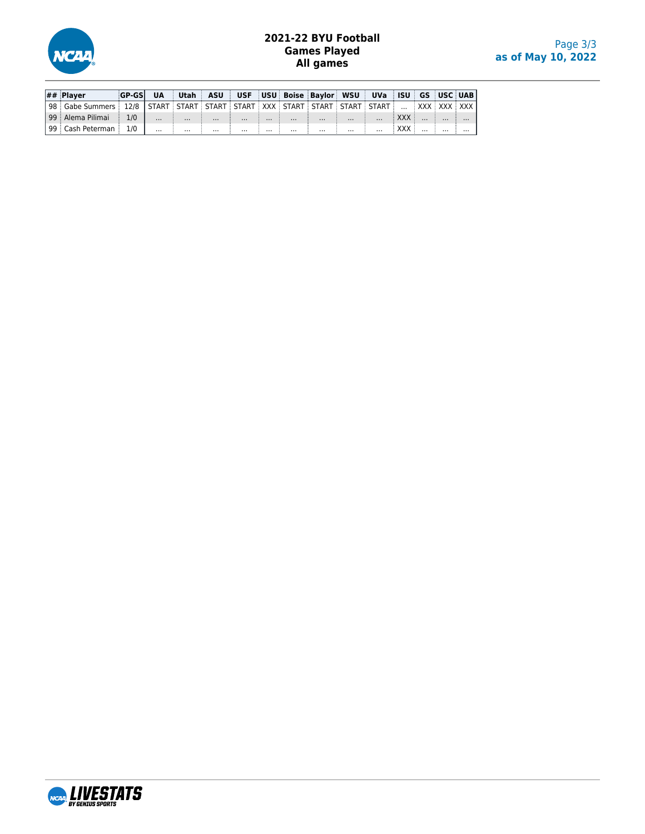

## **2021-22 BYU Football Games Played All games**

| $\left  \# \# \right $ Plaver                                                                                       | <b>GP-GSL</b> | <b>UA</b> |          |          |          |          |          | Utah   ASU   USF   USU   Boise   Baylor   WSU   UVa   ISU   GS   USC   UAB |          |          |                               |  |          |
|---------------------------------------------------------------------------------------------------------------------|---------------|-----------|----------|----------|----------|----------|----------|----------------------------------------------------------------------------|----------|----------|-------------------------------|--|----------|
| 98   Gabe Summers   12/8   START   START   START   START   XXX   START   START   START   START      XXX   XXX   XXX |               |           |          |          |          |          |          |                                                                            |          |          |                               |  |          |
| 99   Alema Pilimai                                                                                                  | $\frac{1}{1}$ | $\cdots$  | $\cdots$ | $\cdots$ | $\cdots$ |          | $\cdots$ | $\cdots$                                                                   | $\cdots$ | $\cdots$ | $\mathbb{R}$ XXX $\mathbb{R}$ |  | $\cdots$ |
| 99   Cash Peterman                                                                                                  | 1/0           | $\cdots$  | $\cdots$ | $\cdots$ | $\cdots$ | $\cdots$ | $\cdots$ | $\cdots$                                                                   | $\cdots$ | $\cdots$ |                               |  | $\cdots$ |